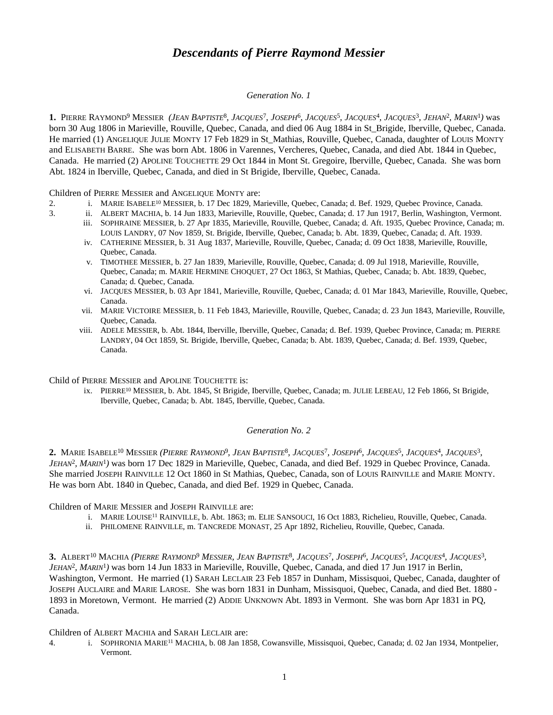# *Descendants of Pierre Raymond Messier*

### *Generation No. 1*

1. PIERRE RAYMOND<sup>9</sup> MESSIER *(JEAN BAPTISTE<sup>8</sup>, JACQUES<sup>1</sup>, JOSEPH<sup>6</sup>, JACQUES<sup>5</sup>, JACQUES<sup>4</sup>, JACQUES<sup>3</sup>, JEHAN<sup>2</sup>, MARIN<sup>1</sup>) was* born 30 Aug 1806 in Marieville, Rouville, Quebec, Canada, and died 06 Aug 1884 in St\_Brigide, Iberville, Quebec, Canada. He married (1) ANGELIQUE JULIE MONTY 17 Feb 1829 in St\_Mathias, Rouville, Quebec, Canada, daughter of LOUIS MONTY and ELISABETH BARRE. She was born Abt. 1806 in Varennes, Vercheres, Quebec, Canada, and died Abt. 1844 in Quebec, Canada. He married (2) APOLINE TOUCHETTE 29 Oct 1844 in Mont St. Gregoire, Iberville, Quebec, Canada. She was born Abt. 1824 in Iberville, Quebec, Canada, and died in St Brigide, Iberville, Quebec, Canada.

Children of PIERRE MESSIER and ANGELIQUE MONTY are:

- 2. i. MARIE ISABELE<sup>10</sup> MESSIER, b. 17 Dec 1829, Marieville, Quebec, Canada; d. Bef. 1929, Quebec Province, Canada.
- 3. ii. ALBERT MACHIA, b. 14 Jun 1833, Marieville, Rouville, Quebec, Canada; d. 17 Jun 1917, Berlin, Washington, Vermont.
	- iii. SOPHRAINE MESSIER, b. 27 Apr 1835, Marieville, Rouville, Quebec, Canada; d. Aft. 1935, Quebec Province, Canada; m. LOUIS LANDRY, 07 Nov 1859, St. Brigide, Iberville, Quebec, Canada; b. Abt. 1839, Quebec, Canada; d. Aft. 1939.
	- iv. CATHERINE MESSIER, b. 31 Aug 1837, Marieville, Rouville, Quebec, Canada; d. 09 Oct 1838, Marieville, Rouville, Quebec, Canada.
	- v. TIMOTHEE MESSIER, b. 27 Jan 1839, Marieville, Rouville, Quebec, Canada; d. 09 Jul 1918, Marieville, Rouville, Quebec, Canada; m. MARIE HERMINE CHOQUET, 27 Oct 1863, St Mathias, Quebec, Canada; b. Abt. 1839, Quebec, Canada; d. Quebec, Canada.
	- vi. JACQUES MESSIER, b. 03 Apr 1841, Marieville, Rouville, Quebec, Canada; d. 01 Mar 1843, Marieville, Rouville, Quebec, Canada.
	- vii. MARIE VICTOIRE MESSIER, b. 11 Feb 1843, Marieville, Rouville, Quebec, Canada; d. 23 Jun 1843, Marieville, Rouville, Quebec, Canada.
	- viii. ADELE MESSIER, b. Abt. 1844, Iberville, Iberville, Quebec, Canada; d. Bef. 1939, Quebec Province, Canada; m. PIERRE LANDRY, 04 Oct 1859, St. Brigide, Iberville, Quebec, Canada; b. Abt. 1839, Quebec, Canada; d. Bef. 1939, Quebec, Canada.

Child of PIERRE MESSIER and APOLINE TOUCHETTE is:

ix. PIERRE<sup>10</sup> MESSIER, b. Abt. 1845, St Brigide, Iberville, Quebec, Canada; m. JULIE LEBEAU, 12 Feb 1866, St Brigide, Iberville, Quebec, Canada; b. Abt. 1845, Iberville, Quebec, Canada.

# *Generation No. 2*

2. MARIE ISABELE<sup>10</sup> MESSIER (*PIERRE RAYMOND<sup>9</sup>, JEAN BAPTISTE<sup>8</sup>, JACQUES<sup>7</sup>, JOSEPH<sup>6</sup>, JACQUES<sup>5</sup>, JACQUES<sup>4</sup>, JACQUES<sup>3</sup>, JEHAN*<sup>2</sup> *, MARIN*<sup>1</sup> *)* was born 17 Dec 1829 in Marieville, Quebec, Canada, and died Bef. 1929 in Quebec Province, Canada. She married JOSEPH RAINVILLE 12 Oct 1860 in St Mathias, Quebec, Canada, son of LOUIS RAINVILLE and MARIE MONTY. He was born Abt. 1840 in Quebec, Canada, and died Bef. 1929 in Quebec, Canada.

Children of MARIE MESSIER and JOSEPH RAINVILLE are:

- i. MARIE LOUISE<sup>11</sup> RAINVILLE, b. Abt. 1863; m. ELIE SANSOUCI, 16 Oct 1883, Richelieu, Rouville, Quebec, Canada.
- ii. PHILOMENE RAINVILLE, m. TANCREDE MONAST, 25 Apr 1892, Richelieu, Rouville, Quebec, Canada.

3. ALBERT<sup>10</sup> Machia *(Pierre Raymond<sup>9</sup> Messier, Jean Baptiste<sup>8</sup>, Jacques<sup>7</sup>, Joseph<sup>6</sup>, Jacques<sup>5</sup>, Jacques<sup>4</sup>, Jacques<sup>3</sup>, JEHAN*<sup>2</sup> *, MARIN*<sup>1</sup> *)* was born 14 Jun 1833 in Marieville, Rouville, Quebec, Canada, and died 17 Jun 1917 in Berlin, Washington, Vermont. He married (1) SARAH LECLAIR 23 Feb 1857 in Dunham, Missisquoi, Quebec, Canada, daughter of JOSEPH AUCLAIRE and MARIE LAROSE. She was born 1831 in Dunham, Missisquoi, Quebec, Canada, and died Bet. 1880 - 1893 in Moretown, Vermont. He married (2) ADDIE UNKNOWN Abt. 1893 in Vermont. She was born Apr 1831 in PQ, Canada.

# Children of ALBERT MACHIA and SARAH LECLAIR are:

4. i. SOPHRONIA MARIE<sup>11</sup> MACHIA, b. 08 Jan 1858, Cowansville, Missisquoi, Quebec, Canada; d. 02 Jan 1934, Montpelier, Vermont.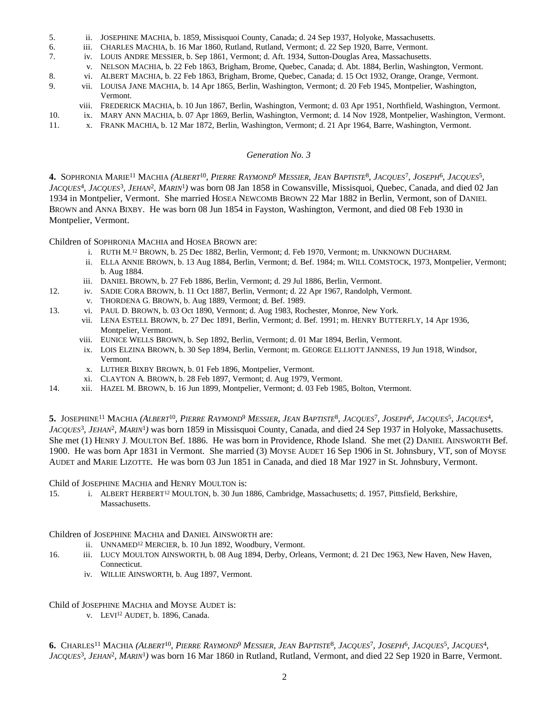- 5. ii. JOSEPHINE MACHIA, b. 1859, Missisquoi County, Canada; d. 24 Sep 1937, Holyoke, Massachusetts.
- 6. iii. CHARLES MACHIA, b. 16 Mar 1860, Rutland, Rutland, Vermont; d. 22 Sep 1920, Barre, Vermont.
- 7. iv. LOUIS ANDRE MESSIER, b. Sep 1861, Vermont; d. Aft. 1934, Sutton-Douglas Area, Massachusetts.
	- v. NELSON MACHIA, b. 22 Feb 1863, Brigham, Brome, Quebec, Canada; d. Abt. 1884, Berlin, Washington, Vermont.
- 8. vi. ALBERT MACHIA, b. 22 Feb 1863, Brigham, Brome, Quebec, Canada; d. 15 Oct 1932, Orange, Orange, Vermont.
- 9. vii. LOUISA JANE MACHIA, b. 14 Apr 1865, Berlin, Washington, Vermont; d. 20 Feb 1945, Montpelier, Washington, Vermont.
	- viii. FREDERICK MACHIA, b. 10 Jun 1867, Berlin, Washington, Vermont; d. 03 Apr 1951, Northfield, Washington, Vermont.
- 10. ix. MARY ANN MACHIA, b. 07 Apr 1869, Berlin, Washington, Vermont; d. 14 Nov 1928, Montpelier, Washington, Vermont.
- 11. x. FRANK MACHIA, b. 12 Mar 1872, Berlin, Washington, Vermont; d. 21 Apr 1964, Barre, Washington, Vermont.

#### *Generation No. 3*

4. SOPHRONIA MARIE<sup>11</sup> MACHIA (ALBERT<sup>10</sup>, PIERRE RAYMOND<sup>9</sup> MESSIER, JEAN BAPTISTE<sup>8</sup>, JACQUES<sup>7</sup>, JOSEPH<sup>6</sup>, JACQUES<sup>5</sup>, *JACQUES*<sup>4</sup> *, JACQUES*<sup>3</sup> *, JEHAN*<sup>2</sup> *, MARIN*<sup>1</sup> *)* was born 08 Jan 1858 in Cowansville, Missisquoi, Quebec, Canada, and died 02 Jan 1934 in Montpelier, Vermont. She married HOSEA NEWCOMB BROWN 22 Mar 1882 in Berlin, Vermont, son of DANIEL BROWN and ANNA BIXBY. He was born 08 Jun 1854 in Fayston, Washington, Vermont, and died 08 Feb 1930 in Montpelier, Vermont.

Children of SOPHRONIA MACHIA and HOSEA BROWN are:

- i. RUTH M. <sup>12</sup> BROWN, b. 25 Dec 1882, Berlin, Vermont; d. Feb 1970, Vermont; m. UNKNOWN DUCHARM.
- ii. ELLA ANNIE BROWN, b. 13 Aug 1884, Berlin, Vermont; d. Bef. 1984; m. WILL COMSTOCK, 1973, Montpelier, Vermont; b. Aug 1884.
- iii. DANIEL BROWN, b. 27 Feb 1886, Berlin, Vermont; d. 29 Jul 1886, Berlin, Vermont.
- 12. iv. SADIE CORA BROWN, b. 11 Oct 1887, Berlin, Vermont; d. 22 Apr 1967, Randolph, Vermont.
	- v. THORDENA G. BROWN, b. Aug 1889, Vermont; d. Bef. 1989.
- 13. vi. PAUL D. BROWN, b. 03 Oct 1890, Vermont; d. Aug 1983, Rochester, Monroe, New York.
	- vii. LENA ESTELL BROWN, b. 27 Dec 1891, Berlin, Vermont; d. Bef. 1991; m. HENRY BUTTERFLY, 14 Apr 1936, Montpelier, Vermont.
	- viii. EUNICE WELLS BROWN, b. Sep 1892, Berlin, Vermont; d. 01 Mar 1894, Berlin, Vermont.
	- ix. LOIS ELZINA BROWN, b. 30 Sep 1894, Berlin, Vermont; m. GEORGE ELLIOTT JANNESS, 19 Jun 1918, Windsor, Vermont.
	- x. LUTHER BIXBY BROWN, b. 01 Feb 1896, Montpelier, Vermont.
	- xi. CLAYTON A. BROWN, b. 28 Feb 1897, Vermont; d. Aug 1979, Vermont.
- 14. xii. HAZEL M. BROWN, b. 16 Jun 1899, Montpelier, Vermont; d. 03 Feb 1985, Bolton, Vtermont.

5. JOSEPHINE<sup>11</sup> MACHIA (*ALBERT<sup>10</sup>, PIERRE RAYMOND<sup>9</sup> MESSIER, JEAN BAPTISTE<sup>8</sup>, JACQUES<sup>7</sup>, JOSEPH<sup>6</sup>, JACQUES<sup>5</sup>, JACQUES<sup>4</sup>, JACQUES*<sup>3</sup> *, JEHAN*<sup>2</sup> *, MARIN*<sup>1</sup> *)* was born 1859 in Missisquoi County, Canada, and died 24 Sep 1937 in Holyoke, Massachusetts. She met (1) HENRY J. MOULTON Bef. 1886. He was born in Providence, Rhode Island. She met (2) DANIEL AINSWORTH Bef. 1900. He was born Apr 1831 in Vermont. She married (3) MOYSE AUDET 16 Sep 1906 in St. Johnsbury, VT, son of MOYSE AUDET and MARIE LIZOTTE. He was born 03 Jun 1851 in Canada, and died 18 Mar 1927 in St. Johnsbury, Vermont.

Child of JOSEPHINE MACHIA and HENRY MOULTON is:

15. i. ALBERT HERBERT<sup>12</sup> MOULTON, b. 30 Jun 1886, Cambridge, Massachusetts; d. 1957, Pittsfield, Berkshire, Massachusetts.

Children of JOSEPHINE MACHIA and DANIEL AINSWORTH are:

- ii. UNNAMED<sup>12</sup> MERCIER, b. 10 Jun 1892, Woodbury, Vermont.
- 16. iii. LUCY MOULTON AINSWORTH, b. 08 Aug 1894, Derby, Orleans, Vermont; d. 21 Dec 1963, New Haven, New Haven, Connecticut.
	- iv. WILLIE AINSWORTH, b. Aug 1897, Vermont.

Child of JOSEPHINE MACHIA and MOYSE AUDET is:

v. LEVI<sup>12</sup> AUDET, b. 1896, Canada.

6. Charles<sup>11</sup> Machia (Albert<sup>10</sup>, Pierre Raymond<sup>9</sup> Messier, Jean Baptiste<sup>8</sup>, Jacques<sup>7</sup>, Joseph<sup>6</sup>, Jacques<sup>5</sup>, Jacques<sup>4</sup>, *JACQUES*<sup>3</sup> *, JEHAN*<sup>2</sup> *, MARIN*<sup>1</sup> *)* was born 16 Mar 1860 in Rutland, Rutland, Vermont, and died 22 Sep 1920 in Barre, Vermont.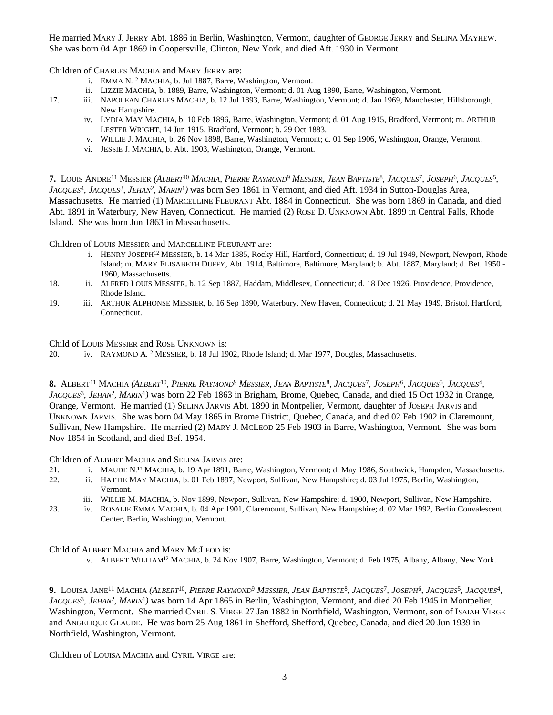He married MARY J. JERRY Abt. 1886 in Berlin, Washington, Vermont, daughter of GEORGE JERRY and SELINA MAYHEW. She was born 04 Apr 1869 in Coopersville, Clinton, New York, and died Aft. 1930 in Vermont.

Children of CHARLES MACHIA and MARY JERRY are:

- i. EMMA N. <sup>12</sup> MACHIA, b. Jul 1887, Barre, Washington, Vermont.
- ii. LIZZIE MACHIA, b. 1889, Barre, Washington, Vermont; d. 01 Aug 1890, Barre, Washington, Vermont.
- 17. iii. NAPOLEAN CHARLES MACHIA, b. 12 Jul 1893, Barre, Washington, Vermont; d. Jan 1969, Manchester, Hillsborough, New Hampshire.
	- iv. LYDIA MAY MACHIA, b. 10 Feb 1896, Barre, Washington, Vermont; d. 01 Aug 1915, Bradford, Vermont; m. ARTHUR LESTER WRIGHT, 14 Jun 1915, Bradford, Vermont; b. 29 Oct 1883.
	- v. WILLIE J. MACHIA, b. 26 Nov 1898, Barre, Washington, Vermont; d. 01 Sep 1906, Washington, Orange, Vermont.
	- vi. JESSIE J. MACHIA, b. Abt. 1903, Washington, Orange, Vermont.

7. Louis Andre<sup>11</sup> Messier *(Albert<sup>10</sup> Machia, Pierre Raymond<sup>9</sup> Messier, Jean Baptiste<sup>8</sup>, Jacques<sup>7</sup>, Joseph<sup>6</sup>, Jacques<sup>5</sup>, JACQUES*<sup>4</sup> *, JACQUES*<sup>3</sup> *, JEHAN*<sup>2</sup> *, MARIN*<sup>1</sup> *)* was born Sep 1861 in Vermont, and died Aft. 1934 in Sutton-Douglas Area, Massachusetts. He married (1) MARCELLINE FLEURANT Abt. 1884 in Connecticut. She was born 1869 in Canada, and died Abt. 1891 in Waterbury, New Haven, Connecticut. He married (2) ROSE D. UNKNOWN Abt. 1899 in Central Falls, Rhode Island. She was born Jun 1863 in Massachusetts.

Children of LOUIS MESSIER and MARCELLINE FLEURANT are:

- i. HENRY JOSEPH<sup>12</sup> MESSIER, b. 14 Mar 1885, Rocky Hill, Hartford, Connecticut; d. 19 Jul 1949, Newport, Newport, Rhode Island; m. MARY ELISABETH DUFFY, Abt. 1914, Baltimore, Baltimore, Maryland; b. Abt. 1887, Maryland; d. Bet. 1950 - 1960, Massachusetts.
- 18. ii. ALFRED LOUIS MESSIER, b. 12 Sep 1887, Haddam, Middlesex, Connecticut; d. 18 Dec 1926, Providence, Providence, Rhode Island.
- 19. iii. ARTHUR ALPHONSE MESSIER, b. 16 Sep 1890, Waterbury, New Haven, Connecticut; d. 21 May 1949, Bristol, Hartford, Connecticut.

Child of LOUIS MESSIER and ROSE UNKNOWN is:

20. iv. RAYMOND A.<sup>12</sup> MESSIER, b. 18 Jul 1902, Rhode Island; d. Mar 1977, Douglas, Massachusetts.

8. Albert<sup>11</sup> Machia (*Albert<sup>10</sup>, Pierre Raymond<sup>9</sup> Messier, Jean Baptiste<sup>8</sup>, Jacques<sup>7</sup>, Joseph<sup>6</sup>, Jacques<sup>5</sup>, Jacques<sup>4</sup>, JACQUES*<sup>3</sup> *, JEHAN*<sup>2</sup> *, MARIN*<sup>1</sup> *)* was born 22 Feb 1863 in Brigham, Brome, Quebec, Canada, and died 15 Oct 1932 in Orange, Orange, Vermont. He married (1) SELINA JARVIS Abt. 1890 in Montpelier, Vermont, daughter of JOSEPH JARVIS and UNKNOWN JARVIS. She was born 04 May 1865 in Brome District, Quebec, Canada, and died 02 Feb 1902 in Claremount, Sullivan, New Hampshire. He married (2) MARY J. MCLEOD 25 Feb 1903 in Barre, Washington, Vermont. She was born Nov 1854 in Scotland, and died Bef. 1954.

Children of ALBERT MACHIA and SELINA JARVIS are:

- 21. i. MAUDE N.<sup>12</sup> MACHIA, b. 19 Apr 1891, Barre, Washington, Vermont; d. May 1986, Southwick, Hampden, Massachusetts.
- 22. ii. HATTIE MAY MACHIA, b. 01 Feb 1897, Newport, Sullivan, New Hampshire; d. 03 Jul 1975, Berlin, Washington, Vermont.
	- iii. WILLIE M. MACHIA, b. Nov 1899, Newport, Sullivan, New Hampshire; d. 1900, Newport, Sullivan, New Hampshire.
- 23. iv. ROSALIE EMMA MACHIA, b. 04 Apr 1901, Claremount, Sullivan, New Hampshire; d. 02 Mar 1992, Berlin Convalescent Center, Berlin, Washington, Vermont.

Child of ALBERT MACHIA and MARY MCLEOD is:

v. ALBERT WILLIAM<sup>12</sup> MACHIA, b. 24 Nov 1907, Barre, Washington, Vermont; d. Feb 1975, Albany, Albany, New York.

9. Louisa Jane<sup>11</sup> Machia *(Albert<sup>10</sup>, Pierre Raymond<sup>9</sup> Messier, Jean Baptiste<sup>8</sup>, Jacques<sup>7</sup>, Joseph<sup>6</sup>, Jacques<sup>5</sup>, Jacques<sup>4</sup>, JACQUES*<sup>3</sup> *, JEHAN*<sup>2</sup> *, MARIN*<sup>1</sup> *)* was born 14 Apr 1865 in Berlin, Washington, Vermont, and died 20 Feb 1945 in Montpelier, Washington, Vermont. She married CYRIL S. VIRGE 27 Jan 1882 in Northfield, Washington, Vermont, son of ISAIAH VIRGE and ANGELIQUE GLAUDE. He was born 25 Aug 1861 in Shefford, Shefford, Quebec, Canada, and died 20 Jun 1939 in Northfield, Washington, Vermont.

Children of LOUISA MACHIA and CYRIL VIRGE are: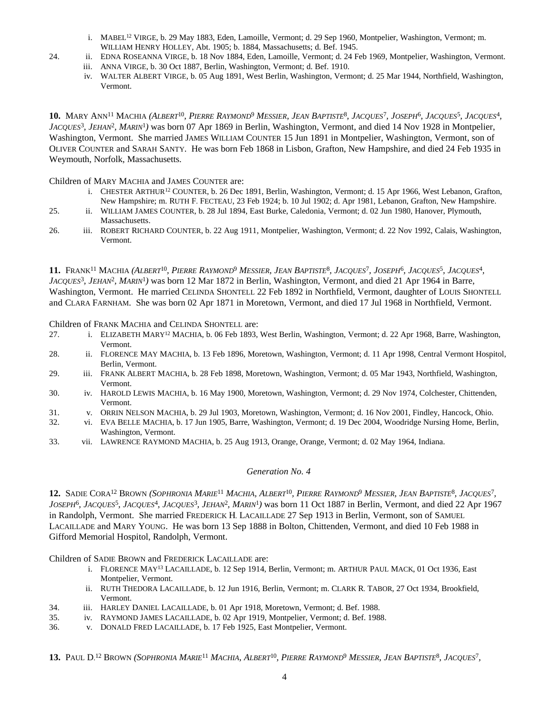- i. MABEL<sup>12</sup> VIRGE, b. 29 May 1883, Eden, Lamoille, Vermont; d. 29 Sep 1960, Montpelier, Washington, Vermont; m. WILLIAM HENRY HOLLEY, Abt. 1905; b. 1884, Massachusetts; d. Bef. 1945.
- 24. ii. EDNA ROSEANNA VIRGE, b. 18 Nov 1884, Eden, Lamoille, Vermont; d. 24 Feb 1969, Montpelier, Washington, Vermont.
	- iii. ANNA VIRGE, b. 30 Oct 1887, Berlin, Washington, Vermont; d. Bef. 1910.
	- iv. WALTER ALBERT VIRGE, b. 05 Aug 1891, West Berlin, Washington, Vermont; d. 25 Mar 1944, Northfield, Washington, Vermont.

10. MARY ANN<sup>11</sup> MACHIA (*ALBERT<sup>10</sup>, PIERRE RAYMOND<sup>9</sup> MESSIER, JEAN BAPTISTE<sup>8</sup>, JACQUES<sup>7</sup>, JOSEPH<sup>6</sup>, JACQUES<sup>5</sup>, JACQUES<sup>4</sup>, JACQUES*<sup>3</sup> *, JEHAN*<sup>2</sup> *, MARIN*<sup>1</sup> *)* was born 07 Apr 1869 in Berlin, Washington, Vermont, and died 14 Nov 1928 in Montpelier, Washington, Vermont. She married JAMES WILLIAM COUNTER 15 Jun 1891 in Montpelier, Washington, Vermont, son of OLIVER COUNTER and SARAH SANTY. He was born Feb 1868 in Lisbon, Grafton, New Hampshire, and died 24 Feb 1935 in Weymouth, Norfolk, Massachusetts.

Children of MARY MACHIA and JAMES COUNTER are:

- i. CHESTER ARTHUR<sup>12</sup> COUNTER, b. 26 Dec 1891, Berlin, Washington, Vermont; d. 15 Apr 1966, West Lebanon, Grafton, New Hampshire; m. RUTH F. FECTEAU, 23 Feb 1924; b. 10 Jul 1902; d. Apr 1981, Lebanon, Grafton, New Hampshire.
- 25. ii. WILLIAM JAMES COUNTER, b. 28 Jul 1894, East Burke, Caledonia, Vermont; d. 02 Jun 1980, Hanover, Plymouth, Massachusetts.
- 26. iii. ROBERT RICHARD COUNTER, b. 22 Aug 1911, Montpelier, Washington, Vermont; d. 22 Nov 1992, Calais, Washington, Vermont.

11. Frank<sup>11</sup> Machia (*Albert<sup>10</sup>, Pierre Raymond<sup>9</sup> Messier, Jean Baptiste<sup>8</sup>, Jacques<sup>7</sup>, Joseph<sup>6</sup>, Jacques<sup>5</sup>, Jacques<sup>4</sup>, JACQUES*<sup>3</sup> *, JEHAN*<sup>2</sup> *, MARIN*<sup>1</sup> *)* was born 12 Mar 1872 in Berlin, Washington, Vermont, and died 21 Apr 1964 in Barre, Washington, Vermont. He married CELINDA SHONTELL 22 Feb 1892 in Northfield, Vermont, daughter of LOUIS SHONTELL and CLARA FARNHAM. She was born 02 Apr 1871 in Moretown, Vermont, and died 17 Jul 1968 in Northfield, Vermont.

Children of FRANK MACHIA and CELINDA SHONTELL are:

- 27. i. ELIZABETH MARY<sup>12</sup> MACHIA, b. 06 Feb 1893, West Berlin, Washington, Vermont; d. 22 Apr 1968, Barre, Washington, Vermont.
- 28. ii. FLORENCE MAY MACHIA, b. 13 Feb 1896, Moretown, Washington, Vermont; d. 11 Apr 1998, Central Vermont Hospitol, Berlin, Vermont.
- 29. iii. FRANK ALBERT MACHIA, b. 28 Feb 1898, Moretown, Washington, Vermont; d. 05 Mar 1943, Northfield, Washington, Vermont.
- 30. iv. HAROLD LEWIS MACHIA, b. 16 May 1900, Moretown, Washington, Vermont; d. 29 Nov 1974, Colchester, Chittenden, Vermont.
- 31. v. ORRIN NELSON MACHIA, b. 29 Jul 1903, Moretown, Washington, Vermont; d. 16 Nov 2001, Findley, Hancock, Ohio.
- 32. vi. EVA BELLE MACHIA, b. 17 Jun 1905, Barre, Washington, Vermont; d. 19 Dec 2004, Woodridge Nursing Home, Berlin, Washington, Vermont.
- 33. vii. LAWRENCE RAYMOND MACHIA, b. 25 Aug 1913, Orange, Orange, Vermont; d. 02 May 1964, Indiana.

# *Generation No. 4*

12. SADIE CORA<sup>12</sup> Brown (*Sophronia Marie<sup>11</sup> Machia, Albert<sup>10</sup>, Pierre Raymond<sup>9</sup> Messier, Jean Baptiste<sup>8</sup>, Jacques<sup>7</sup>, JOSEPH*<sup>6</sup> *, JACQUES*<sup>5</sup> *, JACQUES*<sup>4</sup> *, JACQUES*<sup>3</sup> *, JEHAN*<sup>2</sup> *, MARIN*<sup>1</sup> *)* was born 11 Oct 1887 in Berlin, Vermont, and died 22 Apr 1967 in Randolph, Vermont. She married FREDERICK H. LACAILLADE 27 Sep 1913 in Berlin, Vermont, son of SAMUEL LACAILLADE and MARY YOUNG. He was born 13 Sep 1888 in Bolton, Chittenden, Vermont, and died 10 Feb 1988 in Gifford Memorial Hospitol, Randolph, Vermont.

Children of SADIE BROWN and FREDERICK LACAILLADE are:

- i. FLORENCE MAY<sup>13</sup> LACAILLADE, b. 12 Sep 1914, Berlin, Vermont; m. ARTHUR PAUL MACK, 01 Oct 1936, East Montpelier, Vermont.
- ii. RUTH THEDORA LACAILLADE, b. 12 Jun 1916, Berlin, Vermont; m. CLARK R. TABOR, 27 Oct 1934, Brookfield, Vermont.
- 34. iii. HARLEY DANIEL LACAILLADE, b. 01 Apr 1918, Moretown, Vermont; d. Bef. 1988.
- 35. iv. RAYMOND JAMES LACAILLADE, b. 02 Apr 1919, Montpelier, Vermont; d. Bef. 1988.
- 36. v. DONALD FRED LACAILLADE, b. 17 Feb 1925, East Montpelier, Vermont.

13. PAUL D.<sup>12</sup> Brown (Sophronia Marie<sup>11</sup> Machia, Albert<sup>10</sup>, Pierre Raymond<sup>9</sup> Messier, Jean Baptiste<sup>8</sup>, Jacques<sup>7</sup>,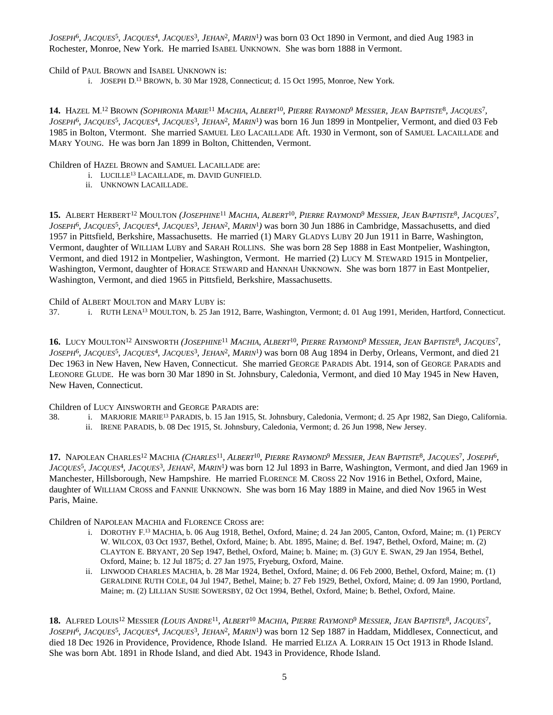*JOSEPH*<sup>6</sup>, *JACQUES*<sup>5</sup>, *JACQUES*<sup>4</sup>, *JACQUES*<sup>3</sup>, *JEHAN<sup>2</sup>, MARIN*<sup>1</sup>) was born 03 Oct 1890 in Vermont, and died Aug 1983 in Rochester, Monroe, New York. He married ISABEL UNKNOWN. She was born 1888 in Vermont.

### Child of PAUL BROWN and ISABEL UNKNOWN is:

i. JOSEPH D. <sup>13</sup> BROWN, b. 30 Mar 1928, Connecticut; d. 15 Oct 1995, Monroe, New York.

14. Hazel M.<sup>12</sup> Brown (Sophronia Marie<sup>11</sup> Machia, Albert<sup>10</sup>, Pierre Raymond<sup>9</sup> Messier, Jean Baptiste<sup>8</sup>, Jacques<sup>7</sup>, *JOSEPH*<sup>6</sup> *, JACQUES*<sup>5</sup> *, JACQUES*<sup>4</sup> *, JACQUES*<sup>3</sup> *, JEHAN*<sup>2</sup> *, MARIN*<sup>1</sup> *)* was born 16 Jun 1899 in Montpelier, Vermont, and died 03 Feb 1985 in Bolton, Vtermont. She married SAMUEL LEO LACAILLADE Aft. 1930 in Vermont, son of SAMUEL LACAILLADE and MARY YOUNG. He was born Jan 1899 in Bolton, Chittenden, Vermont.

#### Children of HAZEL BROWN and SAMUEL LACAILLADE are:

- i. LUCILLE<sup>13</sup> LACAILLADE, m. DAVID GUNFIELD.
- ii. UNKNOWN LACAILLADE.

15. ALBERT HERBERT<sup>12</sup> MOULTON (*JOSEPHINE<sup>11</sup> MACHIA, ALBERT<sup>10</sup>, PIERRE RAYMOND<sup>9</sup> MESSIER, JEAN BAPTISTE<sup>8</sup>, JACQUES<sup>7</sup>, JOSEPH*<sup>6</sup> *, JACQUES*<sup>5</sup> *, JACQUES*<sup>4</sup> *, JACQUES*<sup>3</sup> *, JEHAN*<sup>2</sup> *, MARIN*<sup>1</sup> *)* was born 30 Jun 1886 in Cambridge, Massachusetts, and died 1957 in Pittsfield, Berkshire, Massachusetts. He married (1) MARY GLADYS LUBY 20 Jun 1911 in Barre, Washington, Vermont, daughter of WILLIAM LUBY and SARAH ROLLINS. She was born 28 Sep 1888 in East Montpelier, Washington, Vermont, and died 1912 in Montpelier, Washington, Vermont. He married (2) LUCY M. STEWARD 1915 in Montpelier, Washington, Vermont, daughter of HORACE STEWARD and HANNAH UNKNOWN. She was born 1877 in East Montpelier, Washington, Vermont, and died 1965 in Pittsfield, Berkshire, Massachusetts.

Child of ALBERT MOULTON and MARY LUBY is:

37. i. RUTH LENA<sup>13</sup> MOULTON, b. 25 Jan 1912, Barre, Washington, Vermont; d. 01 Aug 1991, Meriden, Hartford, Connecticut.

16. Lucy Moulton<sup>12</sup> Ainsworth (Josephine<sup>11</sup> Machia, Albert<sup>10</sup>, Pierre Raymond<sup>9</sup> Messier, Jean Baptiste<sup>8</sup>, Jacques<sup>7</sup>, *JOSEPH*<sup>6</sup> *, JACQUES*<sup>5</sup> *, JACQUES*<sup>4</sup> *, JACQUES*<sup>3</sup> *, JEHAN*<sup>2</sup> *, MARIN*<sup>1</sup> *)* was born 08 Aug 1894 in Derby, Orleans, Vermont, and died 21 Dec 1963 in New Haven, New Haven, Connecticut. She married GEORGE PARADIS Abt. 1914, son of GEORGE PARADIS and LEONORE GLUDE. He was born 30 Mar 1890 in St. Johnsbury, Caledonia, Vermont, and died 10 May 1945 in New Haven, New Haven, Connecticut.

Children of LUCY AINSWORTH and GEORGE PARADIS are:

38. i. MARJORIE MARIE<sup>13</sup> PARADIS, b. 15 Jan 1915, St. Johnsbury, Caledonia, Vermont; d. 25 Apr 1982, San Diego, California. ii. IRENE PARADIS, b. 08 Dec 1915, St. Johnsbury, Caledonia, Vermont; d. 26 Jun 1998, New Jersey.

17. NAPOLEAN CHARLES<sup>12</sup> MACHIA (*CHARLES<sup>11</sup>, ALBERT<sup>10</sup>, PIERRE RAYMOND<sup>9</sup> MESSIER, JEAN BAPTISTE<sup>8</sup>, JACQUES<sup>7</sup>, JOSEPH<sup>6</sup>, JACQUES*<sup>5</sup> *, JACQUES*<sup>4</sup> *, JACQUES*<sup>3</sup> *, JEHAN*<sup>2</sup> *, MARIN*<sup>1</sup> *)* was born 12 Jul 1893 in Barre, Washington, Vermont, and died Jan 1969 in Manchester, Hillsborough, New Hampshire. He married FLORENCE M. CROSS 22 Nov 1916 in Bethel, Oxford, Maine, daughter of WILLIAM CROSS and FANNIE UNKNOWN. She was born 16 May 1889 in Maine, and died Nov 1965 in West Paris, Maine.

Children of NAPOLEAN MACHIA and FLORENCE CROSS are:

- i. DOROTHY F. <sup>13</sup> MACHIA, b. 06 Aug 1918, Bethel, Oxford, Maine; d. 24 Jan 2005, Canton, Oxford, Maine; m. (1) PERCY W. WILCOX, 03 Oct 1937, Bethel, Oxford, Maine; b. Abt. 1895, Maine; d. Bef. 1947, Bethel, Oxford, Maine; m. (2) CLAYTON E. BRYANT, 20 Sep 1947, Bethel, Oxford, Maine; b. Maine; m. (3) GUY E. SWAN, 29 Jan 1954, Bethel, Oxford, Maine; b. 12 Jul 1875; d. 27 Jan 1975, Fryeburg, Oxford, Maine.
- ii. LINWOOD CHARLES MACHIA, b. 28 Mar 1924, Bethel, Oxford, Maine; d. 06 Feb 2000, Bethel, Oxford, Maine; m. (1) GERALDINE RUTH COLE, 04 Jul 1947, Bethel, Maine; b. 27 Feb 1929, Bethel, Oxford, Maine; d. 09 Jan 1990, Portland, Maine; m. (2) LILLIAN SUSIE SOWERSBY, 02 Oct 1994, Bethel, Oxford, Maine; b. Bethel, Oxford, Maine.

18. ALFRED LOUIS<sup>12</sup> MESSIER (*LOUIS ANDRE<sup>11</sup>, ALBERT<sup>10</sup> MACHIA, PIERRE RAYMOND<sup>9</sup> MESSIER, JEAN BAPTISTE<sup>8</sup>, JACQUES<sup>7</sup>, JOSEPH*<sup>6</sup> *, JACQUES*<sup>5</sup> *, JACQUES*<sup>4</sup> *, JACQUES*<sup>3</sup> *, JEHAN*<sup>2</sup> *, MARIN*<sup>1</sup> *)* was born 12 Sep 1887 in Haddam, Middlesex, Connecticut, and died 18 Dec 1926 in Providence, Providence, Rhode Island. He married ELIZA A. LORRAIN 15 Oct 1913 in Rhode Island. She was born Abt. 1891 in Rhode Island, and died Abt. 1943 in Providence, Rhode Island.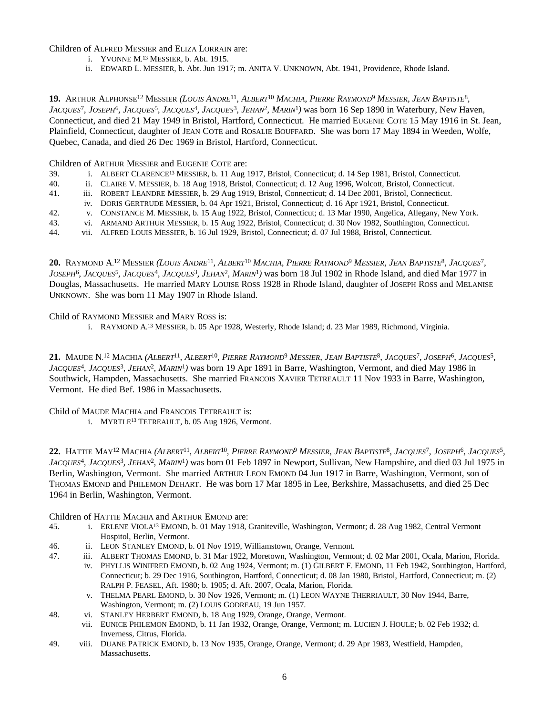Children of ALFRED MESSIER and ELIZA LORRAIN are:

- i. YVONNE M. <sup>13</sup> MESSIER, b. Abt. 1915.
- ii. EDWARD L. MESSIER, b. Abt. Jun 1917; m. ANITA V. UNKNOWN, Abt. 1941, Providence, Rhode Island.

19. ARTHUR ALPHONSE<sup>12</sup> MESSIER (*LOUIS ANDRE<sup>11</sup>, ALBERT<sup>10</sup> MACHIA, PIERRE RAYMOND<sup>9</sup> MESSIER, JEAN BAPTISTE<sup>8</sup>, JACQUES*<sup>7</sup> *, JOSEPH*<sup>6</sup> *, JACQUES*<sup>5</sup> *, JACQUES*<sup>4</sup> *, JACQUES*<sup>3</sup> *, JEHAN*<sup>2</sup> *, MARIN*<sup>1</sup> *)* was born 16 Sep 1890 in Waterbury, New Haven, Connecticut, and died 21 May 1949 in Bristol, Hartford, Connecticut. He married EUGENIE COTE 15 May 1916 in St. Jean, Plainfield, Connecticut, daughter of JEAN COTE and ROSALIE BOUFFARD. She was born 17 May 1894 in Weeden, Wolfe, Quebec, Canada, and died 26 Dec 1969 in Bristol, Hartford, Connecticut.

Children of ARTHUR MESSIER and EUGENIE COTE are:

- 39. i. ALBERT CLARENCE<sup>13</sup> MESSIER, b. 11 Aug 1917, Bristol, Connecticut; d. 14 Sep 1981, Bristol, Connecticut.
- 40. ii. CLAIRE V. MESSIER, b. 18 Aug 1918, Bristol, Connecticut; d. 12 Aug 1996, Wolcott, Bristol, Connecticut.
- 41. iii. ROBERT LEANDRE MESSIER, b. 29 Aug 1919, Bristol, Connecticut; d. 14 Dec 2001, Bristol, Connecticut.
- iv. DORIS GERTRUDE MESSIER, b. 04 Apr 1921, Bristol, Connecticut; d. 16 Apr 1921, Bristol, Connecticut.
- 42. v. CONSTANCE M. MESSIER, b. 15 Aug 1922, Bristol, Connecticut; d. 13 Mar 1990, Angelica, Allegany, New York.
- 43. vi. ARMAND ARTHUR MESSIER, b. 15 Aug 1922, Bristol, Connecticut; d. 30 Nov 1982, Southington, Connecticut.
- 44. vii. ALFRED LOUIS MESSIER, b. 16 Jul 1929, Bristol, Connecticut; d. 07 Jul 1988, Bristol, Connecticut.

**20.** Raymond A.<sup>12</sup> Messier (Louis Andre<sup>11</sup>, Albert<sup>10</sup> Machia, Pierre Raymond<sup>9</sup> Messier, Jean Baptiste<sup>8</sup>, Jacques<sup>7</sup>, *JOSEPH*<sup>6</sup> *, JACQUES*<sup>5</sup> *, JACQUES*<sup>4</sup> *, JACQUES*<sup>3</sup> *, JEHAN*<sup>2</sup> *, MARIN*<sup>1</sup> *)* was born 18 Jul 1902 in Rhode Island, and died Mar 1977 in Douglas, Massachusetts. He married MARY LOUISE ROSS 1928 in Rhode Island, daughter of JOSEPH ROSS and MELANISE UNKNOWN. She was born 11 May 1907 in Rhode Island.

Child of RAYMOND MESSIER and MARY ROSS is:

i. RAYMOND A. <sup>13</sup> MESSIER, b. 05 Apr 1928, Westerly, Rhode Island; d. 23 Mar 1989, Richmond, Virginia.

21. MAUDE N.<sup>12</sup> MACHIA (ALBERT<sup>11</sup>, ALBERT<sup>10</sup>, PIERRE RAYMOND<sup>9</sup> MESSIER, JEAN BAPTISTE<sup>8</sup>, JACQUES<sup>7</sup>, JOSEPH<sup>6</sup>, JACQUES<sup>5</sup>, *JACQUES*<sup>4</sup> *, JACQUES*<sup>3</sup> *, JEHAN*<sup>2</sup> *, MARIN*<sup>1</sup> *)* was born 19 Apr 1891 in Barre, Washington, Vermont, and died May 1986 in Southwick, Hampden, Massachusetts. She married FRANCOIS XAVIER TETREAULT 11 Nov 1933 in Barre, Washington, Vermont. He died Bef. 1986 in Massachusetts.

Child of MAUDE MACHIA and FRANCOIS TETREAULT is:

i. MYRTLE<sup>13</sup> TETREAULT, b. 05 Aug 1926, Vermont.

22. HATTIE MAY<sup>12</sup> MACHIA (ALBERT<sup>11</sup>, ALBERT<sup>10</sup>, PIERRE RAYMOND<sup>9</sup> MESSIER, JEAN BAPTISTE<sup>8</sup>, JACQUES<sup>7</sup>, JOSEPH<sup>6</sup>, JACQUES<sup>5</sup>, *JACQUES*<sup>4</sup> *, JACQUES*<sup>3</sup> *, JEHAN*<sup>2</sup> *, MARIN*<sup>1</sup> *)* was born 01 Feb 1897 in Newport, Sullivan, New Hampshire, and died 03 Jul 1975 in Berlin, Washington, Vermont. She married ARTHUR LEON EMOND 04 Jun 1917 in Barre, Washington, Vermont, son of THOMAS EMOND and PHILEMON DEHART. He was born 17 Mar 1895 in Lee, Berkshire, Massachusetts, and died 25 Dec 1964 in Berlin, Washington, Vermont.

Children of HATTIE MACHIA and ARTHUR EMOND are:

- 45. i. ERLENE VIOLA<sup>13</sup> EMOND, b. 01 May 1918, Graniteville, Washington, Vermont; d. 28 Aug 1982, Central Vermont Hospitol, Berlin, Vermont.
- 46. ii. LEON STANLEY EMOND, b. 01 Nov 1919, Williamstown, Orange, Vermont.
- 47. iii. ALBERT THOMAS EMOND, b. 31 Mar 1922, Moretown, Washington, Vermont; d. 02 Mar 2001, Ocala, Marion, Florida.
	- iv. PHYLLIS WINIFRED EMOND, b. 02 Aug 1924, Vermont; m. (1) GILBERT F. EMOND, 11 Feb 1942, Southington, Hartford, Connecticut; b. 29 Dec 1916, Southington, Hartford, Connecticut; d. 08 Jan 1980, Bristol, Hartford, Connecticut; m. (2) RALPH P. FEASEL, Aft. 1980; b. 1905; d. Aft. 2007, Ocala, Marion, Florida.
	- v. THELMA PEARL EMOND, b. 30 Nov 1926, Vermont; m. (1) LEON WAYNE THERRIAULT, 30 Nov 1944, Barre, Washington, Vermont; m. (2) LOUIS GODREAU, 19 Jun 1957.
- 48. vi. STANLEY HERBERT EMOND, b. 18 Aug 1929, Orange, Orange, Vermont.
	- vii. EUNICE PHILEMON EMOND, b. 11 Jan 1932, Orange, Orange, Vermont; m. LUCIEN J. HOULE; b. 02 Feb 1932; d. Inverness, Citrus, Florida.
- 49. viii. DUANE PATRICK EMOND, b. 13 Nov 1935, Orange, Orange, Vermont; d. 29 Apr 1983, Westfield, Hampden, Massachusetts.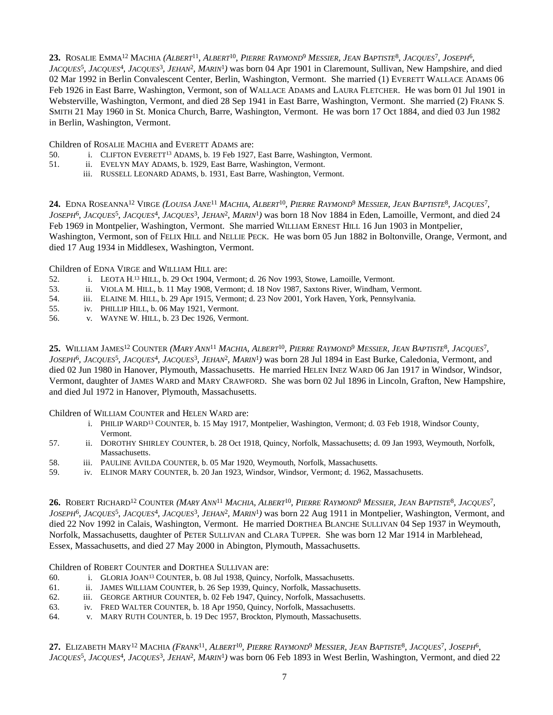**23.** ROSALIE EMMA<sup>12</sup> MACHIA (*ALBERT<sup>11</sup>, ALBERT<sup>10</sup>, PIERRE RAYMOND<sup>9</sup> MESSIER, JEAN BAPTISTE<sup>8</sup>, JACQUES<sup>7</sup>, JOSEPH<sup>6</sup>,* 

*JACQUES*<sup>5</sup> *, JACQUES*<sup>4</sup> *, JACQUES*<sup>3</sup> *, JEHAN*<sup>2</sup> *, MARIN*<sup>1</sup> *)* was born 04 Apr 1901 in Claremount, Sullivan, New Hampshire, and died 02 Mar 1992 in Berlin Convalescent Center, Berlin, Washington, Vermont. She married (1) EVERETT WALLACE ADAMS 06 Feb 1926 in East Barre, Washington, Vermont, son of WALLACE ADAMS and LAURA FLETCHER. He was born 01 Jul 1901 in Websterville, Washington, Vermont, and died 28 Sep 1941 in East Barre, Washington, Vermont. She married (2) FRANK S. SMITH 21 May 1960 in St. Monica Church, Barre, Washington, Vermont. He was born 17 Oct 1884, and died 03 Jun 1982 in Berlin, Washington, Vermont.

Children of ROSALIE MACHIA and EVERETT ADAMS are:

- 50. i. CLIFTON EVERETT<sup>13</sup> ADAMS, b. 19 Feb 1927, East Barre, Washington, Vermont.
- 51. ii. EVELYN MAY ADAMS, b. 1929, East Barre, Washington, Vermont.
	- iii. RUSSELL LEONARD ADAMS, b. 1931, East Barre, Washington, Vermont.

**24.** EDNA ROSEANNA<sup>12</sup> VIRGE (LOUISA JANE<sup>11</sup> MACHIA, ALBERT<sup>10</sup>, PIERRE RAYMOND<sup>9</sup> MESSIER, JEAN BAPTISTE<sup>8</sup>, JACQUES<sup>7</sup>, *JOSEPH*<sup>6</sup> *, JACQUES*<sup>5</sup> *, JACQUES*<sup>4</sup> *, JACQUES*<sup>3</sup> *, JEHAN*<sup>2</sup> *, MARIN*<sup>1</sup> *)* was born 18 Nov 1884 in Eden, Lamoille, Vermont, and died 24 Feb 1969 in Montpelier, Washington, Vermont. She married WILLIAM ERNEST HILL 16 Jun 1903 in Montpelier, Washington, Vermont, son of FELIX HILL and NELLIE PECK. He was born 05 Jun 1882 in Boltonville, Orange, Vermont, and died 17 Aug 1934 in Middlesex, Washington, Vermont.

Children of EDNA VIRGE and WILLIAM HILL are:

- 52. i. LEOTA H. <sup>13</sup> HILL, b. 29 Oct 1904, Vermont; d. 26 Nov 1993, Stowe, Lamoille, Vermont.
- 53. ii. VIOLA M. HILL, b. 11 May 1908, Vermont; d. 18 Nov 1987, Saxtons River, Windham, Vermont.
- 54. iii. ELAINE M. HILL, b. 29 Apr 1915, Vermont; d. 23 Nov 2001, York Haven, York, Pennsylvania.
- 55. iv. PHILLIP HILL, b. 06 May 1921, Vermont.
- 56. v. WAYNE W. HILL, b. 23 Dec 1926, Vermont.

**25.** WILLIAM JAMES<sup>12</sup> COUNTER (*MARY ANN<sup>11</sup> MACHIA, ALBERT<sup>10</sup>, PIERRE RAYMOND<sup>9</sup> MESSIER, JEAN BAPTISTE<sup>8</sup>, JACQUES<sup>7</sup>, JOSEPH*<sup>6</sup> *, JACQUES*<sup>5</sup> *, JACQUES*<sup>4</sup> *, JACQUES*<sup>3</sup> *, JEHAN*<sup>2</sup> *, MARIN*<sup>1</sup> *)* was born 28 Jul 1894 in East Burke, Caledonia, Vermont, and died 02 Jun 1980 in Hanover, Plymouth, Massachusetts. He married HELEN INEZ WARD 06 Jan 1917 in Windsor, Windsor, Vermont, daughter of JAMES WARD and MARY CRAWFORD. She was born 02 Jul 1896 in Lincoln, Grafton, New Hampshire, and died Jul 1972 in Hanover, Plymouth, Massachusetts.

Children of WILLIAM COUNTER and HELEN WARD are:

- i. PHILIP WARD<sup>13</sup> COUNTER, b. 15 May 1917, Montpelier, Washington, Vermont; d. 03 Feb 1918, Windsor County, Vermont.
- 57. ii. DOROTHY SHIRLEY COUNTER, b. 28 Oct 1918, Quincy, Norfolk, Massachusetts; d. 09 Jan 1993, Weymouth, Norfolk, Massachusetts.
- 58. iii. PAULINE AVILDA COUNTER, b. 05 Mar 1920, Weymouth, Norfolk, Massachusetts.
- 59. iv. ELINOR MARY COUNTER, b. 20 Jan 1923, Windsor, Windsor, Vermont; d. 1962, Massachusetts.

**26.** Robert Richard<sup>12</sup> Counter (Mary Ann<sup>11</sup> Machia, Albert<sup>10</sup>, Pierre Raymond<sup>9</sup> Messier, Jean Baptiste<sup>8</sup>, Jacques<sup>7</sup>, *JOSEPH*<sup>6</sup> *, JACQUES*<sup>5</sup> *, JACQUES*<sup>4</sup> *, JACQUES*<sup>3</sup> *, JEHAN*<sup>2</sup> *, MARIN*<sup>1</sup> *)* was born 22 Aug 1911 in Montpelier, Washington, Vermont, and died 22 Nov 1992 in Calais, Washington, Vermont. He married DORTHEA BLANCHE SULLIVAN 04 Sep 1937 in Weymouth, Norfolk, Massachusetts, daughter of PETER SULLIVAN and CLARA TUPPER. She was born 12 Mar 1914 in Marblehead, Essex, Massachusetts, and died 27 May 2000 in Abington, Plymouth, Massachusetts.

Children of ROBERT COUNTER and DORTHEA SULLIVAN are:

- 60. i. GLORIA JOAN<sup>13</sup> COUNTER, b. 08 Jul 1938, Quincy, Norfolk, Massachusetts.
- 61. ii. JAMES WILLIAM COUNTER, b. 26 Sep 1939, Quincy, Norfolk, Massachusetts.
- 62. iii. GEORGE ARTHUR COUNTER, b. 02 Feb 1947, Quincy, Norfolk, Massachusetts.
- 63. iv. FRED WALTER COUNTER, b. 18 Apr 1950, Quincy, Norfolk, Massachusetts.
- 64. v. MARY RUTH COUNTER, b. 19 Dec 1957, Brockton, Plymouth, Massachusetts.

27. Elizabeth Mary<sup>12</sup> Machia (Frank<sup>11</sup>, Albert<sup>10</sup>, Pierre Raymond<sup>9</sup> Messier, Jean Baptiste<sup>8</sup>, Jacques<sup>7</sup>, Joseph<sup>6</sup>, *JACQUES*<sup>5</sup> *, JACQUES*<sup>4</sup> *, JACQUES*<sup>3</sup> *, JEHAN*<sup>2</sup> *, MARIN*<sup>1</sup> *)* was born 06 Feb 1893 in West Berlin, Washington, Vermont, and died 22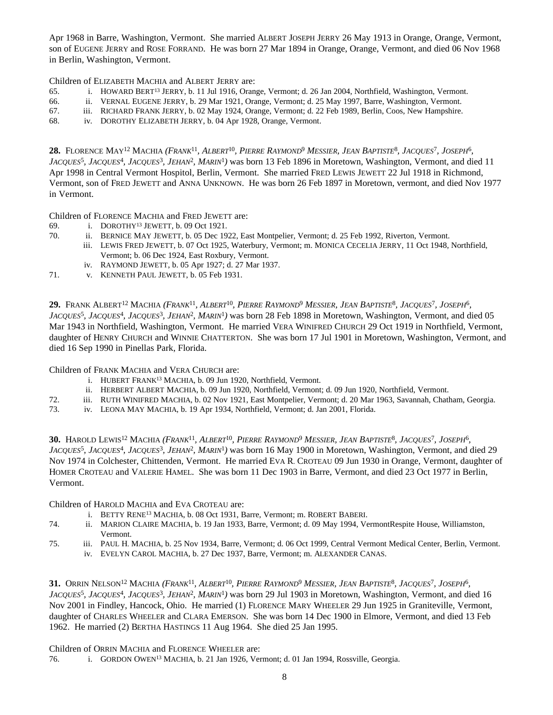Apr 1968 in Barre, Washington, Vermont. She married ALBERT JOSEPH JERRY 26 May 1913 in Orange, Orange, Vermont, son of EUGENE JERRY and ROSE FORRAND. He was born 27 Mar 1894 in Orange, Orange, Vermont, and died 06 Nov 1968 in Berlin, Washington, Vermont.

Children of ELIZABETH MACHIA and ALBERT JERRY are:

- 65. i. HOWARD BERT<sup>13</sup> JERRY, b. 11 Jul 1916, Orange, Vermont; d. 26 Jan 2004, Northfield, Washington, Vermont.
- 66. ii. VERNAL EUGENE JERRY, b. 29 Mar 1921, Orange, Vermont; d. 25 May 1997, Barre, Washington, Vermont.
- 67. iii. RICHARD FRANK JERRY, b. 02 May 1924, Orange, Vermont; d. 22 Feb 1989, Berlin, Coos, New Hampshire.
- 68. iv. DOROTHY ELIZABETH JERRY, b. 04 Apr 1928, Orange, Vermont.

**28.** Florence May<sup>12</sup> Machia (Frank<sup>11</sup>, Albert<sup>10</sup>, Pierre Raymond<sup>9</sup> Messier, Jean Baptiste<sup>8</sup>, Jacques<sup>7</sup>, Joseph<sup>6</sup>, *JACQUES*<sup>5</sup> *, JACQUES*<sup>4</sup> *, JACQUES*<sup>3</sup> *, JEHAN*<sup>2</sup> *, MARIN*<sup>1</sup> *)* was born 13 Feb 1896 in Moretown, Washington, Vermont, and died 11 Apr 1998 in Central Vermont Hospitol, Berlin, Vermont. She married FRED LEWIS JEWETT 22 Jul 1918 in Richmond, Vermont, son of FRED JEWETT and ANNA UNKNOWN. He was born 26 Feb 1897 in Moretown, vermont, and died Nov 1977 in Vermont.

Children of FLORENCE MACHIA and FRED JEWETT are:

- 69. i. DOROTHY<sup>13</sup> JEWETT, b. 09 Oct 1921.
- 70. ii. BERNICE MAY JEWETT, b. 05 Dec 1922, East Montpelier, Vermont; d. 25 Feb 1992, Riverton, Vermont.
	- iii. LEWIS FRED JEWETT, b. 07 Oct 1925, Waterbury, Vermont; m. MONICA CECELIA JERRY, 11 Oct 1948, Northfield, Vermont; b. 06 Dec 1924, East Roxbury, Vermont.
	- iv. RAYMOND JEWETT, b. 05 Apr 1927; d. 27 Mar 1937.
- 71. v. KENNETH PAUL JEWETT, b. 05 Feb 1931.

 ${\bf 29.}$  Frank Albert<sup>12</sup> Machia (*Frank*11, Albert<sup>10</sup>, Pierre Raymond<sup>9</sup> Messier, Jean Baptiste<sup>8</sup>, Jacques<sup>7</sup>, Joseph<sup>6</sup>, *JACQUES*<sup>5</sup> *, JACQUES*<sup>4</sup> *, JACQUES*<sup>3</sup> *, JEHAN*<sup>2</sup> *, MARIN*<sup>1</sup> *)* was born 28 Feb 1898 in Moretown, Washington, Vermont, and died 05 Mar 1943 in Northfield, Washington, Vermont. He married VERA WINIFRED CHURCH 29 Oct 1919 in Northfield, Vermont, daughter of HENRY CHURCH and WINNIE CHATTERTON. She was born 17 Jul 1901 in Moretown, Washington, Vermont, and died 16 Sep 1990 in Pinellas Park, Florida.

Children of FRANK MACHIA and VERA CHURCH are:

- i. HUBERT FRANK<sup>13</sup> MACHIA, b. 09 Jun 1920, Northfield, Vermont.
- ii. HERBERT ALBERT MACHIA, b. 09 Jun 1920, Northfield, Vermont; d. 09 Jun 1920, Northfield, Vermont.
- 72. iii. RUTH WINIFRED MACHIA, b. 02 Nov 1921, East Montpelier, Vermont; d. 20 Mar 1963, Savannah, Chatham, Georgia.
- 73. iv. LEONA MAY MACHIA, b. 19 Apr 1934, Northfield, Vermont; d. Jan 2001, Florida.

**30.** Harold Lewis<sup>12</sup> Machia (Frank<sup>11</sup>, Albert<sup>10</sup>, Pierre Raymond<sup>9</sup> Messier, Jean Baptiste<sup>8</sup>, Jacques<sup>7</sup>, Joseph<sup>6</sup>, *JACQUES*<sup>5</sup> *, JACQUES*<sup>4</sup> *, JACQUES*<sup>3</sup> *, JEHAN*<sup>2</sup> *, MARIN*<sup>1</sup> *)* was born 16 May 1900 in Moretown, Washington, Vermont, and died 29 Nov 1974 in Colchester, Chittenden, Vermont. He married EVA R. CROTEAU 09 Jun 1930 in Orange, Vermont, daughter of HOMER CROTEAU and VALERIE HAMEL. She was born 11 Dec 1903 in Barre, Vermont, and died 23 Oct 1977 in Berlin, Vermont.

Children of HAROLD MACHIA and EVA CROTEAU are:

- i. BETTY RENE<sup>13</sup> MACHIA, b. 08 Oct 1931, Barre, Vermont; m. ROBERT BABERI.
- 74. ii. MARION CLAIRE MACHIA, b. 19 Jan 1933, Barre, Vermont; d. 09 May 1994, VermontRespite House, Williamston, Vermont.
- 75. iii. PAUL H. MACHIA, b. 25 Nov 1934, Barre, Vermont; d. 06 Oct 1999, Central Vermont Medical Center, Berlin, Vermont. iv. EVELYN CAROL MACHIA, b. 27 Dec 1937, Barre, Vermont; m. ALEXANDER CANAS.

31. Orrin Nelson<sup>12</sup> Machia *(Frank<sup>11</sup>, Albert<sup>10</sup>, Pierre Raymond<sup>9</sup> Messier, Jean Baptiste<sup>8</sup>, Jacques<sup>7</sup>, Joseph<sup>6</sup>, JACQUES*<sup>5</sup> *, JACQUES*<sup>4</sup> *, JACQUES*<sup>3</sup> *, JEHAN*<sup>2</sup> *, MARIN*<sup>1</sup> *)* was born 29 Jul 1903 in Moretown, Washington, Vermont, and died 16 Nov 2001 in Findley, Hancock, Ohio. He married (1) FLORENCE MARY WHEELER 29 Jun 1925 in Graniteville, Vermont, daughter of CHARLES WHEELER and CLARA EMERSON. She was born 14 Dec 1900 in Elmore, Vermont, and died 13 Feb 1962. He married (2) BERTHA HASTINGS 11 Aug 1964. She died 25 Jan 1995.

Children of ORRIN MACHIA and FLORENCE WHEELER are:

76. i. GORDON OWEN<sup>13</sup> MACHIA, b. 21 Jan 1926, Vermont; d. 01 Jan 1994, Rossville, Georgia.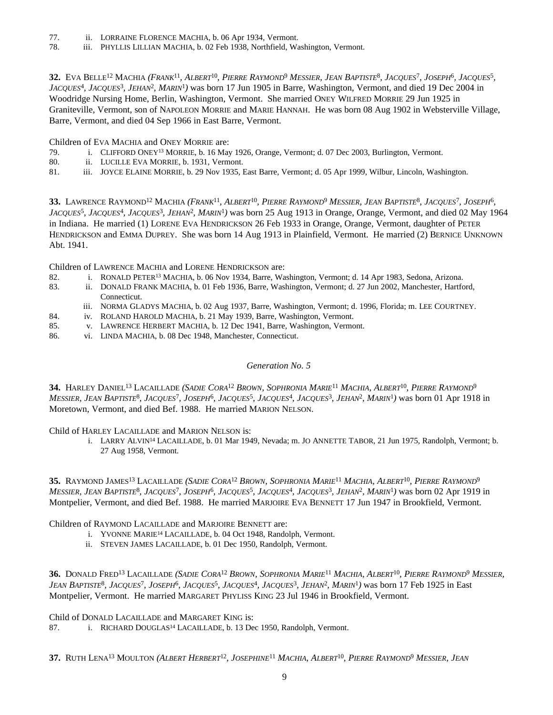- 77. ii. LORRAINE FLORENCE MACHIA, b. 06 Apr 1934, Vermont.
- 78. iii. PHYLLIS LILLIAN MACHIA, b. 02 Feb 1938, Northfield, Washington, Vermont.

32. Eva Belle<sup>12</sup> Machia (Frank<sup>11</sup>, Albert<sup>10</sup>, Pierre Raymond<sup>9</sup> Messier, Jean Baptiste<sup>8</sup>, Jacques<sup>7</sup>, Joseph<sup>6</sup>, Jacques<sup>5</sup>, *JACQUES*<sup>4</sup> *, JACQUES*<sup>3</sup> *, JEHAN*<sup>2</sup> *, MARIN*<sup>1</sup> *)* was born 17 Jun 1905 in Barre, Washington, Vermont, and died 19 Dec 2004 in Woodridge Nursing Home, Berlin, Washington, Vermont. She married ONEY WILFRED MORRIE 29 Jun 1925 in Graniteville, Vermont, son of NAPOLEON MORRIE and MARIE HANNAH. He was born 08 Aug 1902 in Websterville Village, Barre, Vermont, and died 04 Sep 1966 in East Barre, Vermont.

Children of EVA MACHIA and ONEY MORRIE are:

- 79. i. CLIFFORD ONEY<sup>13</sup> MORRIE, b. 16 May 1926, Orange, Vermont; d. 07 Dec 2003, Burlington, Vermont.
- 80. ii. LUCILLE EVA MORRIE, b. 1931, Vermont.
- 81. iii. JOYCE ELAINE MORRIE, b. 29 Nov 1935, East Barre, Vermont; d. 05 Apr 1999, Wilbur, Lincoln, Washington.

33. LAWRENCE RAYMOND<sup>12</sup> MACHIA (*Frank<sup>11</sup>, Albert<sup>10</sup>, Pierre Raymond<sup>9</sup> Messier, Jean Baptiste<sup>8</sup>, Jacques<sup>7</sup>, Joseph<sup>6</sup>, JACQUES*<sup>5</sup> *, JACQUES*<sup>4</sup> *, JACQUES*<sup>3</sup> *, JEHAN*<sup>2</sup> *, MARIN*<sup>1</sup> *)* was born 25 Aug 1913 in Orange, Orange, Vermont, and died 02 May 1964 in Indiana. He married (1) LORENE EVA HENDRICKSON 26 Feb 1933 in Orange, Orange, Vermont, daughter of PETER HENDRICKSON and EMMA DUPREY. She was born 14 Aug 1913 in Plainfield, Vermont. He married (2) BERNICE UNKNOWN Abt. 1941.

Children of LAWRENCE MACHIA and LORENE HENDRICKSON are:

- 82. i. RONALD PETER<sup>13</sup> MACHIA, b. 06 Nov 1934, Barre, Washington, Vermont; d. 14 Apr 1983, Sedona, Arizona.
- 83. ii. DONALD FRANK MACHIA, b. 01 Feb 1936, Barre, Washington, Vermont; d. 27 Jun 2002, Manchester, Hartford, Connecticut.
	- iii. NORMA GLADYS MACHIA, b. 02 Aug 1937, Barre, Washington, Vermont; d. 1996, Florida; m. LEE COURTNEY.
- 84. iv. ROLAND HAROLD MACHIA, b. 21 May 1939, Barre, Washington, Vermont.
- 85. v. LAWRENCE HERBERT MACHIA, b. 12 Dec 1941, Barre, Washington, Vermont.
- 86. vi. LINDA MACHIA, b. 08 Dec 1948, Manchester, Connecticut.

# *Generation No. 5*

34. HARLEY DANIEL<sup>13</sup> LACAILLADE (SADIE CORA<sup>12</sup> BROWN, SOPHRONIA MARIE<sup>11</sup> MACHIA, ALBERT<sup>10</sup>, PIERRE RAYMOND<sup>9</sup> MESSIER, JEAN BAPTISTE<sup>8</sup>, JACQUES<sup>7</sup>, JOSEPH<sup>6</sup>, JACQUES<sup>5</sup>, JACQUES<sup>4</sup>, JACQUES<sup>3</sup>, JEHAN<sup>2</sup>, MARIN<sup>1</sup>) was born 01 Apr 1918 in Moretown, Vermont, and died Bef. 1988. He married MARION NELSON.

Child of HARLEY LACAILLADE and MARION NELSON is:

i. LARRY ALVIN<sup>14</sup> LACAILLADE, b. 01 Mar 1949, Nevada; m. JO ANNETTE TABOR, 21 Jun 1975, Randolph, Vermont; b. 27 Aug 1958, Vermont.

35. RAYMOND JAMES<sup>13</sup> LACAILLADE (SADIE CORA<sup>12</sup> BROWN, SOPHRONIA MARIE<sup>11</sup> MACHIA, ALBERT<sup>10</sup>, PIERRE RAYMOND<sup>9</sup> MESSIER, JEAN BAPTISTE<sup>8</sup>, JACQUES<sup>7</sup>, JOSEPH<sup>6</sup>, JACQUES<sup>5</sup>, JACQUES<sup>4</sup>, JACQUES<sup>3</sup>, JEHAN<sup>2</sup>, MARIN<sup>1</sup>) was born 02 Apr 1919 in Montpelier, Vermont, and died Bef. 1988. He married MARJOIRE EVA BENNETT 17 Jun 1947 in Brookfield, Vermont.

Children of RAYMOND LACAILLADE and MARJOIRE BENNETT are:

- i. YVONNE MARIE<sup>14</sup> LACAILLADE, b. 04 Oct 1948, Randolph, Vermont.
- ii. STEVEN JAMES LACAILLADE, b. 01 Dec 1950, Randolph, Vermont.

36. Donald Fred<sup>13</sup> Lacaillade (*Sadie Cora<sup>12</sup> Brown, Sophronia Marie<sup>11</sup> Machia, Albert<sup>10</sup>, <i>Pierre Raymond<sup>9</sup> Messier*, JEAN BAPTISTE<sup>8</sup>, JACQUES<sup>7</sup>, JOSEPH<sup>6</sup>, JACQUES<sup>5</sup>, JACQUES<sup>4</sup>, JACQUES<sup>3</sup>, JEHAN<sup>2</sup>, MARIN<sup>1</sup>) was born 17 Feb 1925 in East Montpelier, Vermont. He married MARGARET PHYLISS KING 23 Jul 1946 in Brookfield, Vermont.

Child of DONALD LACAILLADE and MARGARET KING is:

87. i. RICHARD DOUGLAS<sup>14</sup> LACAILLADE, b. 13 Dec 1950, Randolph, Vermont.

37. Ruth Lena<sup>13</sup> Moulton *(Albert Herbert<sup>12</sup>, Josephine<sup>11</sup> Machia, Albert<sup>10</sup>, <i>Pierre Raymond<sup>9</sup> Messier, Jean*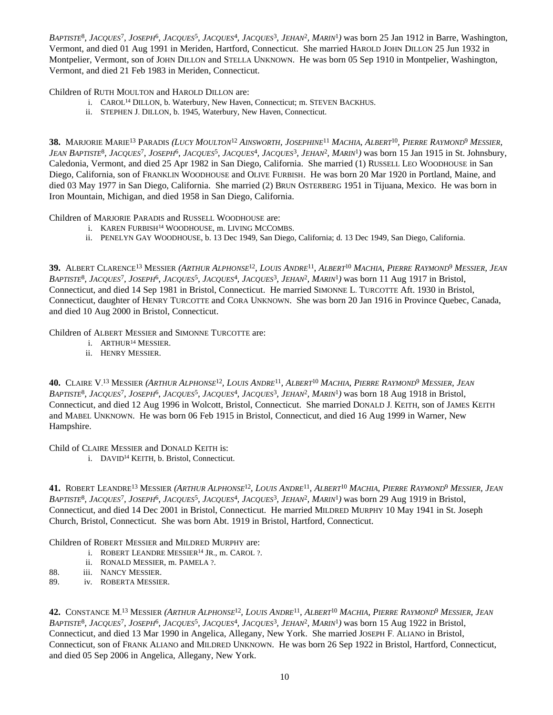BAPTISTE<sup>8</sup>, JACQUES<sup>7</sup>, JOSEPH<sup>6</sup>, JACQUES<sup>5</sup>, JACQUES<sup>4</sup>, JACQUES<sup>3</sup>, JEHAN<sup>2</sup>, MARIN<sup>1</sup>) was born 25 Jan 1912 in Barre, Washington, Vermont, and died 01 Aug 1991 in Meriden, Hartford, Connecticut. She married HAROLD JOHN DILLON 25 Jun 1932 in Montpelier, Vermont, son of JOHN DILLON and STELLA UNKNOWN. He was born 05 Sep 1910 in Montpelier, Washington, Vermont, and died 21 Feb 1983 in Meriden, Connecticut.

Children of RUTH MOULTON and HAROLD DILLON are:

- i. CAROL<sup>14</sup> DILLON, b. Waterbury, New Haven, Connecticut; m. STEVEN BACKHUS.
- ii. STEPHEN J. DILLON, b. 1945, Waterbury, New Haven, Connecticut.

**38.** Marjorie Marie<sup>13</sup> Paradis (Lucy Moulton<sup>12</sup> Ainsworth, Josephine<sup>11</sup> Machia, Albert<sup>10</sup>, Pierre Raymond<sup>9</sup> Messier, JEAN BAPTISTE<sup>8</sup>, JACQUES<sup>7</sup>, JOSEPH<sup>6</sup>, JACQUES<sup>5</sup>, JACQUES<sup>4</sup>, JACQUES<sup>3</sup>, JEHAN<sup>2</sup>, MARIN<sup>1</sup>) was born 15 Jan 1915 in St. Johnsbury, Caledonia, Vermont, and died 25 Apr 1982 in San Diego, California. She married (1) RUSSELL LEO WOODHOUSE in San Diego, California, son of FRANKLIN WOODHOUSE and OLIVE FURBISH. He was born 20 Mar 1920 in Portland, Maine, and died 03 May 1977 in San Diego, California. She married (2) BRUN OSTERBERG 1951 in Tijuana, Mexico. He was born in Iron Mountain, Michigan, and died 1958 in San Diego, California.

Children of MARJORIE PARADIS and RUSSELL WOODHOUSE are:

- i. KAREN FURBISH<sup>14</sup> WOODHOUSE, m. LIVING MCCOMBS.
- ii. PENELYN GAY WOODHOUSE, b. 13 Dec 1949, San Diego, California; d. 13 Dec 1949, San Diego, California.

39. ALBERT CLARENCE<sup>13</sup> MESSIER (A*rthur Alphonse<sup>12</sup>, Louis Andre<sup>11</sup>, Albert<sup>10</sup> Machia, Pierre Raymond<sup>9</sup> Messier, Jean* BAPTISTE<sup>8</sup>, JACQUES<sup>7</sup>, JOSEPH<sup>6</sup>, JACQUES<sup>5</sup>, JACQUES<sup>4</sup>, JACQUES<sup>3</sup>, JEHAN<sup>2</sup>, MARIN<sup>1</sup>) was born 11 Aug 1917 in Bristol, Connecticut, and died 14 Sep 1981 in Bristol, Connecticut. He married SIMONNE L. TURCOTTE Aft. 1930 in Bristol, Connecticut, daughter of HENRY TURCOTTE and CORA UNKNOWN. She was born 20 Jan 1916 in Province Quebec, Canada, and died 10 Aug 2000 in Bristol, Connecticut.

Children of ALBERT MESSIER and SIMONNE TURCOTTE are:

- i. ARTHUR<sup>14</sup> MESSIER.
- ii. HENRY MESSIER.

**40.** Claire V.<sup>13</sup> Messier *(Arthur Alphonse<sup>12</sup>, Louis Andre<sup>11</sup>, Albert<sup>10</sup> Machia, <i>Pierre Raymond<sup>9</sup> Messier, Jean* BAPTISTE<sup>8</sup>, JACQUES<sup>7</sup>, JOSEPH<sup>6</sup>, JACQUES<sup>5</sup>, JACQUES<sup>4</sup>, JACQUES<sup>3</sup>, JEHAN<sup>2</sup>, MARIN<sup>1</sup>) was born 18 Aug 1918 in Bristol, Connecticut, and died 12 Aug 1996 in Wolcott, Bristol, Connecticut. She married DONALD J. KEITH, son of JAMES KEITH and MABEL UNKNOWN. He was born 06 Feb 1915 in Bristol, Connecticut, and died 16 Aug 1999 in Warner, New Hampshire.

Child of CLAIRE MESSIER and DONALD KEITH is:

i. DAVID<sup>14</sup> KEITH, b. Bristol, Connecticut.

**41.** Robert Leandre<sup>13</sup> Messier *(Arthur Alphonse<sup>12</sup>, Louis Andre<sup>11</sup>, Albert<sup>10</sup> Machia, Pierre Raymond<sup>9</sup> Messier, Jean* BAPTISTE<sup>8</sup>, JACQUES<sup>7</sup>, JOSEPH<sup>6</sup>, JACQUES<sup>5</sup>, JACQUES<sup>4</sup>, JACQUES<sup>3</sup>, JEHAN<sup>2</sup>, MARIN<sup>1</sup>) was born 29 Aug 1919 in Bristol, Connecticut, and died 14 Dec 2001 in Bristol, Connecticut. He married MILDRED MURPHY 10 May 1941 in St. Joseph Church, Bristol, Connecticut. She was born Abt. 1919 in Bristol, Hartford, Connecticut.

Children of ROBERT MESSIER and MILDRED MURPHY are:

- i. ROBERT LEANDRE MESSIER<sup>14</sup> JR., m. CAROL ?.
- ii. RONALD MESSIER, m. PAMELA ?.
- 88. iii. NANCY MESSIER.
- 89. iv. ROBERTA MESSIER.

**42.** Constance M.<sup>13</sup> Messier *(Arthur Alphonse<sup>12</sup>, Louis Andre<sup>11</sup>, Albert<sup>10</sup> Machia, Pierre Raymond<sup>9</sup> Messier, Jean* BAPTISTE<sup>8</sup>, JACQUES<sup>7</sup>, JOSEPH<sup>6</sup>, JACQUES<sup>5</sup>, JACQUES<sup>4</sup>, JACQUES<sup>3</sup>, JEHAN<sup>2</sup>, MARIN<sup>1</sup>) was born 15 Aug 1922 in Bristol, Connecticut, and died 13 Mar 1990 in Angelica, Allegany, New York. She married JOSEPH F. ALIANO in Bristol, Connecticut, son of FRANK ALIANO and MILDRED UNKNOWN. He was born 26 Sep 1922 in Bristol, Hartford, Connecticut, and died 05 Sep 2006 in Angelica, Allegany, New York.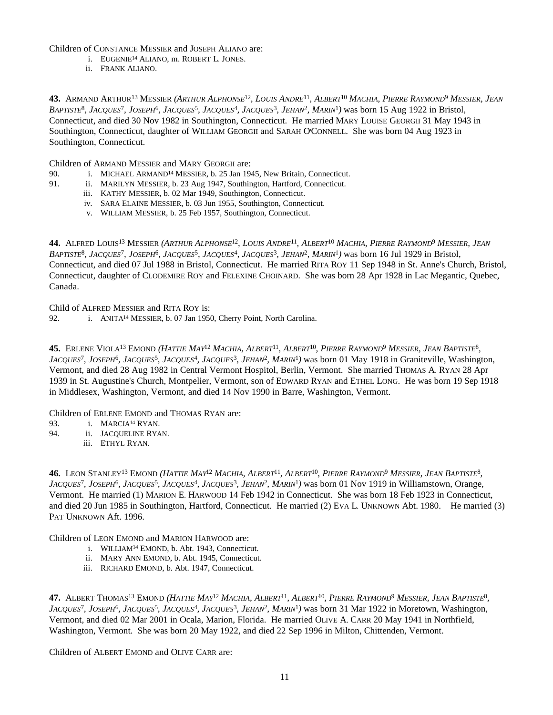Children of CONSTANCE MESSIER and JOSEPH ALIANO are:

- i. EUGENIE<sup>14</sup> ALIANO, m. ROBERT L. JONES.
- ii. FRANK ALIANO.

**43.** Armand Arthur<sup>13</sup> Messier *(Arthur Alphonse<sup>12</sup>, Louis Andre<sup>11</sup>, Albert<sup>10</sup> Machia, Pierre Raymond<sup>9</sup> Messier, Jean* BAPTISTE<sup>8</sup>, JACQUES<sup>7</sup>, JOSEPH<sup>6</sup>, JACQUES<sup>5</sup>, JACQUES<sup>4</sup>, JACQUES<sup>3</sup>, JEHAN<sup>2</sup>, MARIN<sup>1</sup>) was born 15 Aug 1922 in Bristol, Connecticut, and died 30 Nov 1982 in Southington, Connecticut. He married MARY LOUISE GEORGII 31 May 1943 in Southington, Connecticut, daughter of WILLIAM GEORGII and SARAH O'CONNELL. She was born 04 Aug 1923 in Southington, Connecticut.

Children of ARMAND MESSIER and MARY GEORGII are:

- 90. i. MICHAEL ARMAND<sup>14</sup> MESSIER, b. 25 Jan 1945, New Britain, Connecticut.
- 91. ii. MARILYN MESSIER, b. 23 Aug 1947, Southington, Hartford, Connecticut.
	- iii. KATHY MESSIER, b. 02 Mar 1949, Southington, Connecticut.
	- iv. SARA ELAINE MESSIER, b. 03 Jun 1955, Southington, Connecticut.
	- v. WILLIAM MESSIER, b. 25 Feb 1957, Southington, Connecticut.

**44.** Alfred Louis<sup>13</sup> Messier *(Arthur Alphonse<sup>12</sup>, Louis Andre<sup>11</sup>, Albert<sup>10</sup> Machia, <i>Pierre Raymond<sup>9</sup> Messier, Jean* BAPTISTE<sup>8</sup>, JACQUES<sup>7</sup>, JOSEPH<sup>6</sup>, JACQUES<sup>5</sup>, JACQUES<sup>4</sup>, JACQUES<sup>3</sup>, JEHAN<sup>2</sup>, MARIN<sup>1</sup>) was born 16 Jul 1929 in Bristol, Connecticut, and died 07 Jul 1988 in Bristol, Connecticut. He married RITA ROY 11 Sep 1948 in St. Anne's Church, Bristol, Connecticut, daughter of CLODEMIRE ROY and FELEXINE CHOINARD. She was born 28 Apr 1928 in Lac Megantic, Quebec, Canada.

Child of ALFRED MESSIER and RITA ROY is:

92. i. ANITA<sup>14</sup> MESSIER, b. 07 Jan 1950, Cherry Point, North Carolina.

45. ERLENE VIOLA<sup>13</sup> EMOND *(HATTIE MAY<sup>12</sup> MACHIA, ALBERT<sup>11</sup>, ALBERT<sup>10</sup>, PIERRE RAYMOND<sup>9</sup> MESSIER, JEAN BAPTISTE<sup>8</sup>,* JACQUES<sup>7</sup>, JOSEPH<sup>6</sup>, JACQUES<sup>5</sup>, JACQUES<sup>4</sup>, JACQUES<sup>3</sup>, JEHAN<sup>2</sup>, MARIN<sup>1</sup>) was born 01 May 1918 in Graniteville, Washington, Vermont, and died 28 Aug 1982 in Central Vermont Hospitol, Berlin, Vermont. She married THOMAS A. RYAN 28 Apr 1939 in St. Augustine's Church, Montpelier, Vermont, son of EDWARD RYAN and ETHEL LONG. He was born 19 Sep 1918 in Middlesex, Washington, Vermont, and died 14 Nov 1990 in Barre, Washington, Vermont.

Children of ERLENE EMOND and THOMAS RYAN are:

93. **i.** MARCIA<sup>14</sup> RYAN.

- 94. ii. JACQUELINE RYAN.
	- iii. ETHYL RYAN.

**46.** Leon Stanley<sup>13</sup> Emond *(Hattie May<sup>12</sup> Machia, Albert<sup>11</sup>, Albert<sup>10</sup>, Pierre Raymond<sup>9</sup> Messier, Jean Baptiste<sup>8</sup>, JACQUES*<sup>7</sup> *, JOSEPH*<sup>6</sup> *, JACQUES*<sup>5</sup> *, JACQUES*<sup>4</sup> *, JACQUES*<sup>3</sup> *, JEHAN*<sup>2</sup> *, MARIN*<sup>1</sup> *)* was born 01 Nov 1919 in Williamstown, Orange, Vermont. He married (1) MARION E. HARWOOD 14 Feb 1942 in Connecticut. She was born 18 Feb 1923 in Connecticut, and died 20 Jun 1985 in Southington, Hartford, Connecticut. He married (2) EVA L. UNKNOWN Abt. 1980. He married (3) PAT UNKNOWN Aft. 1996.

Children of LEON EMOND and MARION HARWOOD are:

- i. WILLIAM<sup>14</sup> EMOND, b. Abt. 1943, Connecticut.
- ii. MARY ANN EMOND, b. Abt. 1945, Connecticut.
- iii. RICHARD EMOND, b. Abt. 1947, Connecticut.

47. ALBERT THOMAS<sup>13</sup> EMOND *(HATTIE MAY<sup>12</sup> MACHIA, ALBERT<sup>11</sup>, ALBERT<sup>10</sup>, <i>PIERRE RAYMOND<sup>9</sup> MESSIER, JEAN BAPTISTE<sup>8</sup>, JACQUES*<sup>7</sup> *, JOSEPH*<sup>6</sup> *, JACQUES*<sup>5</sup> *, JACQUES*<sup>4</sup> *, JACQUES*<sup>3</sup> *, JEHAN*<sup>2</sup> *, MARIN*<sup>1</sup> *)* was born 31 Mar 1922 in Moretown, Washington, Vermont, and died 02 Mar 2001 in Ocala, Marion, Florida. He married OLIVE A. CARR 20 May 1941 in Northfield, Washington, Vermont. She was born 20 May 1922, and died 22 Sep 1996 in Milton, Chittenden, Vermont.

Children of ALBERT EMOND and OLIVE CARR are: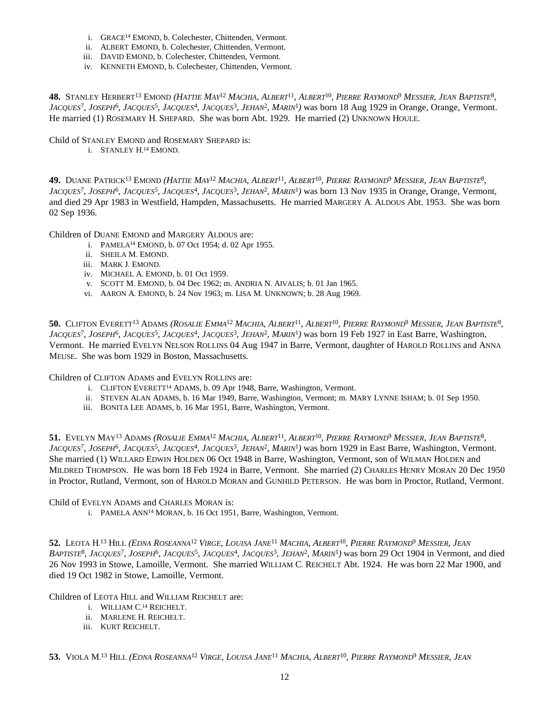- i. GRACE<sup>14</sup> EMOND, b. Colechester, Chittenden, Vermont.
- ii. ALBERT EMOND, b. Colechester, Chittenden, Vermont.
- iii. DAVID EMOND, b. Colechester, Chittenden, Vermont.
- iv. KENNETH EMOND, b. Colechester, Chittenden, Vermont.

**48.** Stanley Herbert<sup>13</sup> Emond *(Hattie May<sup>12</sup> Machia, Albert<sup>11</sup>, Albert<sup>10</sup>, <i>Pierre Raymond<sup>9</sup> Messier, Jean Baptiste*<sup>8</sup>, JACQUES<sup>7</sup>, JOSEPH<sup>6</sup>, JACQUES<sup>5</sup>, JACQUES<sup>4</sup>, JACQUES<sup>3</sup>, JEHAN<sup>2</sup>, MARIN<sup>1</sup>) was born 18 Aug 1929 in Orange, Orange, Vermont. He married (1) ROSEMARY H. SHEPARD. She was born Abt. 1929. He married (2) UNKNOWN HOULE.

Child of STANLEY EMOND and ROSEMARY SHEPARD is:

i. STANLEY H. <sup>14</sup> EMOND.

49. Duane Patrick<sup>13</sup> Emond *(Hattie May<sup>12</sup> Machia, Albert<sup>11</sup>, Albert<sup>10</sup>, <i>Pierre Raymond<sup>9</sup> Messier, Jean Baptiste<sup>8</sup>,* JACQUES<sup>7</sup>, JOSEPH<sup>6</sup>, JACQUES<sup>5</sup>, JACQUES<sup>4</sup>, JACQUES<sup>3</sup>, JEHAN<sup>2</sup>, MARIN<sup>1</sup>) was born 13 Nov 1935 in Orange, Orange, Vermont, and died 29 Apr 1983 in Westfield, Hampden, Massachusetts. He married MARGERY A. ALDOUS Abt. 1953. She was born 02 Sep 1936.

Children of DUANE EMOND and MARGERY ALDOUS are:

- i. PAMELA<sup>14</sup> EMOND, b. 07 Oct 1954; d. 02 Apr 1955.
- ii. SHEILA M. EMOND.
- iii. MARK J. EMOND.
- iv. MICHAEL A. EMOND, b. 01 Oct 1959.
- v. SCOTT M. EMOND, b. 04 Dec 1962; m. ANDRIA N. AIVALIS; b. 01 Jan 1965.
- vi. AARON A. EMOND, b. 24 Nov 1963; m. LISA M. UNKNOWN; b. 28 Aug 1969.

50. Clifton Everett<sup>13</sup> Adams (*Rosalie Emma<sup>12</sup> Machia, Albert<sup>11</sup>, Albert<sup>10</sup>, Pierre Raymond<sup>9</sup> Messier, Jean Baptiste<sup>8</sup>, JACQUES*<sup>7</sup> *, JOSEPH*<sup>6</sup> *, JACQUES*<sup>5</sup> *, JACQUES*<sup>4</sup> *, JACQUES*<sup>3</sup> *, JEHAN*<sup>2</sup> *, MARIN*<sup>1</sup> *)* was born 19 Feb 1927 in East Barre, Washington, Vermont. He married EVELYN NELSON ROLLINS 04 Aug 1947 in Barre, Vermont, daughter of HAROLD ROLLINS and ANNA MEUSE. She was born 1929 in Boston, Massachusetts.

Children of CLIFTON ADAMS and EVELYN ROLLINS are:

- i. CLIFTON EVERETT<sup>14</sup> ADAMS, b. 09 Apr 1948, Barre, Washington, Vermont.
- ii. STEVEN ALAN ADAMS, b. 16 Mar 1949, Barre, Washington, Vermont; m. MARY LYNNE ISHAM; b. 01 Sep 1950.
- iii. BONITA LEE ADAMS, b. 16 Mar 1951, Barre, Washington, Vermont.

51. Evelyn May<sup>13</sup> Adams *(Rosalie Emma<sup>12</sup> Machia, Albert<sup>11</sup>, Albert<sup>10</sup>, <i>Pierre Raymond<sup>9</sup> Messier, Jean Baptiste<sup>8</sup>,* JACQUES<sup>7</sup>, JOSEPH<sup>6</sup>, JACQUES<sup>5</sup>, JACQUES<sup>4</sup>, JACQUES<sup>3</sup>, JEHAN<sup>2</sup>, MARIN<sup>1</sup>) was born 1929 in East Barre, Washington, Vermont. She married (1) WILLARD EDWIN HOLDEN 06 Oct 1948 in Barre, Washington, Vermont, son of WILMAN HOLDEN and MILDRED THOMPSON. He was born 18 Feb 1924 in Barre, Vermont. She married (2) CHARLES HENRY MORAN 20 Dec 1950 in Proctor, Rutland, Vermont, son of HAROLD MORAN and GUNHILD PETERSON. He was born in Proctor, Rutland, Vermont.

Child of EVELYN ADAMS and CHARLES MORAN is:

i. PAMELA ANN<sup>14</sup> MORAN, b. 16 Oct 1951, Barre, Washington, Vermont.

52. LEOTA H.<sup>13</sup> Hill *(EDNA ROSEANNA<sup>12</sup> VIRGE, LOUISA JANE<sup>11</sup> MACHIA, ALBERT<sup>10</sup>, PIERRE RAYMOND<sup>9</sup> MESSIER, JEAN* BAPTISTE<sup>8</sup>, JACQUES<sup>7</sup>, JOSEPH<sup>6</sup>, JACQUES<sup>5</sup>, JACQUES<sup>4</sup>, JACQUES<sup>3</sup>, JEHAN<sup>2</sup>, MARIN<sup>1</sup>) was born 29 Oct 1904 in Vermont, and died 26 Nov 1993 in Stowe, Lamoille, Vermont. She married WILLIAM C. REICHELT Abt. 1924. He was born 22 Mar 1900, and died 19 Oct 1982 in Stowe, Lamoille, Vermont.

Children of LEOTA HILL and WILLIAM REICHELT are:

- i. WILLIAM C. <sup>14</sup> REICHELT.
- ii. MARLENE H. REICHELT.
- iii. KURT REICHELT.

53. Viola M.<sup>13</sup> Hill *(Edna Roseanna<sup>12</sup> Virge, Louisa Jane<sup>11</sup> Machia, Albert<sup>10</sup>, Pierre Raymond<sup>9</sup> Messier, Jean*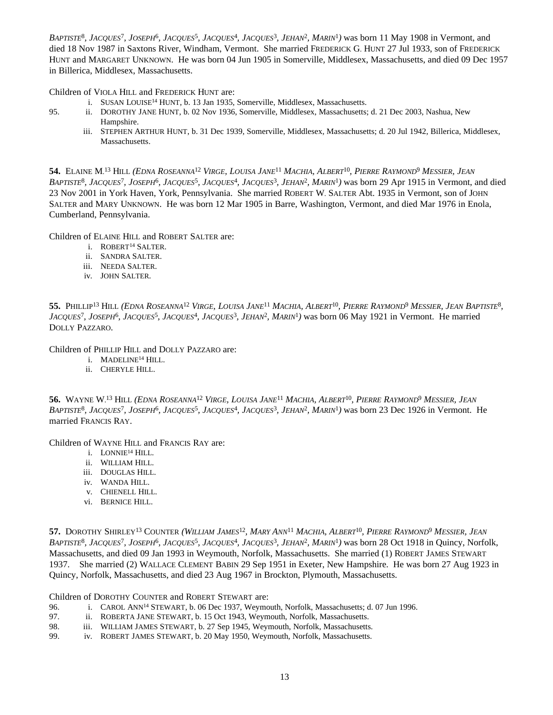BAPTISTE<sup>8</sup>, JACQUES<sup>7</sup>, JOSEPH<sup>6</sup>, JACQUES<sup>5</sup>, JACQUES<sup>4</sup>, JACQUES<sup>3</sup>, JEHAN<sup>2</sup>, MARIN<sup>1</sup>) was born 11 May 1908 in Vermont, and died 18 Nov 1987 in Saxtons River, Windham, Vermont. She married FREDERICK G. HUNT 27 Jul 1933, son of FREDERICK HUNT and MARGARET UNKNOWN. He was born 04 Jun 1905 in Somerville, Middlesex, Massachusetts, and died 09 Dec 1957 in Billerica, Middlesex, Massachusetts.

Children of VIOLA HILL and FREDERICK HUNT are:

- i. SUSAN LOUISE<sup>14</sup> HUNT, b. 13 Jan 1935, Somerville, Middlesex, Massachusetts.
- 95. ii. DOROTHY JANE HUNT, b. 02 Nov 1936, Somerville, Middlesex, Massachusetts; d. 21 Dec 2003, Nashua, New Hampshire.
	- iii. STEPHEN ARTHUR HUNT, b. 31 Dec 1939, Somerville, Middlesex, Massachusetts; d. 20 Jul 1942, Billerica, Middlesex, Massachusetts.

**54.** Elaine M.<sup>13</sup> Hill *(Edna Roseanna<sup>12</sup> Virge, Louisa Jane<sup>11</sup> Machia, Albert<sup>10</sup>, Pierre Raymond<sup>9</sup> Messier, Jean* BAPTISTE<sup>8</sup>, JACQUES<sup>7</sup>, JOSEPH<sup>6</sup>, JACQUES<sup>5</sup>, JACQUES<sup>4</sup>, JACQUES<sup>3</sup>, JEHAN<sup>2</sup>, MARIN<sup>1</sup>) was born 29 Apr 1915 in Vermont, and died 23 Nov 2001 in York Haven, York, Pennsylvania. She married ROBERT W. SALTER Abt. 1935 in Vermont, son of JOHN SALTER and MARY UNKNOWN. He was born 12 Mar 1905 in Barre, Washington, Vermont, and died Mar 1976 in Enola, Cumberland, Pennsylvania.

Children of ELAINE HILL and ROBERT SALTER are:

- i. ROBERT<sup>14</sup> SALTER.
- ii. SANDRA SALTER.
- iii. NEEDA SALTER.
- iv. JOHN SALTER.

55. Phillip<sup>13</sup> Hill (Edna Roseanna<sup>12</sup> Virge, Louisa Jane<sup>11</sup> Machia, Albert<sup>10</sup>, Pierre Raymond<sup>9</sup> Messier, Jean Baptiste<sup>8</sup>, *JACQUES*<sup>7</sup> *, JOSEPH*<sup>6</sup> *, JACQUES*<sup>5</sup> *, JACQUES*<sup>4</sup> *, JACQUES*<sup>3</sup> *, JEHAN*<sup>2</sup> *, MARIN*<sup>1</sup> *)* was born 06 May 1921 in Vermont. He married DOLLY PAZZARO.

Children of PHILLIP HILL and DOLLY PAZZARO are:

- i. MADELINE<sup>14</sup> HILL.
- ii. CHERYLE HILL.

56. WAYNE W.<sup>13</sup> Hill *(Edna Roseanna<sup>12</sup> Virge, Louisa Jane<sup>11</sup> Machia, Albert<sup>10</sup>, Pierre Raymond<sup>9</sup> Messier, Jean* BAPTISTE<sup>8</sup>, JACQUES<sup>7</sup>, JOSEPH<sup>6</sup>, JACQUES<sup>5</sup>, JACQUES<sup>4</sup>, JACQUES<sup>3</sup>, JEHAN<sup>2</sup>, MARIN<sup>1</sup>) was born 23 Dec 1926 in Vermont. He married FRANCIS RAY.

Children of WAYNE HILL and FRANCIS RAY are:

- i. LONNIE<sup>14</sup> HILL.
- ii. WILLIAM HILL.
- iii. DOUGLAS HILL.
- iv. WANDA HILL.
- v. CHIENELL HILL.
- vi. BERNICE HILL.

57. Dorothy Shirley<sup>13</sup> Counter (William James<sup>12</sup>, Mary Ann<sup>11</sup> Machia, Albert<sup>10</sup>, Pierre Raymond<sup>9</sup> Messier, Jean BAPTISTE<sup>8</sup>, JACQUES<sup>7</sup>, JOSEPH<sup>6</sup>, JACQUES<sup>5</sup>, JACQUES<sup>4</sup>, JACQUES<sup>3</sup>, JEHAN<sup>2</sup>, MARIN<sup>1</sup>) was born 28 Oct 1918 in Quincy, Norfolk, Massachusetts, and died 09 Jan 1993 in Weymouth, Norfolk, Massachusetts. She married (1) ROBERT JAMES STEWART 1937. She married (2) WALLACE CLEMENT BABIN 29 Sep 1951 in Exeter, New Hampshire. He was born 27 Aug 1923 in Quincy, Norfolk, Massachusetts, and died 23 Aug 1967 in Brockton, Plymouth, Massachusetts.

Children of DOROTHY COUNTER and ROBERT STEWART are:

- 96. i. CAROL ANN<sup>14</sup> STEWART, b. 06 Dec 1937, Weymouth, Norfolk, Massachusetts; d. 07 Jun 1996.
- 97. ii. ROBERTA JANE STEWART, b. 15 Oct 1943, Weymouth, Norfolk, Massachusetts.
- 98. iii. WILLIAM JAMES STEWART, b. 27 Sep 1945, Weymouth, Norfolk, Massachusetts.
- 99. iv. ROBERT JAMES STEWART, b. 20 May 1950, Weymouth, Norfolk, Massachusetts.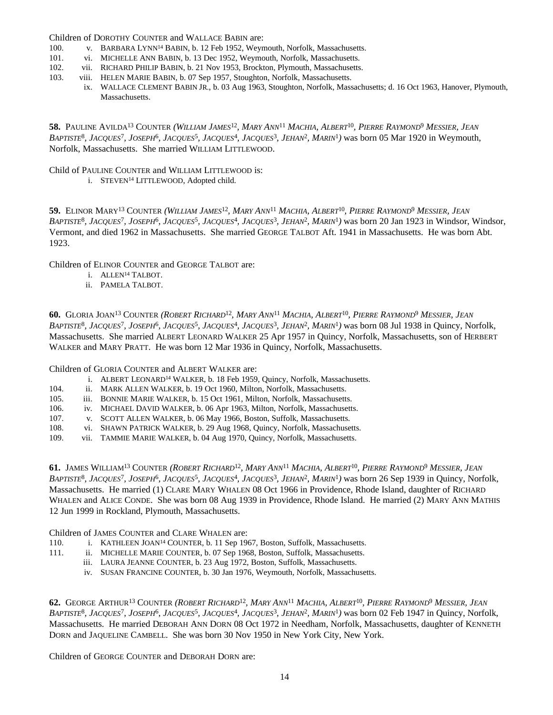Children of DOROTHY COUNTER and WALLACE BABIN are:

- 100. v. BARBARA LYNN<sup>14</sup> BABIN, b. 12 Feb 1952, Weymouth, Norfolk, Massachusetts.
- 101. vi. MICHELLE ANN BABIN, b. 13 Dec 1952, Weymouth, Norfolk, Massachusetts.
- 102. vii. RICHARD PHILIP BABIN, b. 21 Nov 1953, Brockton, Plymouth, Massachusetts.
- 103. viii. HELEN MARIE BABIN, b. 07 Sep 1957, Stoughton, Norfolk, Massachusetts.
	- ix. WALLACE CLEMENT BABIN JR., b. 03 Aug 1963, Stoughton, Norfolk, Massachusetts; d. 16 Oct 1963, Hanover, Plymouth, Massachusetts.

**58.** PAULINE AVILDA<sup>13</sup> COUNTER (WILLIAM JAMES<sup>12</sup>, MARY ANN<sup>11</sup> MACHIA, ALBERT<sup>10</sup>, PIERRE RAYMOND<sup>9</sup> MESSIER, JEAN BAPTISTE<sup>8</sup>, JACQUES<sup>7</sup>, JOSEPH<sup>6</sup>, JACQUES<sup>5</sup>, JACQUES<sup>4</sup>, JACQUES<sup>3</sup>, JEHAN<sup>2</sup>, MARIN<sup>1</sup>) was born 05 Mar 1920 in Weymouth, Norfolk, Massachusetts. She married WILLIAM LITTLEWOOD.

Child of PAULINE COUNTER and WILLIAM LITTLEWOOD is:

i. STEVEN<sup>14</sup> LITTLEWOOD, Adopted child.

59. Elinor Mary<sup>13</sup> Counter *(William James<sup>12</sup>, Mary Ann<sup>11</sup> Machia, Albert<sup>10</sup>, <i>Pierre Raymond<sup>9</sup> Messier, Jean* BAPTISTE<sup>8</sup>, JACQUES<sup>7</sup>, JOSEPH<sup>6</sup>, JACQUES<sup>5</sup>, JACQUES<sup>4</sup>, JACQUES<sup>3</sup>, JEHAN<sup>2</sup>, MARIN<sup>1</sup>) was born 20 Jan 1923 in Windsor, Windsor, Vermont, and died 1962 in Massachusetts. She married GEORGE TALBOT Aft. 1941 in Massachusetts. He was born Abt. 1923.

Children of ELINOR COUNTER and GEORGE TALBOT are:

- i. ALLEN<sup>14</sup> TALBOT.
- ii. PAMELA TALBOT.

**60.** Gloria Joan<sup>13</sup> Counter (Robert Richard<sup>12</sup>, Mary Ann<sup>11</sup> Machia, Albert<sup>10</sup>, Pierre Raymond<sup>9</sup> Messier, Jean BAPTISTE<sup>8</sup>, JACQUES<sup>7</sup>, JOSEPH<sup>6</sup>, JACQUES<sup>5</sup>, JACQUES<sup>4</sup>, JACQUES<sup>3</sup>, JEHAN<sup>2</sup>, MARIN<sup>1</sup>) was born 08 Jul 1938 in Quincy, Norfolk, Massachusetts. She married ALBERT LEONARD WALKER 25 Apr 1957 in Quincy, Norfolk, Massachusetts, son of HERBERT WALKER and MARY PRATT. He was born 12 Mar 1936 in Quincy, Norfolk, Massachusetts.

Children of GLORIA COUNTER and ALBERT WALKER are:

- i. ALBERT LEONARD<sup>14</sup> WALKER, b. 18 Feb 1959, Quincy, Norfolk, Massachusetts.
- 104. ii. MARK ALLEN WALKER, b. 19 Oct 1960, Milton, Norfolk, Massachusetts.
- 105. iii. BONNIE MARIE WALKER, b. 15 Oct 1961, Milton, Norfolk, Massachusetts.
- 106. iv. MICHAEL DAVID WALKER, b. 06 Apr 1963, Milton, Norfolk, Massachusetts.
- 107. v. SCOTT ALLEN WALKER, b. 06 May 1966, Boston, Suffolk, Massachusetts.
- 108. vi. SHAWN PATRICK WALKER, b. 29 Aug 1968, Quincy, Norfolk, Massachusetts.
- 109. vii. TAMMIE MARIE WALKER, b. 04 Aug 1970, Quincy, Norfolk, Massachusetts.

**61.** JAMES WILLIAM<sup>13</sup> COUNTER (ROBERT RICHARD<sup>12</sup>, MARY ANN<sup>11</sup> MACHIA, ALBERT<sup>10</sup>, PIERRE RAYMOND<sup>9</sup> MESSIER, JEAN BAPTISTE<sup>8</sup>, JACQUES<sup>7</sup>, JOSEPH<sup>6</sup>, JACQUES<sup>5</sup>, JACQUES<sup>4</sup>, JACQUES<sup>3</sup>, JEHAN<sup>2</sup>, MARIN<sup>1</sup>) was born 26 Sep 1939 in Quincy, Norfolk, Massachusetts. He married (1) CLARE MARY WHALEN 08 Oct 1966 in Providence, Rhode Island, daughter of RICHARD WHALEN and ALICE CONDE. She was born 08 Aug 1939 in Providence, Rhode Island. He married (2) MARY ANN MATHIS 12 Jun 1999 in Rockland, Plymouth, Massachusetts.

Children of JAMES COUNTER and CLARE WHALEN are:

- 110. i. KATHLEEN JOAN<sup>14</sup> COUNTER, b. 11 Sep 1967, Boston, Suffolk, Massachusetts.
- 111. ii. MICHELLE MARIE COUNTER, b. 07 Sep 1968, Boston, Suffolk, Massachusetts.
	- iii. LAURA JEANNE COUNTER, b. 23 Aug 1972, Boston, Suffolk, Massachusetts.
		- iv. SUSAN FRANCINE COUNTER, b. 30 Jan 1976, Weymouth, Norfolk, Massachusetts.

**62.** George Arthur<sup>13</sup> Counter (Robert Richard<sup>12</sup>, Mary Ann<sup>11</sup> Machia, Albert<sup>10</sup>, Pierre Raymond<sup>9</sup> Messier, Jean BAPTISTE<sup>8</sup>, JACQUES<sup>7</sup>, JOSEPH<sup>6</sup>, JACQUES<sup>5</sup>, JACQUES<sup>4</sup>, JACQUES<sup>3</sup>, JEHAN<sup>2</sup>, MARIN<sup>1</sup>) was born 02 Feb 1947 in Quincy, Norfolk, Massachusetts. He married DEBORAH ANN DORN 08 Oct 1972 in Needham, Norfolk, Massachusetts, daughter of KENNETH DORN and JAQUELINE CAMBELL. She was born 30 Nov 1950 in New York City, New York.

Children of GEORGE COUNTER and DEBORAH DORN are: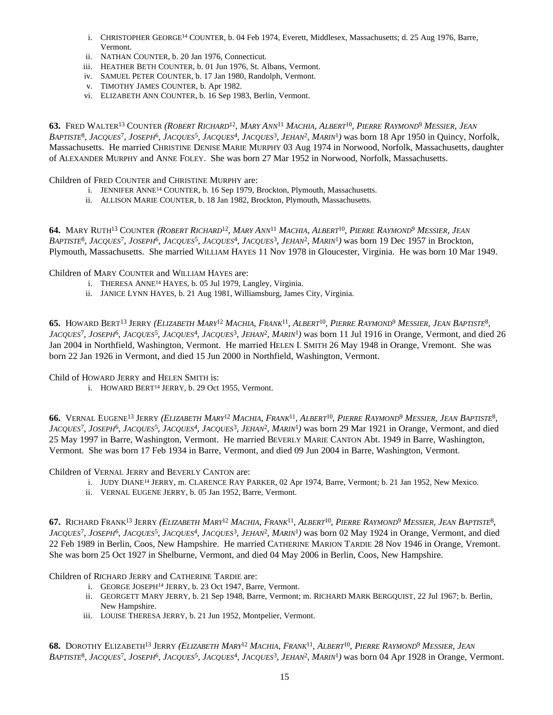- i. CHRISTOPHER GEORGE<sup>14</sup> COUNTER, b. 04 Feb 1974, Everett, Middlesex, Massachusetts; d. 25 Aug 1976, Barre, Vermont.
- ii. NATHAN COUNTER, b. 20 Jan 1976, Connecticut.
- iii. HEATHER BETH COUNTER, b. 01 Jun 1976, St. Albans, Vermont.
- iv. SAMUEL PETER COUNTER, b. 17 Jan 1980, Randolph, Vermont.
- v. TIMOTHY JAMES COUNTER, b. Apr 1982.
- vi. ELIZABETH ANN COUNTER, b. 16 Sep 1983, Berlin, Vermont.

63. Fred Walter<sup>13</sup> Counter (Robert Richard<sup>12</sup>, Mary Ann<sup>11</sup> Machia, Albert<sup>10</sup>, Pierre Raymond<sup>9</sup> Messier, Jean BAPTISTE<sup>8</sup>, JACQUES<sup>7</sup>, JOSEPH<sup>6</sup>, JACQUES<sup>5</sup>, JACQUES<sup>4</sup>, JACQUES<sup>3</sup>, JEHAN<sup>2</sup>, MARIN<sup>1</sup>) was born 18 Apr 1950 in Quincy, Norfolk, Massachusetts. He married CHRISTINE DENISE MARIE MURPHY 03 Aug 1974 in Norwood, Norfolk, Massachusetts, daughter of ALEXANDER MURPHY and ANNE FOLEY. She was born 27 Mar 1952 in Norwood, Norfolk, Massachusetts.

Children of FRED COUNTER and CHRISTINE MURPHY are:

- i. JENNIFER ANNE<sup>14</sup> COUNTER, b. 16 Sep 1979, Brockton, Plymouth, Massachusetts.
- ii. ALLISON MARIE COUNTER, b. 18 Jan 1982, Brockton, Plymouth, Massachusetts.

64. MARY RUTH<sup>13</sup> COUNTER (*ROBERT RICHARD<sup>12</sup>, MARY ANN<sup>11</sup> MACHIA, ALBERT<sup>10</sup>, PIERRE RAYMOND<sup>9</sup> MESSIER, JEAN* BAPTISTE<sup>8</sup>, JACQUES<sup>7</sup>, JOSEPH<sup>6</sup>, JACQUES<sup>5</sup>, JACQUES<sup>4</sup>, JACQUES<sup>3</sup>, JEHAN<sup>2</sup>, MARIN<sup>1</sup>) was born 19 Dec 1957 in Brockton, Plymouth, Massachusetts. She married WILLIAM HAYES 11 Nov 1978 in Gloucester, Virginia. He was born 10 Mar 1949.

Children of MARY COUNTER and WILLIAM HAYES are:

- i. THERESA ANNE<sup>14</sup> HAYES, b. 05 Jul 1979, Langley, Virginia.
- ii. JANICE LYNN HAYES, b. 21 Aug 1981, Williamsburg, James City, Virginia.

**65.** Howard Bert<sup>13</sup> Jerry *(Elizabeth Mary<sup>12</sup> Machia, Frank<sup>11</sup>, Albert<sup>10</sup>, Pierre Raymond<sup>9</sup> Messier, Jean Baptiste<sup>8</sup>,* JACQUES<sup>7</sup>, JOSEPH<sup>6</sup>, JACQUES<sup>5</sup>, JACQUES<sup>4</sup>, JACQUES<sup>3</sup>, JEHAN<sup>2</sup>, MARIN<sup>1</sup>) was born 11 Jul 1916 in Orange, Vermont, and died 26 Jan 2004 in Northfield, Washington, Vermont. He married HELEN I. SMITH 26 May 1948 in Orange, Vremont. She was born 22 Jan 1926 in Vermont, and died 15 Jun 2000 in Northfield, Washington, Vermont.

Child of HOWARD JERRY and HELEN SMITH is:

i. HOWARD BERT<sup>14</sup> JERRY, b. 29 Oct 1955, Vermont.

**66.** Vernal Eugene<sup>13</sup> Jerry *(Elizabeth Mary<sup>12</sup> Machia, Frank<sup>11</sup>, Albert<sup>10</sup>, <i>Pierre Raymond<sup>9</sup> Messier, Jean Baptiste<sup>8</sup>,* JACQUES<sup>7</sup>, JOSEPH<sup>6</sup>, JACQUES<sup>5</sup>, JACQUES<sup>4</sup>, JACQUES<sup>3</sup>, JEHAN<sup>2</sup>, MARIN<sup>1</sup>) was born 29 Mar 1921 in Orange, Vermont, and died 25 May 1997 in Barre, Washington, Vermont. He married BEVERLY MARIE CANTON Abt. 1949 in Barre, Washington, Vermont. She was born 17 Feb 1934 in Barre, Vermont, and died 09 Jun 2004 in Barre, Washington, Vermont.

Children of VERNAL JERRY and BEVERLY CANTON are:

- i. JUDY DIANE<sup>14</sup> JERRY, m. CLARENCE RAY PARKER, 02 Apr 1974, Barre, Vermont; b. 21 Jan 1952, New Mexico.
- ii. VERNAL EUGENE JERRY, b. 05 Jan 1952, Barre, Vermont.

**67.** Richard Frank<sup>13</sup> Jerry *(Elizabeth Mary<sup>12</sup> Machia, Frank<sup>11</sup>, Albert<sup>10</sup>, <i>Pierre Raymond<sup>9</sup> Messier, Jean Baptiste*<sup>8</sup>, JACQUES<sup>7</sup>, JOSEPH<sup>6</sup>, JACQUES<sup>5</sup>, JACQUES<sup>4</sup>, JACQUES<sup>3</sup>, JEHAN<sup>2</sup>, MARIN<sup>1</sup>) was born 02 May 1924 in Orange, Vermont, and died 22 Feb 1989 in Berlin, Coos, New Hampshire. He married CATHERINE MARION TARDIE 28 Nov 1946 in Orange, Vremont. She was born 25 Oct 1927 in Shelburne, Vermont, and died 04 May 2006 in Berlin, Coos, New Hampshire.

Children of RICHARD JERRY and CATHERINE TARDIE are:

- i. GEORGE JOSEPH<sup>14</sup> JERRY, b. 23 Oct 1947, Barre, Vermont.
- ii. GEORGETT MARY JERRY, b. 21 Sep 1948, Barre, Vermont; m. RICHARD MARK BERGQUIST, 22 Jul 1967; b. Berlin, New Hampshire.
- iii. LOUISE THERESA JERRY, b. 21 Jun 1952, Montpelier, Vermont.

**68.** Dorothy Elizabeth<sup>13</sup> Jerry *(Elizabeth Mary<sup>12</sup> Machia, Frank<sup>11</sup>, Albert<sup>10</sup>, Pierre Raymond<sup>9</sup> Messier, Jean* BAPTISTE<sup>8</sup>, JACQUES<sup>7</sup>, JOSEPH<sup>6</sup>, JACQUES<sup>5</sup>, JACQUES<sup>4</sup>, JACQUES<sup>3</sup>, JEHAN<sup>2</sup>, MARIN<sup>1</sup>) was born 04 Apr 1928 in Orange, Vermont.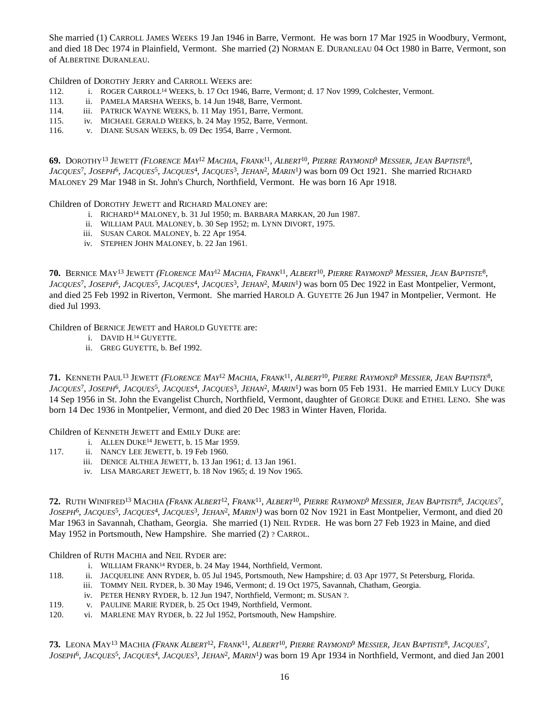She married (1) CARROLL JAMES WEEKS 19 Jan 1946 in Barre, Vermont. He was born 17 Mar 1925 in Woodbury, Vermont, and died 18 Dec 1974 in Plainfield, Vermont. She married (2) NORMAN E. DURANLEAU 04 Oct 1980 in Barre, Vermont, son of ALBERTINE DURANLEAU.

Children of DOROTHY JERRY and CARROLL WEEKS are:

- 112. i. ROGER CARROLL<sup>14</sup> WEEKS, b. 17 Oct 1946, Barre, Vermont; d. 17 Nov 1999, Colchester, Vermont.
- 113. ii. PAMELA MARSHA WEEKS, b. 14 Jun 1948, Barre, Vermont.
- 114. iii. PATRICK WAYNE WEEKS, b. 11 May 1951, Barre, Vermont.
- 115. iv. MICHAEL GERALD WEEKS, b. 24 May 1952, Barre, Vermont.
- 116. v. DIANE SUSAN WEEKS, b. 09 Dec 1954, Barre , Vermont.

69. Dorothy<sup>13</sup> Jewett *(Florence May<sup>12</sup> Machia, Frank<sup>11</sup>, Albert<sup>10</sup>, Pierre Raymond<sup>9</sup> Messier, Jean Baptiste<sup>8</sup>, JACQUES<sup>7</sup>*, *JOSEPH*<sup>6</sup>, *JACQUES*<sup>5</sup>, *JACQUES<sup>4</sup>*, *JACQUES<sup>3</sup>, <i>JEHAN<sup>2</sup>*, *MARIN<sup>1</sup>*) was born 09 Oct 1921. She married RICHARD MALONEY 29 Mar 1948 in St. John's Church, Northfield, Vermont. He was born 16 Apr 1918.

Children of DOROTHY JEWETT and RICHARD MALONEY are:

- i. RICHARD<sup>14</sup> MALONEY, b. 31 Jul 1950; m. BARBARA MARKAN, 20 Jun 1987.
- ii. WILLIAM PAUL MALONEY, b. 30 Sep 1952; m. LYNN DIVORT, 1975.
- iii. SUSAN CAROL MALONEY, b. 22 Apr 1954.
- iv. STEPHEN JOHN MALONEY, b. 22 Jan 1961.

**70.** Bernice May<sup>13</sup> Jewett *(Florence May<sup>12</sup> Machia, Frank<sup>11</sup>, Albert<sup>10</sup>, Pierre Raymond<sup>9</sup> Messier, Jean Baptiste<sup>8</sup>,* JACQUES<sup>7</sup>, JOSEPH<sup>6</sup>, JACQUES<sup>5</sup>, JACQUES<sup>4</sup>, JACQUES<sup>3</sup>, JEHAN<sup>2</sup>, MARIN<sup>1</sup>) was born 05 Dec 1922 in East Montpelier, Vermont, and died 25 Feb 1992 in Riverton, Vermont. She married HAROLD A. GUYETTE 26 Jun 1947 in Montpelier, Vermont. He died Jul 1993.

Children of BERNICE JEWETT and HAROLD GUYETTE are:

- i. DAVID H. <sup>14</sup> GUYETTE.
- ii. GREG GUYETTE, b. Bef 1992.

**71.** Kenneth Paul<sup>13</sup> Jewett *(Florence May<sup>12</sup> Machia, Frank<sup>11</sup>, Albert<sup>10</sup>, Pierre Raymond<sup>9</sup> Messier, Jean Baptiste<sup>8</sup>,* JACQUES<sup>7</sup>, JOSEPH<sup>6</sup>, JACQUES<sup>5</sup>, JACQUES<sup>4</sup>, JACQUES<sup>3</sup>, JEHAN<sup>2</sup>, MARIN<sup>1</sup>) was born 05 Feb 1931. He married EMILY LUCY DUKE 14 Sep 1956 in St. John the Evangelist Church, Northfield, Vermont, daughter of GEORGE DUKE and ETHEL LENO. She was born 14 Dec 1936 in Montpelier, Vermont, and died 20 Dec 1983 in Winter Haven, Florida.

Children of KENNETH JEWETT and EMILY DUKE are:

- i. ALLEN DUKE<sup>14</sup> JEWETT, b. 15 Mar 1959.
- 117. ii. NANCY LEE JEWETT, b. 19 Feb 1960.
	- iii. DENICE ALTHEA JEWETT, b. 13 Jan 1961; d. 13 Jan 1961.
	- iv. LISA MARGARET JEWETT, b. 18 Nov 1965; d. 19 Nov 1965.

72. Ruth Winifred<sup>13</sup> Machia *(Frank Albert<sup>12</sup>, Frank<sup>11</sup>, Albert<sup>10</sup>, Pierre Raymond<sup>9</sup> Messier, Jean Baptiste<sup>8</sup>, Jacques<sup>7</sup>, JOSEPH*<sup>6</sup> *, JACQUES*<sup>5</sup> *, JACQUES*<sup>4</sup> *, JACQUES*<sup>3</sup> *, JEHAN*<sup>2</sup> *, MARIN*<sup>1</sup> *)* was born 02 Nov 1921 in East Montpelier, Vermont, and died 20 Mar 1963 in Savannah, Chatham, Georgia. She married (1) NEIL RYDER. He was born 27 Feb 1923 in Maine, and died May 1952 in Portsmouth, New Hampshire. She married (2) ? CARROL.

Children of RUTH MACHIA and NEIL RYDER are:

- i. WILLIAM FRANK<sup>14</sup> RYDER, b. 24 May 1944, Northfield, Vermont.
- 118. ii. JACQUELINE ANN RYDER, b. 05 Jul 1945, Portsmouth, New Hampshire; d. 03 Apr 1977, St Petersburg, Florida.
	- iii. TOMMY NEIL RYDER, b. 30 May 1946, Vermont; d. 19 Oct 1975, Savannah, Chatham, Georgia.
	- iv. PETER HENRY RYDER, b. 12 Jun 1947, Northfield, Vermont; m. SUSAN ?.
- 119. v. PAULINE MARIE RYDER, b. 25 Oct 1949, Northfield, Vermont.
- 120. vi. MARLENE MAY RYDER, b. 22 Jul 1952, Portsmouth, New Hampshire.

73. LEONA MAY<sup>13</sup> MACHIA (FRANK ALBERT<sup>12</sup>, FRANK<sup>11</sup>, ALBERT<sup>10</sup>, PIERRE RAYMOND<sup>9</sup> MESSIER, JEAN BAPTISTE<sup>8</sup>, JACQUES<sup>7</sup>, *JOSEPH*<sup>6</sup> *, JACQUES*<sup>5</sup> *, JACQUES*<sup>4</sup> *, JACQUES*<sup>3</sup> *, JEHAN*<sup>2</sup> *, MARIN*<sup>1</sup> *)* was born 19 Apr 1934 in Northfield, Vermont, and died Jan 2001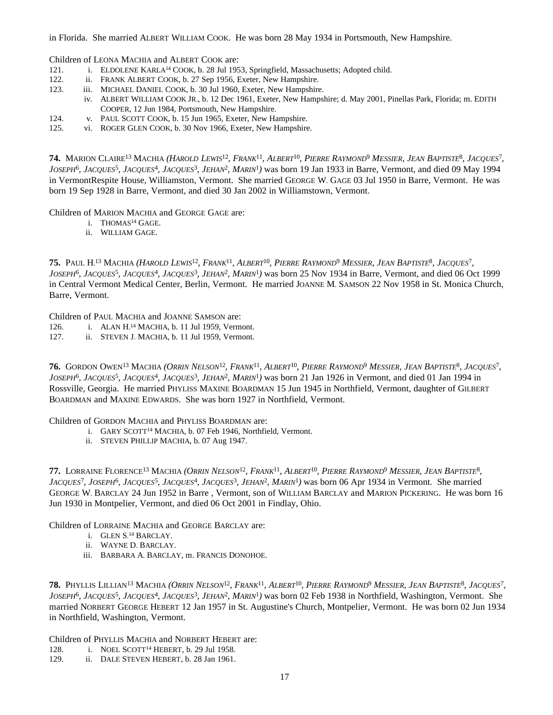in Florida. She married ALBERT WILLIAM COOK. He was born 28 May 1934 in Portsmouth, New Hampshire.

Children of LEONA MACHIA and ALBERT COOK are:

- 121. i. ELDOLENE KARLA<sup>14</sup> COOK, b. 28 Jul 1953, Springfield, Massachusetts; Adopted child.
- 122. ii. FRANK ALBERT COOK, b. 27 Sep 1956, Exeter, New Hampshire.
- 123. iii. MICHAEL DANIEL COOK, b. 30 Jul 1960, Exeter, New Hampshire.
- iv. ALBERT WILLIAM COOK JR., b. 12 Dec 1961, Exeter, New Hampshire; d. May 2001, Pinellas Park, Florida; m. EDITH COOPER, 12 Jun 1984, Portsmouth, New Hampshire.
- 124. v. PAUL SCOTT COOK, b. 15 Jun 1965, Exeter, New Hampshire.
- 125. vi. ROGER GLEN COOK, b. 30 Nov 1966, Exeter, New Hampshire.

**74.** Marion Claire<sup>13</sup> Machia (*Harold Lewis<sup>12</sup>, Frank<sup>11</sup>, Albert<sup>10</sup>, Pierre Raymond<sup>9</sup> Messier, Jean Baptiste<sup>8</sup>, Jacques<sup>7</sup>, JOSEPH*<sup>6</sup> *, JACQUES*<sup>5</sup> *, JACQUES*<sup>4</sup> *, JACQUES*<sup>3</sup> *, JEHAN*<sup>2</sup> *, MARIN*<sup>1</sup> *)* was born 19 Jan 1933 in Barre, Vermont, and died 09 May 1994 in VermontRespite House, Williamston, Vermont. She married GEORGE W. GAGE 03 Jul 1950 in Barre, Vermont. He was born 19 Sep 1928 in Barre, Vermont, and died 30 Jan 2002 in Williamstown, Vermont.

Children of MARION MACHIA and GEORGE GAGE are:

- i. THOMAS<sup>14</sup> GAGE.
- ii. WILLIAM GAGE.

75. PAUL H.<sup>13</sup> MACHIA (*Harold Lewis<sup>12</sup>, Frank<sup>11</sup>, Albert<sup>10</sup>, Pierre Raymond<sup>9</sup> Messier, Jean Baptiste<sup>8</sup>, Jacques<sup>7</sup>, JOSEPH*<sup>6</sup> *, JACQUES*<sup>5</sup> *, JACQUES*<sup>4</sup> *, JACQUES*<sup>3</sup> *, JEHAN*<sup>2</sup> *, MARIN*<sup>1</sup> *)* was born 25 Nov 1934 in Barre, Vermont, and died 06 Oct 1999 in Central Vermont Medical Center, Berlin, Vermont. He married JOANNE M. SAMSON 22 Nov 1958 in St. Monica Church, Barre, Vermont.

Children of PAUL MACHIA and JOANNE SAMSON are:

- 126. i. ALAN H. <sup>14</sup> MACHIA, b. 11 Jul 1959, Vermont.
- 127. ii. STEVEN J. MACHIA, b. 11 Jul 1959, Vermont.

**76.** Gordon Owen<sup>13</sup> Machia (*Orrin Nelson<sup>12</sup>, Frank<sup>11</sup>, Albert<sup>10</sup>, Pierre Raymond<sup>9</sup> Messier, Jean Baptiste<sup>8</sup>, Jacques<sup>7</sup>, JOSEPH*<sup>6</sup>, *JACQUES*<sup>5</sup>, *JACQUES*<sup>4</sup>, *JACQUES*<sup>3</sup>, *JEHAN<sup>2</sup>*, *MARIN*<sup>1</sup>) was born 21 Jan 1926 in Vermont, and died 01 Jan 1994 in Rossville, Georgia. He married PHYLISS MAXINE BOARDMAN 15 Jun 1945 in Northfield, Vermont, daughter of GILBERT BOARDMAN and MAXINE EDWARDS. She was born 1927 in Northfield, Vermont.

Children of GORDON MACHIA and PHYLISS BOARDMAN are:

- i. GARY SCOTT<sup>14</sup> MACHIA, b. 07 Feb 1946, Northfield, Vermont.
- ii. STEVEN PHILLIP MACHIA, b. 07 Aug 1947.

77. LORRAINE FLORENCE<sup>13</sup> MACHIA (*ORRIN NELSON<sup>12</sup>, FRANK<sup>11</sup>, ALBERT<sup>10</sup>, PIERRE RAYMOND<sup>9</sup> MESSIER, JEAN BAPTISTE<sup>8</sup>, JACQUES<sup>7</sup>*, *JOSEPH*<sup>6</sup>, *JACQUES*<sup>5</sup>, *JACQUES<sup>4</sup>*, *JACQUES<sup>3</sup>*, *JEHAN<sup>2</sup>*, *MARIN*<sup>1</sup>) was born 06 Apr 1934 in Vermont. She married GEORGE W. BARCLAY 24 Jun 1952 in Barre , Vermont, son of WILLIAM BARCLAY and MARION PICKERING. He was born 16 Jun 1930 in Montpelier, Vermont, and died 06 Oct 2001 in Findlay, Ohio.

Children of LORRAINE MACHIA and GEORGE BARCLAY are:

- i. GLEN S. <sup>14</sup> BARCLAY.
- ii. WAYNE D. BARCLAY.
- iii. BARBARA A. BARCLAY, m. FRANCIS DONOHOE.

**78.** Phyllis Lillian<sup>13</sup> Machia (Orrin Nelson<sup>12</sup>, Frank<sup>11</sup>, Albert<sup>10</sup>, Pierre Raymond<sup>9</sup> Messier, Jean Baptiste<sup>8</sup>, Jacques<sup>7</sup>, *JOSEPH*<sup>6</sup> *, JACQUES*<sup>5</sup> *, JACQUES*<sup>4</sup> *, JACQUES*<sup>3</sup> *, JEHAN*<sup>2</sup> *, MARIN*<sup>1</sup> *)* was born 02 Feb 1938 in Northfield, Washington, Vermont. She married NORBERT GEORGE HEBERT 12 Jan 1957 in St. Augustine's Church, Montpelier, Vermont. He was born 02 Jun 1934 in Northfield, Washington, Vermont.

Children of PHYLLIS MACHIA and NORBERT HEBERT are:

- 128. i. NOEL SCOTT<sup>14</sup> HEBERT, b. 29 Jul 1958.
- 129. ii. DALE STEVEN HEBERT, b. 28 Jan 1961.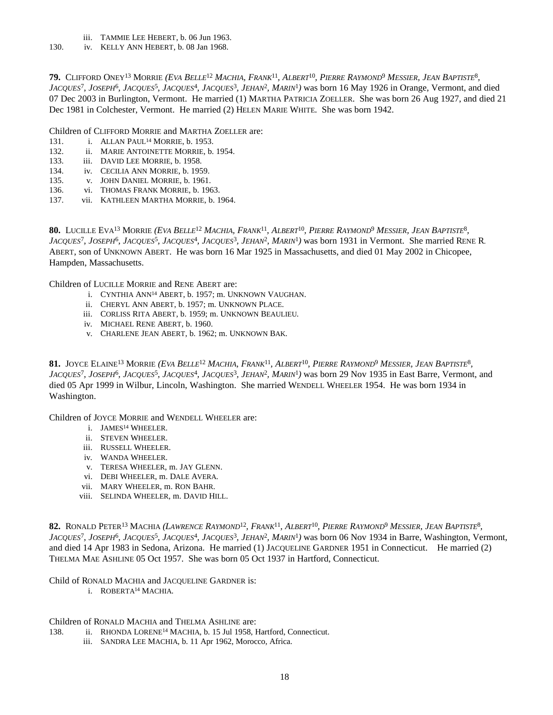- iii. TAMMIE LEE HEBERT, b. 06 Jun 1963.
- 130. iv. KELLY ANN HEBERT, b. 08 Jan 1968.

**79.** Clifford Oney<sup>13</sup> Morrie (*Eva Belle<sup>12</sup> Machia, Frank<sup>11</sup>, Albert<sup>10</sup>, Pierre Raymond<sup>9</sup> Messier, Jean Baptiste<sup>8</sup>,* JACQUES<sup>7</sup>, JOSEPH<sup>6</sup>, JACQUES<sup>5</sup>, JACQUES<sup>4</sup>, JACQUES<sup>3</sup>, JEHAN<sup>2</sup>, MARIN<sup>1</sup>) was born 16 May 1926 in Orange, Vermont, and died 07 Dec 2003 in Burlington, Vermont. He married (1) MARTHA PATRICIA ZOELLER. She was born 26 Aug 1927, and died 21 Dec 1981 in Colchester, Vermont. He married (2) HELEN MARIE WHITE. She was born 1942.

Children of CLIFFORD MORRIE and MARTHA ZOELLER are:

- 131. **i.** ALLAN PAUL<sup>14</sup> MORRIE, b. 1953.
- 132. ii. MARIE ANTOINETTE MORRIE, b. 1954.
- 133. iii. DAVID LEE MORRIE, b. 1958.
- 134. iv. CECILIA ANN MORRIE, b. 1959.
- 135. v. JOHN DANIEL MORRIE, b. 1961.
- 136. vi. THOMAS FRANK MORRIE, b. 1963.
- 137. vii. KATHLEEN MARTHA MORRIE, b. 1964.

**80.** Lucille Eva<sup>13</sup> Morrie *(Eva Belle<sup>12</sup> Machia, Frank<sup>11</sup>, Albert<sup>10</sup>, <i>Pierre Raymond<sup>9</sup> Messier, Jean Baptiste<sup>8</sup>, JACQUES*<sup>7</sup> *, JOSEPH*<sup>6</sup> *, JACQUES*<sup>5</sup> *, JACQUES*<sup>4</sup> *, JACQUES*<sup>3</sup> *, JEHAN*<sup>2</sup> *, MARIN*<sup>1</sup> *)* was born 1931 in Vermont. She married RENE R. ABERT, son of UNKNOWN ABERT. He was born 16 Mar 1925 in Massachusetts, and died 01 May 2002 in Chicopee, Hampden, Massachusetts.

Children of LUCILLE MORRIE and RENE ABERT are:

- i. CYNTHIA ANN<sup>14</sup> ABERT, b. 1957; m. UNKNOWN VAUGHAN.
- ii. CHERYL ANN ABERT, b. 1957; m. UNKNOWN PLACE.
- iii. CORLISS RITA ABERT, b. 1959; m. UNKNOWN BEAULIEU.
- iv. MICHAEL RENE ABERT, b. 1960.
- v. CHARLENE JEAN ABERT, b. 1962; m. UNKNOWN BAK.

**81.** Joyce Elaine<sup>13</sup> Morrie (*Eva Belle<sup>12</sup> Machia, Frank<sup>11</sup>, Albert<sup>10</sup>, Pierre Raymond<sup>9</sup> Messier, Jean Baptiste<sup>8</sup>,* JACQUES<sup>7</sup>, JOSEPH<sup>6</sup>, JACQUES<sup>5</sup>, JACQUES<sup>4</sup>, JACQUES<sup>3</sup>, JEHAN<sup>2</sup>, MARIN<sup>1</sup>) was born 29 Nov 1935 in East Barre, Vermont, and died 05 Apr 1999 in Wilbur, Lincoln, Washington. She married WENDELL WHEELER 1954. He was born 1934 in Washington.

Children of JOYCE MORRIE and WENDELL WHEELER are:

- i. JAMES<sup>14</sup> WHEELER.
- ii. STEVEN WHEELER.
- iii. RUSSELL WHEELER.
- iv. WANDA WHEELER.
- v. TERESA WHEELER, m. JAY GLENN.
- vi. DEBI WHEELER, m. DALE AVERA.
- vii. MARY WHEELER, m. RON BAHR.
- viii. SELINDA WHEELER, m. DAVID HILL.

**82.** Ronald Peter<sup>13</sup> Machia (Lawrence Raymond<sup>12</sup>, Frank<sup>11</sup>, Albert<sup>10</sup>, Pierre Raymond<sup>9</sup> Messier, Jean Baptiste<sup>8</sup>, JACQUES<sup>7</sup>, JOSEPH<sup>6</sup>, JACQUES<sup>5</sup>, JACQUES<sup>4</sup>, JACQUES<sup>3</sup>, JEHAN<sup>2</sup>, MARIN<sup>1</sup>) was born 06 Nov 1934 in Barre, Washington, Vermont, and died 14 Apr 1983 in Sedona, Arizona. He married (1) JACQUELINE GARDNER 1951 in Connecticut. He married (2) THELMA MAE ASHLINE 05 Oct 1957. She was born 05 Oct 1937 in Hartford, Connecticut.

#### Child of RONALD MACHIA and JACQUELINE GARDNER is:

i. ROBERTA<sup>14</sup> MACHIA.

Children of RONALD MACHIA and THELMA ASHLINE are:

- 138. ii. RHONDA LORENE<sup>14</sup> MACHIA, b. 15 Jul 1958, Hartford, Connecticut.
	- iii. SANDRA LEE MACHIA, b. 11 Apr 1962, Morocco, Africa.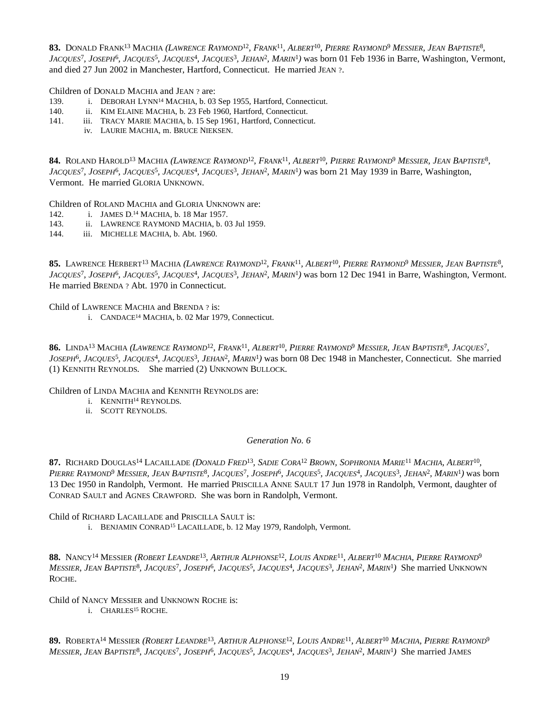**83.** Donald Frank<sup>13</sup> Machia *(Lawrence Raymond<sup>12</sup>, Frank<sup>11</sup>, Albert<sup>10</sup>, <i>Pierre Raymond<sup>9</sup> Messier, Jean Baptiste<sup>8</sup>,* JACQUES<sup>7</sup>, JOSEPH<sup>6</sup>, JACQUES<sup>5</sup>, JACQUES<sup>4</sup>, JACQUES<sup>3</sup>, JEHAN<sup>2</sup>, MARIN<sup>1</sup>) was born 01 Feb 1936 in Barre, Washington, Vermont, and died 27 Jun 2002 in Manchester, Hartford, Connecticut. He married JEAN ?.

Children of DONALD MACHIA and JEAN ? are:

- 139. i. DEBORAH LYNN<sup>14</sup> MACHIA, b. 03 Sep 1955, Hartford, Connecticut.
- 140. ii. KIM ELAINE MACHIA, b. 23 Feb 1960, Hartford, Connecticut.
- 141. iii. TRACY MARIE MACHIA, b. 15 Sep 1961, Hartford, Connecticut.
	- iv. LAURIE MACHIA, m. BRUCE NIEKSEN.

**84.** Roland Harold<sup>13</sup> Machia (*Lawrence Raymond<sup>12</sup>, Frank<sup>11</sup>, Albert<sup>10</sup>, Pierre Raymond<sup>9</sup> Messier, Jean Baptiste<sup>8</sup>, JACQUES*<sup>7</sup> *, JOSEPH*<sup>6</sup> *, JACQUES*<sup>5</sup> *, JACQUES*<sup>4</sup> *, JACQUES*<sup>3</sup> *, JEHAN*<sup>2</sup> *, MARIN*<sup>1</sup> *)* was born 21 May 1939 in Barre, Washington, Vermont. He married GLORIA UNKNOWN.

Children of ROLAND MACHIA and GLORIA UNKNOWN are:

- 142. i. JAMES D. <sup>14</sup> MACHIA, b. 18 Mar 1957.
- 143. ii. LAWRENCE RAYMOND MACHIA, b. 03 Jul 1959.
- 144. iii. MICHELLE MACHIA, b. Abt. 1960.

**85.** LAWRENCE HERBERT<sup>13</sup> MACHIA *(LAWRENCE RAYMOND<sup>12</sup>, FRANK<sup>11</sup>, ALBERT<sup>10</sup>, PIERRE RAYMOND<sup>9</sup> MESSIER, JEAN BAPTISTE<sup>8</sup>,* JACQUES<sup>7</sup>, JOSEPH<sup>6</sup>, JACQUES<sup>5</sup>, JACQUES<sup>4</sup>, JACQUES<sup>3</sup>, JEHAN<sup>2</sup>, MARIN<sup>1</sup>) was born 12 Dec 1941 in Barre, Washington, Vermont. He married BRENDA ? Abt. 1970 in Connecticut.

Child of LAWRENCE MACHIA and BRENDA ? is:

i. CANDACE<sup>14</sup> MACHIA, b. 02 Mar 1979, Connecticut.

**86.** Linda<sup>13</sup> Machia (Lawrence Raymond<sup>12</sup>, Frank<sup>11</sup>, Albert<sup>10</sup>, Pierre Raymond<sup>9</sup> Messier, Jean Baptiste<sup>8</sup>, Jacques<sup>7</sup>, *JOSEPH*<sup>6</sup> *, JACQUES*<sup>5</sup> *, JACQUES*<sup>4</sup> *, JACQUES*<sup>3</sup> *, JEHAN*<sup>2</sup> *, MARIN*<sup>1</sup> *)* was born 08 Dec 1948 in Manchester, Connecticut. She married (1) KENNITH REYNOLDS. She married (2) UNKNOWN BULLOCK.

Children of LINDA MACHIA and KENNITH REYNOLDS are:

- i. KENNITH<sup>14</sup> REYNOLDS.
- ii. SCOTT REYNOLDS.

*Generation No. 6*

**87.** Richard Douglas<sup>14</sup> Lacaillade *(Donald Fred<sup>13</sup>, Sadie Cora<sup>12</sup> Brown, Sophronia Marie<sup>11</sup> Machia, Albert<sup>10</sup>,* Pierre Raymond<sup>9</sup> Messier, Jean Baptiste<sup>8</sup>, Jacques<sup>7</sup>, Joseph<sup>6</sup>, Jacques<sup>5</sup>, Jacques<sup>4</sup>, Jacques<sup>3</sup>, Jehan<sup>2</sup>, Marin<sup>1</sup>) was born 13 Dec 1950 in Randolph, Vermont. He married PRISCILLA ANNE SAULT 17 Jun 1978 in Randolph, Vermont, daughter of CONRAD SAULT and AGNES CRAWFORD. She was born in Randolph, Vermont.

Child of RICHARD LACAILLADE and PRISCILLA SAULT is:

i. BENJAMIN CONRAD<sup>15</sup> LACAILLADE, b. 12 May 1979, Randolph, Vermont.

88. NANCY<sup>14</sup> MESSIER (ROBERT LEANDRE<sup>13</sup>, ARTHUR ALPHONSE<sup>12</sup>, LOUIS ANDRE<sup>11</sup>, ALBERT<sup>10</sup> MACHIA, PIERRE RAYMOND<sup>9</sup> MESSIER, JEAN BAPTISTE<sup>8</sup>, JACQUES<sup>7</sup>, JOSEPH<sup>6</sup>, JACQUES<sup>5</sup>, JACQUES<sup>4</sup>, JACQUES<sup>3</sup>, JEHAN<sup>2</sup>, MARIN<sup>1</sup>) She married UNKNOWN ROCHE.

Child of NANCY MESSIER and UNKNOWN ROCHE is:

i. CHARLES<sup>15</sup> ROCHE.

89. ROBERTA<sup>14</sup> MESSIER (ROBERT LEANDRE<sup>13</sup>, ARTHUR ALPHONSE<sup>12</sup>, LOUIS ANDRE<sup>11</sup>, ALBERT<sup>10</sup> MACHIA, PIERRE RAYMOND<sup>9</sup> MESSIER, JEAN BAPTISTE<sup>8</sup>, JACQUES<sup>7</sup>, JOSEPH<sup>6</sup>, JACQUES<sup>5</sup>, JACQUES<sup>4</sup>, JACQUES<sup>3</sup>, JEHAN<sup>2</sup>, MARIN<sup>1</sup>) She married JAMES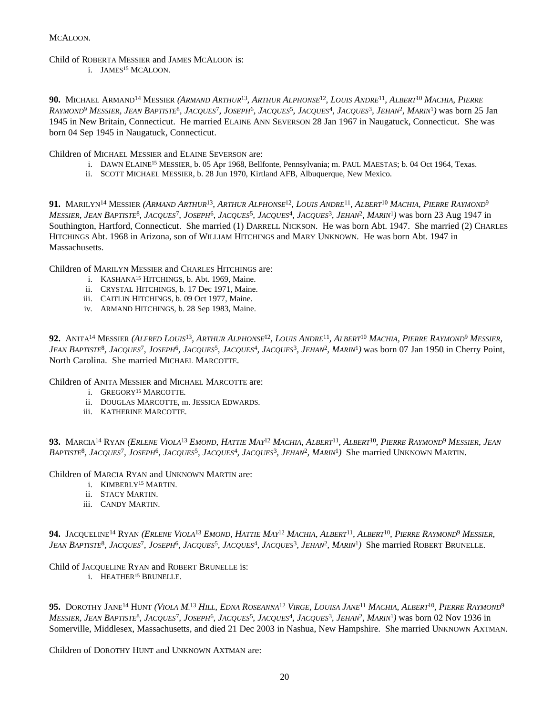MCALOON.

Child of ROBERTA MESSIER and JAMES MCALOON is:

i. JAMES<sup>15</sup> MCALOON.

90. MICHAEL ARMAND<sup>14</sup> MESSIER (ARMAND ARTHUR<sup>13</sup>, ARTHUR ALPHONSE<sup>12</sup>, LOUIS ANDRE<sup>11</sup>, ALBERT<sup>10</sup> MACHIA, PIERRE RAYMOND<sup>9</sup> MESSIER, JEAN BAPTISTE<sup>8</sup>, JACQUES<sup>7</sup>, JOSEPH<sup>6</sup>, JACQUES<sup>5</sup>, JACQUES<sup>4</sup>, JACQUES<sup>3</sup>, JEHAN<sup>2</sup>, MARIN<sup>1</sup>) was born 25 Jan 1945 in New Britain, Connecticut. He married ELAINE ANN SEVERSON 28 Jan 1967 in Naugatuck, Connecticut. She was born 04 Sep 1945 in Naugatuck, Connecticut.

Children of MICHAEL MESSIER and ELAINE SEVERSON are:

- i. DAWN ELAINE<sup>15</sup> MESSIER, b. 05 Apr 1968, Bellfonte, Pennsylvania; m. PAUL MAESTAS; b. 04 Oct 1964, Texas.
- ii. SCOTT MICHAEL MESSIER, b. 28 Jun 1970, Kirtland AFB, Albuquerque, New Mexico.

91. MARILYN<sup>14</sup> MESSIER (ARMAND ARTHUR<sup>13</sup>, ARTHUR ALPHONSE<sup>12</sup>, LOUIS ANDRE<sup>11</sup>, ALBERT<sup>10</sup> MACHIA, PIERRE RAYMOND<sup>9</sup> MESSIER, JEAN BAPTISTE<sup>8</sup>, JACQUES<sup>7</sup>, JOSEPH<sup>6</sup>, JACQUES<sup>5</sup>, JACQUES<sup>4</sup>, JACQUES<sup>3</sup>, JEHAN<sup>2</sup>, MARIN<sup>1</sup>) was born 23 Aug 1947 in Southington, Hartford, Connecticut. She married (1) DARRELL NICKSON. He was born Abt. 1947. She married (2) CHARLES HITCHINGS Abt. 1968 in Arizona, son of WILLIAM HITCHINGS and MARY UNKNOWN. He was born Abt. 1947 in Massachusetts.

Children of MARILYN MESSIER and CHARLES HITCHINGS are:

- i. KASHANA<sup>15</sup> HITCHINGS, b. Abt. 1969, Maine.
- ii. CRYSTAL HITCHINGS, b. 17 Dec 1971, Maine.
- iii. CAITLIN HITCHINGS, b. 09 Oct 1977, Maine.
- iv. ARMAND HITCHINGS, b. 28 Sep 1983, Maine.

**92.** Anita<sup>14</sup> Messier (Alfred Louis<sup>13</sup>, Arthur Alphonse<sup>12</sup>, Louis Andre<sup>11</sup>, Albert<sup>10</sup> Machia, Pierre Raymond<sup>9</sup> Messier, JEAN BAPTISTE<sup>8</sup>, JACQUES<sup>7</sup>, JOSEPH<sup>6</sup>, JACQUES<sup>5</sup>, JACQUES<sup>4</sup>, JACQUES<sup>3</sup>, JEHAN<sup>2</sup>, MARIN<sup>1</sup>) was born 07 Jan 1950 in Cherry Point, North Carolina. She married MICHAEL MARCOTTE.

Children of ANITA MESSIER and MICHAEL MARCOTTE are:

- i. GREGORY<sup>15</sup> MARCOTTE.
- ii. DOUGLAS MARCOTTE, m. JESSICA EDWARDS.
- iii. KATHERINE MARCOTTE.

**93.** Marcia<sup>14</sup> Ryan *(Erlene Viola<sup>13</sup> Emond, Hattie May<sup>12</sup> Machia, Albert<sup>11</sup>, Albert<sup>10</sup>, Pierre Raymond<sup>9</sup> Messier, Jean* BAPTISTE<sup>8</sup>, JACQUES<sup>7</sup>, JOSEPH<sup>6</sup>, JACQUES<sup>5</sup>, JACQUES<sup>4</sup>, JACQUES<sup>3</sup>, JEHAN<sup>2</sup>, MARIN<sup>1</sup>) She married UNKNOWN MARTIN.

Children of MARCIA RYAN and UNKNOWN MARTIN are:

- i. KIMBERLY<sup>15</sup> MARTIN.
- ii. STACY MARTIN.
- iii. CANDY MARTIN.

**94.** Jacqueline<sup>14</sup> Ryan *(Erlene Viola<sup>13</sup> Emond, Hattie May<sup>12</sup> Machia, Albert<sup>11</sup>, Albert<sup>10</sup>, <i>Pierre Raymond<sup>9</sup> Messier*, JEAN BAPTISTE<sup>8</sup>, JACQUES<sup>7</sup>, JOSEPH<sup>6</sup>, JACQUES<sup>5</sup>, JACQUES<sup>4</sup>, JACQUES<sup>3</sup>, JEHAN<sup>2</sup>, MARIN<sup>1</sup>) She married ROBERT BRUNELLE.

Child of JACQUELINE RYAN and ROBERT BRUNELLE is:

i. HEATHER<sup>15</sup> BRUNELLE.

**95.** Dorothy Jane<sup>14</sup> Hunt *(Viola M.<sup>13</sup> Hill, Edna Roseanna<sup>12</sup> Virge, Louisa Jane<sup>11</sup> Machia, Albert<sup>10</sup>, Pierre Raymond<sup>9</sup>* MESSIER, JEAN BAPTISTE<sup>8</sup>, JACQUES<sup>7</sup>, JOSEPH<sup>6</sup>, JACQUES<sup>5</sup>, JACQUES<sup>4</sup>, JACQUES<sup>3</sup>, JEHAN<sup>2</sup>, MARIN<sup>1</sup>) was born 02 Nov 1936 in Somerville, Middlesex, Massachusetts, and died 21 Dec 2003 in Nashua, New Hampshire. She married UNKNOWN AXTMAN.

Children of DOROTHY HUNT and UNKNOWN AXTMAN are: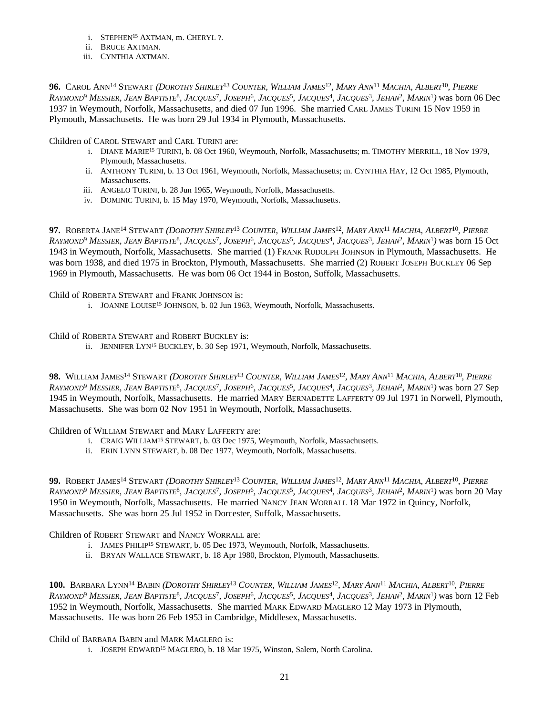- i. STEPHEN<sup>15</sup> AXTMAN, m. CHERYL ?.
- ii. BRUCE AXTMAN.
- iii. CYNTHIA AXTMAN.

96. CAROL ANN<sup>14</sup> STEWART (DOROTHY SHIRLEY<sup>13</sup> COUNTER, WILLIAM JAMES<sup>12</sup>, MARY ANN<sup>11</sup> MACHIA, ALBERT<sup>10</sup>, PIERRE RAYMOND<sup>9</sup> MESSIER, JEAN BAPTISTE<sup>8</sup>, JACQUES<sup>7</sup>, JOSEPH<sup>6</sup>, JACQUES<sup>5</sup>, JACQUES<sup>4</sup>, JACQUES<sup>3</sup>, JEHAN<sup>2</sup>, MARIN<sup>1</sup>) was born 06 Dec 1937 in Weymouth, Norfolk, Massachusetts, and died 07 Jun 1996. She married CARL JAMES TURINI 15 Nov 1959 in Plymouth, Massachusetts. He was born 29 Jul 1934 in Plymouth, Massachusetts.

Children of CAROL STEWART and CARL TURINI are:

- i. DIANE MARIE<sup>15</sup> TURINI, b. 08 Oct 1960, Weymouth, Norfolk, Massachusetts; m. TIMOTHY MERRILL, 18 Nov 1979, Plymouth, Massachusetts.
- ii. ANTHONY TURINI, b. 13 Oct 1961, Weymouth, Norfolk, Massachusetts; m. CYNTHIA HAY, 12 Oct 1985, Plymouth, Massachusetts.
- iii. ANGELO TURINI, b. 28 Jun 1965, Weymouth, Norfolk, Massachusetts.
- iv. DOMINIC TURINI, b. 15 May 1970, Weymouth, Norfolk, Massachusetts.

97. ROBERTA JANE<sup>14</sup> STEWART (DOROTHY SHIRLEY<sup>13</sup> COUNTER, WILLIAM JAMES<sup>12</sup>, MARY ANN<sup>11</sup> MACHIA, ALBERT<sup>10</sup>, PIERRE Raymond<sup>9</sup> Messier, Jean Baptiste<sup>8</sup>, Jacques<sup>7</sup>, Joseph<sup>6</sup>, Jacques<sup>5</sup>, Jacques<sup>4</sup>, Jacques<sup>3</sup>, Jehan<sup>2</sup>, Marin<sup>1</sup>) was born 15 Oct 1943 in Weymouth, Norfolk, Massachusetts. She married (1) FRANK RUDOLPH JOHNSON in Plymouth, Massachusetts. He was born 1938, and died 1975 in Brockton, Plymouth, Massachusetts. She married (2) ROBERT JOSEPH BUCKLEY 06 Sep 1969 in Plymouth, Massachusetts. He was born 06 Oct 1944 in Boston, Suffolk, Massachusetts.

Child of ROBERTA STEWART and FRANK JOHNSON is:

i. JOANNE LOUISE<sup>15</sup> JOHNSON, b. 02 Jun 1963, Weymouth, Norfolk, Massachusetts.

Child of ROBERTA STEWART and ROBERT BUCKLEY is:

ii. JENNIFER LYN<sup>15</sup> BUCKLEY, b. 30 Sep 1971, Weymouth, Norfolk, Massachusetts.

98. WILLIAM JAMES<sup>14</sup> STEWART (DOROTHY SHIRLEY<sup>13</sup> COUNTER, WILLIAM JAMES<sup>12</sup>, MARY ANN<sup>11</sup> MACHIA, ALBERT<sup>10</sup>, PIERRE RAYMOND<sup>9</sup> MESSIER, JEAN BAPTISTE<sup>8</sup>, JACQUES<sup>7</sup>, JOSEPH<sup>6</sup>, JACQUES<sup>5</sup>, JACQUES<sup>4</sup>, JACQUES<sup>3</sup>, JEHAN<sup>2</sup>, MARIN<sup>1</sup>) was born 27 Sep 1945 in Weymouth, Norfolk, Massachusetts. He married MARY BERNADETTE LAFFERTY 09 Jul 1971 in Norwell, Plymouth, Massachusetts. She was born 02 Nov 1951 in Weymouth, Norfolk, Massachusetts.

Children of WILLIAM STEWART and MARY LAFFERTY are:

- i. CRAIG WILLIAM<sup>15</sup> STEWART, b. 03 Dec 1975, Weymouth, Norfolk, Massachusetts.
- ii. ERIN LYNN STEWART, b. 08 Dec 1977, Weymouth, Norfolk, Massachusetts.

99. ROBERT JAMES<sup>14</sup> STEWART (DOROTHY SHIRLEY<sup>13</sup> COUNTER, WILLIAM JAMES<sup>12</sup>, MARY ANN<sup>11</sup> MACHIA, ALBERT<sup>10</sup>, PIERRE RAYMOND<sup>9</sup> MESSIER, JEAN BAPTISTE<sup>8</sup>, JACQUES<sup>7</sup>, JOSEPH<sup>6</sup>, JACQUES<sup>5</sup>, JACQUES<sup>4</sup>, JACQUES<sup>3</sup>, JEHAN<sup>2</sup>, MARIN<sup>1</sup>) was born 20 May 1950 in Weymouth, Norfolk, Massachusetts. He married NANCY JEAN WORRALL 18 Mar 1972 in Quincy, Norfolk, Massachusetts. She was born 25 Jul 1952 in Dorcester, Suffolk, Massachusetts.

Children of ROBERT STEWART and NANCY WORRALL are:

- i. JAMES PHILIP<sup>15</sup> STEWART, b. 05 Dec 1973, Weymouth, Norfolk, Massachusetts.
- ii. BRYAN WALLACE STEWART, b. 18 Apr 1980, Brockton, Plymouth, Massachusetts.

100. BARBARA LYNN<sup>14</sup> BABIN (DOROTHY SHIRLEY<sup>13</sup> COUNTER, WILLIAM JAMES<sup>12</sup>, MARY ANN<sup>11</sup> MACHIA, ALBERT<sup>10</sup>, PIERRE Raymond<sup>9</sup> Messier, Jean Baptiste<sup>8</sup>, Jacques<sup>7</sup>, Joseph<sup>6</sup>, Jacques<sup>5</sup>, Jacques<sup>4</sup>, Jacques<sup>3</sup>, Jehan<sup>2</sup>, Marin<sup>1</sup>) was born 12 Feb 1952 in Weymouth, Norfolk, Massachusetts. She married MARK EDWARD MAGLERO 12 May 1973 in Plymouth, Massachusetts. He was born 26 Feb 1953 in Cambridge, Middlesex, Massachusetts.

Child of BARBARA BABIN and MARK MAGLERO is:

i. JOSEPH EDWARD<sup>15</sup> MAGLERO, b. 18 Mar 1975, Winston, Salem, North Carolina.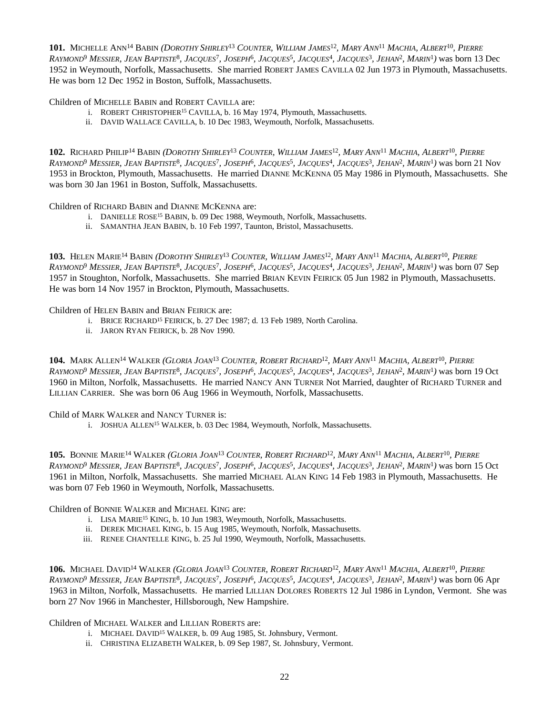101. MICHELLE ANN<sup>14</sup> BABIN (DOROTHY SHIRLEY<sup>13</sup> COUNTER, WILLIAM JAMES<sup>12</sup>, MARY ANN<sup>11</sup> MACHIA, ALBERT<sup>10</sup>, PIERRE Raymond<sup>9</sup> Messier, Jean Baptiste<sup>8</sup>, Jacques<sup>7</sup>, Joseph<sup>6</sup>, Jacques<sup>5</sup>, Jacques<sup>4</sup>, Jacques<sup>3</sup>, Jehan<sup>2</sup>, Marin<sup>1</sup>) was born 13 Dec 1952 in Weymouth, Norfolk, Massachusetts. She married ROBERT JAMES CAVILLA 02 Jun 1973 in Plymouth, Massachusetts. He was born 12 Dec 1952 in Boston, Suffolk, Massachusetts.

Children of MICHELLE BABIN and ROBERT CAVILLA are:

- i. ROBERT CHRISTOPHER<sup>15</sup> CAVILLA, b. 16 May 1974, Plymouth, Massachusetts.
- ii. DAVID WALLACE CAVILLA, b. 10 Dec 1983, Weymouth, Norfolk, Massachusetts.

102. RICHARD PHILIP<sup>14</sup> BABIN (*DOROTHY SHIRLEY<sup>13</sup> COUNTER, WILLIAM JAMES<sup>12</sup>, MARY ANN<sup>11</sup> MACHIA, ALBERT<sup>10</sup>, PIERRE* RAYMOND<sup>9</sup> MESSIER, JEAN BAPTISTE<sup>8</sup>, JACQUES<sup>7</sup>, JOSEPH<sup>6</sup>, JACQUES<sup>5</sup>, JACQUES<sup>4</sup>, JACQUES<sup>3</sup>, JEHAN<sup>2</sup>, MARIN<sup>1</sup>) was born 21 Nov 1953 in Brockton, Plymouth, Massachusetts. He married DIANNE MCKENNA 05 May 1986 in Plymouth, Massachusetts. She was born 30 Jan 1961 in Boston, Suffolk, Massachusetts.

Children of RICHARD BABIN and DIANNE MCKENNA are:

- i. DANIELLE ROSE<sup>15</sup> BABIN, b. 09 Dec 1988, Weymouth, Norfolk, Massachusetts.
- ii. SAMANTHA JEAN BABIN, b. 10 Feb 1997, Taunton, Bristol, Massachusetts.

103. HELEN MARIE<sup>14</sup> BABIN (DOROTHY SHIRLEY<sup>13</sup> COUNTER, WILLIAM JAMES<sup>12</sup>, MARY ANN<sup>11</sup> MACHIA, ALBERT<sup>10</sup>, PIERRE RAYMOND<sup>9</sup> MESSIER, JEAN BAPTISTE<sup>8</sup>, JACQUES<sup>7</sup>, JOSEPH<sup>6</sup>, JACQUES<sup>5</sup>, JACQUES<sup>4</sup>, JACQUES<sup>3</sup>, JEHAN<sup>2</sup>, MARIN<sup>1</sup>) was born 07 Sep 1957 in Stoughton, Norfolk, Massachusetts. She married BRIAN KEVIN FEIRICK 05 Jun 1982 in Plymouth, Massachusetts. He was born 14 Nov 1957 in Brockton, Plymouth, Massachusetts.

Children of HELEN BABIN and BRIAN FEIRICK are:

- i. BRICE RICHARD<sup>15</sup> FEIRICK, b. 27 Dec 1987; d. 13 Feb 1989, North Carolina.
- ii. JARON RYAN FEIRICK, b. 28 Nov 1990.

104. MARK ALLEN<sup>14</sup> WALKER (GLORIA JOAN<sup>13</sup> COUNTER, ROBERT RICHARD<sup>12</sup>, MARY ANN<sup>11</sup> MACHIA, ALBERT<sup>10</sup>, PIERRE Raymond<sup>9</sup> Messier, Jean Baptiste<sup>8</sup>, Jacques<sup>7</sup>, Joseph<sup>6</sup>, Jacques<sup>5</sup>, Jacques<sup>4</sup>, Jacques<sup>3</sup>, Jehan<sup>2</sup>, Marin<sup>1</sup>) was born 19 Oct 1960 in Milton, Norfolk, Massachusetts. He married NANCY ANN TURNER Not Married, daughter of RICHARD TURNER and LILLIAN CARRIER. She was born 06 Aug 1966 in Weymouth, Norfolk, Massachusetts.

Child of MARK WALKER and NANCY TURNER is:

i. JOSHUA ALLEN<sup>15</sup> WALKER, b. 03 Dec 1984, Weymouth, Norfolk, Massachusetts.

105. BONNIE MARIE<sup>14</sup> WALKER (*GLORIA JOAN<sup>13</sup> COUNTER, ROBERT RICHARD<sup>12</sup>, MARY ANN<sup>11</sup> MACHIA, ALBERT<sup>10</sup>, PIERRE* Raymond<sup>9</sup> Messier, Jean Baptiste<sup>8</sup>, Jacques<sup>7</sup>, Joseph<sup>6</sup>, Jacques<sup>5</sup>, Jacques<sup>4</sup>, Jacques<sup>3</sup>, Jehan<sup>2</sup>, Marin<sup>1</sup>) was born 15 Oct 1961 in Milton, Norfolk, Massachusetts. She married MICHAEL ALAN KING 14 Feb 1983 in Plymouth, Massachusetts. He was born 07 Feb 1960 in Weymouth, Norfolk, Massachusetts.

Children of BONNIE WALKER and MICHAEL KING are:

- i. LISA MARIE<sup>15</sup> KING, b. 10 Jun 1983, Weymouth, Norfolk, Massachusetts.
- ii. DEREK MICHAEL KING, b. 15 Aug 1985, Weymouth, Norfolk, Massachusetts.
- iii. RENEE CHANTELLE KING, b. 25 Jul 1990, Weymouth, Norfolk, Massachusetts.

106. MICHAEL DAVID<sup>14</sup> WALKER (GLORIA JOAN<sup>13</sup> COUNTER, ROBERT RICHARD<sup>12</sup>, MARY ANN<sup>11</sup> MACHIA, ALBERT<sup>10</sup>, PIERRE RAYMOND<sup>9</sup> MESSIER, JEAN BAPTISTE<sup>8</sup>, JACQUES<sup>7</sup>, JOSEPH<sup>6</sup>, JACQUES<sup>5</sup>, JACQUES<sup>4</sup>, JACQUES<sup>3</sup>, JEHAN<sup>2</sup>, MARIN<sup>1</sup>) was born 06 Apr 1963 in Milton, Norfolk, Massachusetts. He married LILLIAN DOLORES ROBERTS 12 Jul 1986 in Lyndon, Vermont. She was born 27 Nov 1966 in Manchester, Hillsborough, New Hampshire.

Children of MICHAEL WALKER and LILLIAN ROBERTS are:

- i. MICHAEL DAVID<sup>15</sup> WALKER, b. 09 Aug 1985, St. Johnsbury, Vermont.
- ii. CHRISTINA ELIZABETH WALKER, b. 09 Sep 1987, St. Johnsbury, Vermont.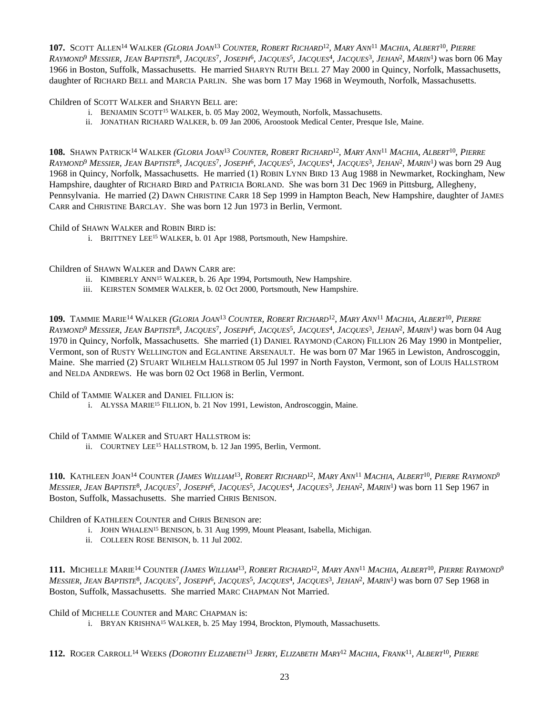107. SCOTT ALLEN<sup>14</sup> WALKER (GLORIA JOAN<sup>13</sup> COUNTER, ROBERT RICHARD<sup>12</sup>, MARY ANN<sup>11</sup> MACHIA, ALBERT<sup>10</sup>, PIERRE RAYMOND<sup>9</sup> MESSIER, JEAN BAPTISTE<sup>8</sup>, JACQUES<sup>7</sup>, JOSEPH<sup>6</sup>, JACQUES<sup>5</sup>, JACQUES<sup>4</sup>, JACQUES<sup>3</sup>, JEHAN<sup>2</sup>, MARIN<sup>1</sup>) was born 06 May 1966 in Boston, Suffolk, Massachusetts. He married SHARYN RUTH BELL 27 May 2000 in Quincy, Norfolk, Massachusetts, daughter of RICHARD BELL and MARCIA PARLIN. She was born 17 May 1968 in Weymouth, Norfolk, Massachusetts.

Children of SCOTT WALKER and SHARYN BELL are:

- i. BENJAMIN SCOTT<sup>15</sup> WALKER, b. 05 May 2002, Weymouth, Norfolk, Massachusetts.
- ii. JONATHAN RICHARD WALKER, b. 09 Jan 2006, Aroostook Medical Center, Presque Isle, Maine.

108. SHAWN PATRICK<sup>14</sup> WALKER (GLORIA JOAN<sup>13</sup> COUNTER, ROBERT RICHARD<sup>12</sup>, MARY ANN<sup>11</sup> MACHIA, ALBERT<sup>10</sup>, PIERRE RAYMOND<sup>9</sup> MESSIER, JEAN BAPTISTE<sup>8</sup>, JACQUES<sup>7</sup>, JOSEPH<sup>6</sup>, JACQUES<sup>5</sup>, JACQUES<sup>4</sup>, JACQUES<sup>3</sup>, JEHAN<sup>2</sup>, MARIN<sup>1</sup>) was born 29 Aug 1968 in Quincy, Norfolk, Massachusetts. He married (1) ROBIN LYNN BIRD 13 Aug 1988 in Newmarket, Rockingham, New Hampshire, daughter of RICHARD BIRD and PATRICIA BORLAND. She was born 31 Dec 1969 in Pittsburg, Allegheny, Pennsylvania. He married (2) DAWN CHRISTINE CARR 18 Sep 1999 in Hampton Beach, New Hampshire, daughter of JAMES CARR and CHRISTINE BARCLAY. She was born 12 Jun 1973 in Berlin, Vermont.

Child of SHAWN WALKER and ROBIN BIRD is:

i. BRITTNEY LEE<sup>15</sup> WALKER, b. 01 Apr 1988, Portsmouth, New Hampshire.

Children of SHAWN WALKER and DAWN CARR are:

- ii. KIMBERLY ANN<sup>15</sup> WALKER, b. 26 Apr 1994, Portsmouth, New Hampshire.
- iii. KEIRSTEN SOMMER WALKER, b. 02 Oct 2000, Portsmouth, New Hampshire.

109. TAMMIE MARIE<sup>14</sup> WALKER (GLORIA JOAN<sup>13</sup> COUNTER, ROBERT RICHARD<sup>12</sup>, MARY ANN<sup>11</sup> MACHIA, ALBERT<sup>10</sup>, PIERRE RAYMOND<sup>9</sup> MESSIER, JEAN BAPTISTE<sup>8</sup>, JACQUES<sup>7</sup>, JOSEPH<sup>6</sup>, JACQUES<sup>5</sup>, JACQUES<sup>4</sup>, JACQUES<sup>3</sup>, JEHAN<sup>2</sup>, MARIN<sup>1</sup>) was born 04 Aug 1970 in Quincy, Norfolk, Massachusetts. She married (1) DANIEL RAYMOND (CARON) FILLION 26 May 1990 in Montpelier, Vermont, son of RUSTY WELLINGTON and EGLANTINE ARSENAULT. He was born 07 Mar 1965 in Lewiston, Androscoggin, Maine. She married (2) STUART WILHELM HALLSTROM 05 Jul 1997 in North Fayston, Vermont, son of LOUIS HALLSTROM and NELDA ANDREWS. He was born 02 Oct 1968 in Berlin, Vermont.

Child of TAMMIE WALKER and DANIEL FILLION is:

i. ALYSSA MARIE<sup>15</sup> FILLION, b. 21 Nov 1991, Lewiston, Androscoggin, Maine.

Child of TAMMIE WALKER and STUART HALLSTROM is:

ii. COURTNEY LEE<sup>15</sup> HALLSTROM, b. 12 Jan 1995, Berlin, Vermont.

110. KATHLEEN JOAN<sup>14</sup> COUNTER (JAMES WILLIAM<sup>13</sup>, ROBERT RICHARD<sup>12</sup>, MARY ANN<sup>11</sup> MACHIA, ALBERT<sup>10</sup>, PIERRE RAYMOND<sup>9</sup> MESSIER, JEAN BAPTISTE<sup>8</sup>, JACQUES<sup>7</sup>, JOSEPH<sup>6</sup>, JACQUES<sup>5</sup>, JACQUES<sup>4</sup>, JACQUES<sup>3</sup>, JEHAN<sup>2</sup>, MARIN<sup>1</sup>) was born 11 Sep 1967 in Boston, Suffolk, Massachusetts. She married CHRIS BENISON.

Children of KATHLEEN COUNTER and CHRIS BENISON are:

- i. JOHN WHALEN<sup>15</sup> BENISON, b. 31 Aug 1999, Mount Pleasant, Isabella, Michigan.
- ii. COLLEEN ROSE BENISON, b. 11 Jul 2002.

111. MICHELLE MARIE<sup>14</sup> COUNTER (JAMES WILLIAM<sup>13</sup>, ROBERT RICHARD<sup>12</sup>, MARY ANN<sup>11</sup> MACHIA, ALBERT<sup>10</sup>, PIERRE RAYMOND<sup>9</sup> MESSIER, JEAN BAPTISTE<sup>8</sup>, JACQUES<sup>7</sup>, JOSEPH<sup>6</sup>, JACQUES<sup>5</sup>, JACQUES<sup>4</sup>, JACQUES<sup>3</sup>, JEHAN<sup>2</sup>, MARIN<sup>1</sup>) was born 07 Sep 1968 in Boston, Suffolk, Massachusetts. She married MARC CHAPMAN Not Married.

Child of MICHELLE COUNTER and MARC CHAPMAN is:

i. BRYAN KRISHNA<sup>15</sup> WALKER, b. 25 May 1994, Brockton, Plymouth, Massachusetts.

112. ROGER CARROLL<sup>14</sup> WEEKS (DOROTHY ELIZABETH<sup>13</sup> JERRY, ELIZABETH MARY<sup>12</sup> MACHIA, FRANK<sup>11</sup>, ALBERT<sup>10</sup>, PIERRE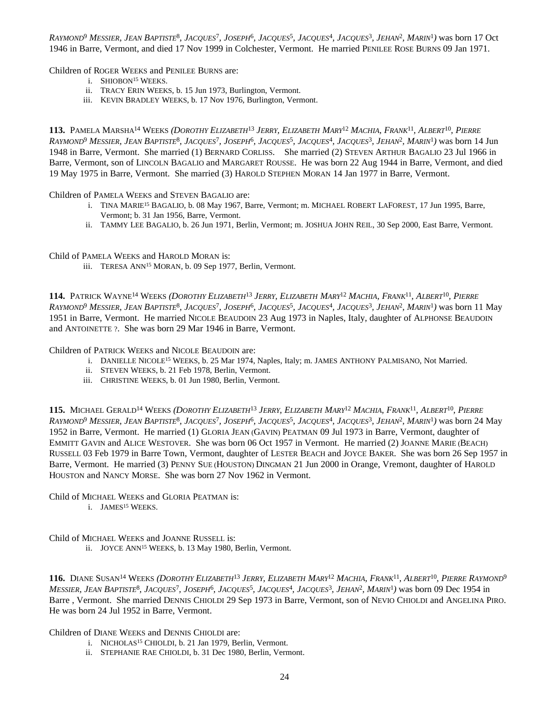Raymond<sup>9</sup> Messier, Jean Baptiste<sup>8</sup>, Jacques<sup>7</sup>, Joseph<sup>6</sup>, Jacques<sup>5</sup>, Jacques<sup>4</sup>, Jacques<sup>3</sup>, Jehan<sup>2</sup>, Marin<sup>1</sup>) was born 17 Oct 1946 in Barre, Vermont, and died 17 Nov 1999 in Colchester, Vermont. He married PENILEE ROSE BURNS 09 Jan 1971.

Children of ROGER WEEKS and PENILEE BURNS are:

- i. SHIOBON<sup>15</sup> WEEKS.
- ii. TRACY ERIN WEEKS, b. 15 Jun 1973, Burlington, Vermont.
- iii. KEVIN BRADLEY WEEKS, b. 17 Nov 1976, Burlington, Vermont.

113. PAMELA MARSHA<sup>14</sup> WEEKS (DOROTHY ELIZABETH<sup>13</sup> JERRY, ELIZABETH MARY<sup>12</sup> MACHIA, FRANK<sup>11</sup>, ALBERT<sup>10</sup>, PIERRE RAYMOND<sup>9</sup> MESSIER, JEAN BAPTISTE<sup>8</sup>, JACQUES<sup>7</sup>, JOSEPH<sup>6</sup>, JACQUES<sup>5</sup>, JACQUES<sup>4</sup>, JACQUES<sup>3</sup>, JEHAN<sup>2</sup>, MARIN<sup>1</sup>) was born 14 Jun 1948 in Barre, Vermont. She married (1) BERNARD CORLISS. She married (2) STEVEN ARTHUR BAGALIO 23 Jul 1966 in Barre, Vermont, son of LINCOLN BAGALIO and MARGARET ROUSSE. He was born 22 Aug 1944 in Barre, Vermont, and died 19 May 1975 in Barre, Vermont. She married (3) HAROLD STEPHEN MORAN 14 Jan 1977 in Barre, Vermont.

Children of PAMELA WEEKS and STEVEN BAGALIO are:

- i. TINA MARIE<sup>15</sup> BAGALIO, b. 08 May 1967, Barre, Vermont; m. MICHAEL ROBERT LAFOREST, 17 Jun 1995, Barre, Vermont; b. 31 Jan 1956, Barre, Vermont.
- ii. TAMMY LEE BAGALIO, b. 26 Jun 1971, Berlin, Vermont; m. JOSHUA JOHN REIL, 30 Sep 2000, East Barre, Vermont.

Child of PAMELA WEEKS and HAROLD MORAN is:

iii. TERESA ANN<sup>15</sup> MORAN, b. 09 Sep 1977, Berlin, Vermont.

114. PATRICK WAYNE<sup>14</sup> WEEKS (DOROTHY ELIZABETH<sup>13</sup> JERRY, ELIZABETH MARY<sup>12</sup> MACHIA, FRANK<sup>11</sup>, ALBERT<sup>10</sup>, PIERRE RAYMOND<sup>9</sup> MESSIER, JEAN BAPTISTE<sup>8</sup>, JACQUES<sup>7</sup>, JOSEPH<sup>6</sup>, JACQUES<sup>5</sup>, JACQUES<sup>4</sup>, JACQUES<sup>3</sup>, JEHAN<sup>2</sup>, MARIN<sup>1</sup>) was born 11 May 1951 in Barre, Vermont. He married NICOLE BEAUDOIN 23 Aug 1973 in Naples, Italy, daughter of ALPHONSE BEAUDOIN and ANTOINETTE ?. She was born 29 Mar 1946 in Barre, Vermont.

Children of PATRICK WEEKS and NICOLE BEAUDOIN are:

- i. DANIELLE NICOLE<sup>15</sup> WEEKS, b. 25 Mar 1974, Naples, Italy; m. JAMES ANTHONY PALMISANO, Not Married.
- ii. STEVEN WEEKS, b. 21 Feb 1978, Berlin, Vermont.
- iii. CHRISTINE WEEKS, b. 01 Jun 1980, Berlin, Vermont.

115. MICHAEL GERALD<sup>14</sup> WEEKS (DOROTHY ELIZABETH<sup>13</sup> JERRY, ELIZABETH MARY<sup>12</sup> MACHIA, FRANK<sup>11</sup>, ALBERT<sup>10</sup>, PIERRE RAYMOND<sup>9</sup> MESSIER, JEAN BAPTISTE<sup>8</sup>, JACQUES<sup>7</sup>, JOSEPH<sup>6</sup>, JACQUES<sup>5</sup>, JACQUES<sup>4</sup>, JACQUES<sup>3</sup>, JEHAN<sup>2</sup>, MARIN<sup>1</sup>) was born 24 May 1952 in Barre, Vermont. He married (1) GLORIA JEAN (GAVIN) PEATMAN 09 Jul 1973 in Barre, Vermont, daughter of EMMITT GAVIN and ALICE WESTOVER. She was born 06 Oct 1957 in Vermont. He married (2) JOANNE MARIE (BEACH) RUSSELL 03 Feb 1979 in Barre Town, Vermont, daughter of LESTER BEACH and JOYCE BAKER. She was born 26 Sep 1957 in Barre, Vermont. He married (3) PENNY SUE (HOUSTON) DINGMAN 21 Jun 2000 in Orange, Vremont, daughter of HAROLD HOUSTON and NANCY MORSE. She was born 27 Nov 1962 in Vermont.

Child of MICHAEL WEEKS and GLORIA PEATMAN is:

i. JAMES<sup>15</sup> WEEKS.

Child of MICHAEL WEEKS and JOANNE RUSSELL is:

ii. JOYCE ANN<sup>15</sup> WEEKS, b. 13 May 1980, Berlin, Vermont.

116. DIANE SUSAN<sup>14</sup> WEEKS (DOROTHY ELIZABETH<sup>13</sup> JERRY, ELIZABETH MARY<sup>12</sup> MACHIA, FRANK<sup>11</sup>, ALBERT<sup>10</sup>, PIERRE RAYMOND<sup>9</sup> MESSIER, JEAN BAPTISTE<sup>8</sup>, JACQUES<sup>7</sup>, JOSEPH<sup>6</sup>, JACQUES<sup>5</sup>, JACQUES<sup>4</sup>, JACQUES<sup>3</sup>, JEHAN<sup>2</sup>, MARIN<sup>1</sup>) was born 09 Dec 1954 in Barre , Vermont. She married DENNIS CHIOLDI 29 Sep 1973 in Barre, Vermont, son of NEVIO CHIOLDI and ANGELINA PIRO. He was born 24 Jul 1952 in Barre, Vermont.

Children of DIANE WEEKS and DENNIS CHIOLDI are:

- i. NICHOLAS<sup>15</sup> CHIOLDI, b. 21 Jan 1979, Berlin, Vermont.
- ii. STEPHANIE RAE CHIOLDI, b. 31 Dec 1980, Berlin, Vermont.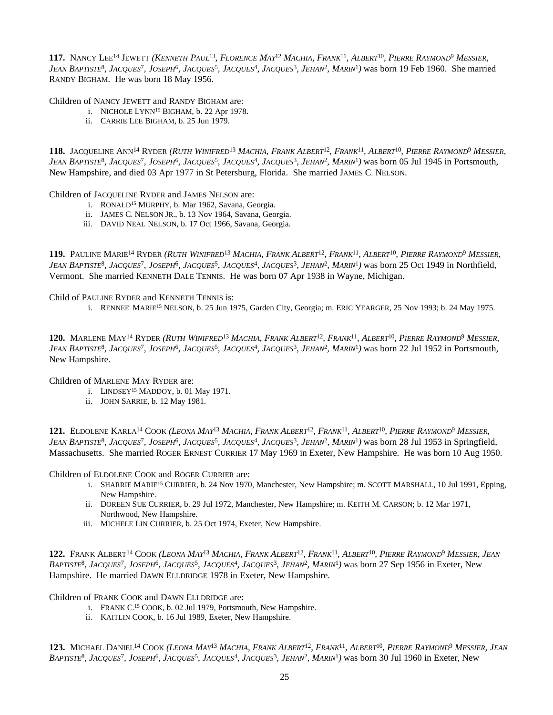117. NANCY LEE<sup>14</sup> JEWETT (*KENNETH PAUL<sup>13</sup>, FLORENCE MAY<sup>12</sup> MACHIA, FRANK<sup>11</sup>, ALBERT<sup>10</sup>, PIERRE RAYMOND<sup>9</sup> MESSIER,* JEAN BAPTISTE<sup>8</sup>, JACQUES<sup>7</sup>, JOSEPH<sup>6</sup>, JACQUES<sup>5</sup>, JACQUES<sup>4</sup>, JACQUES<sup>3</sup>, JEHAN<sup>2</sup>, MARIN<sup>1</sup>) was born 19 Feb 1960. She married RANDY BIGHAM. He was born 18 May 1956.

Children of NANCY JEWETT and RANDY BIGHAM are:

- i. NICHOLE LYNN<sup>15</sup> BIGHAM, b. 22 Apr 1978.
- ii. CARRIE LEE BIGHAM, b. 25 Jun 1979.

118. Jacqueline Ann<sup>14</sup> Ryder (*Ruth Winifred<sup>13</sup> Machia, Frank Albert<sup>12</sup>, Frank<sup>11</sup>, Albert<sup>10</sup>, Pierre Raymond<sup>9</sup> Messier,* JEAN BAPTISTE<sup>8</sup>, JACQUES<sup>7</sup>, JOSEPH<sup>6</sup>, JACQUES<sup>5</sup>, JACQUES<sup>4</sup>, JACQUES<sup>3</sup>, JEHAN<sup>2</sup>, MARIN<sup>1</sup>) was born 05 Jul 1945 in Portsmouth, New Hampshire, and died 03 Apr 1977 in St Petersburg, Florida. She married JAMES C. NELSON.

Children of JACQUELINE RYDER and JAMES NELSON are:

- i. RONALD<sup>15</sup> MURPHY, b. Mar 1962, Savana, Georgia.
- ii. JAMES C. NELSON JR., b. 13 Nov 1964, Savana, Georgia.
- iii. DAVID NEAL NELSON, b. 17 Oct 1966, Savana, Georgia.

119. PAULINE MARIE<sup>14</sup> RYDER (*RUTH WINIFRED<sup>13</sup> MACHIA, FRANK ALBERT<sup>12</sup>, FRANK<sup>11</sup>, ALBERT<sup>10</sup>, PIERRE RAYMOND<sup>9</sup> MESSIER,* JEAN BAPTISTE<sup>8</sup>, JACQUES<sup>7</sup>, JOSEPH<sup>6</sup>, JACQUES<sup>5</sup>, JACQUES<sup>4</sup>, JACQUES<sup>3</sup>, JEHAN<sup>2</sup>, MARIN<sup>1</sup>) was born 25 Oct 1949 in Northfield, Vermont. She married KENNETH DALE TENNIS. He was born 07 Apr 1938 in Wayne, Michigan.

Child of PAULINE RYDER and KENNETH TENNIS is:

i. RENNEE' MARIE<sup>15</sup> NELSON, b. 25 Jun 1975, Garden City, Georgia; m. ERIC YEARGER, 25 Nov 1993; b. 24 May 1975.

120. MARLENE MAY<sup>14</sup> RYDER (*RUTH WINIFRED<sup>13</sup> MACHIA, FRANK ALBERT<sup>12</sup>, FRANK<sup>11</sup>, ALBERT<sup>10</sup>, PIERRE RAYMOND<sup>9</sup> MESSIER,* JEAN BAPTISTE<sup>8</sup>, JACQUES<sup>7</sup>, JOSEPH<sup>6</sup>, JACQUES<sup>5</sup>, JACQUES<sup>4</sup>, JACQUES<sup>3</sup>, JEHAN<sup>2</sup>, MARIN<sup>1</sup>) was born 22 Jul 1952 in Portsmouth, New Hampshire.

Children of MARLENE MAY RYDER are:

- i. LINDSEY<sup>15</sup> MADDOY, b. 01 May 1971.
- ii. JOHN SARRIE, b. 12 May 1981.

121. ELDOLENE KARLA<sup>14</sup> COOK (LEONA MAY<sup>13</sup> MACHIA, FRANK ALBERT<sup>12</sup>, FRANK<sup>11</sup>, ALBERT<sup>10</sup>, PIERRE RAYMOND<sup>9</sup> MESSIER, JEAN BAPTISTE<sup>8</sup>, JACQUES<sup>7</sup>, JOSEPH<sup>6</sup>, JACQUES<sup>5</sup>, JACQUES<sup>4</sup>, JACQUES<sup>3</sup>, JEHAN<sup>2</sup>, MARIN<sup>1</sup>) was born 28 Jul 1953 in Springfield, Massachusetts. She married ROGER ERNEST CURRIER 17 May 1969 in Exeter, New Hampshire. He was born 10 Aug 1950.

Children of ELDOLENE COOK and ROGER CURRIER are:

- i. SHARRIE MARIE<sup>15</sup> CURRIER, b. 24 Nov 1970, Manchester, New Hampshire; m. SCOTT MARSHALL, 10 Jul 1991, Epping, New Hampshire.
- ii. DOREEN SUE CURRIER, b. 29 Jul 1972, Manchester, New Hampshire; m. KEITH M. CARSON; b. 12 Mar 1971, Northwood, New Hampshire.
- iii. MICHELE LIN CURRIER, b. 25 Oct 1974, Exeter, New Hampshire.

122. Frank Albert<sup>14</sup> Cook *(Leona May<sup>13</sup> Machia, Frank Albert<sup>12</sup>, Frank<sup>11</sup>, Albert<sup>10</sup>, Pierre Raymond<sup>9</sup> Messier, Jean* BAPTISTE<sup>8</sup>, JACQUES<sup>7</sup>, JOSEPH<sup>6</sup>, JACQUES<sup>5</sup>, JACQUES<sup>4</sup>, JACQUES<sup>3</sup>, JEHAN<sup>2</sup>, MARIN<sup>1</sup>) was born 27 Sep 1956 in Exeter, New Hampshire. He married DAWN ELLDRIDGE 1978 in Exeter, New Hampshire.

Children of FRANK COOK and DAWN ELLDRIDGE are:

- i. FRANK C. <sup>15</sup> COOK, b. 02 Jul 1979, Portsmouth, New Hampshire.
- ii. KAITLIN COOK, b. 16 Jul 1989, Exeter, New Hampshire.

123. MICHAEL DANIEL<sup>14</sup> COOK (LEONA MAY<sup>13</sup> MACHIA, FRANK ALBERT<sup>12</sup>, FRANK<sup>11</sup>, ALBERT<sup>10</sup>, PIERRE RAYMOND<sup>9</sup> MESSIER, JEAN BAPTISTE<sup>8</sup>, JACQUES<sup>7</sup>, JOSEPH<sup>6</sup>, JACQUES<sup>5</sup>, JACQUES<sup>4</sup>, JACQUES<sup>3</sup>, JEHAN<sup>2</sup>, MARIN<sup>1</sup>) was born 30 Jul 1960 in Exeter, New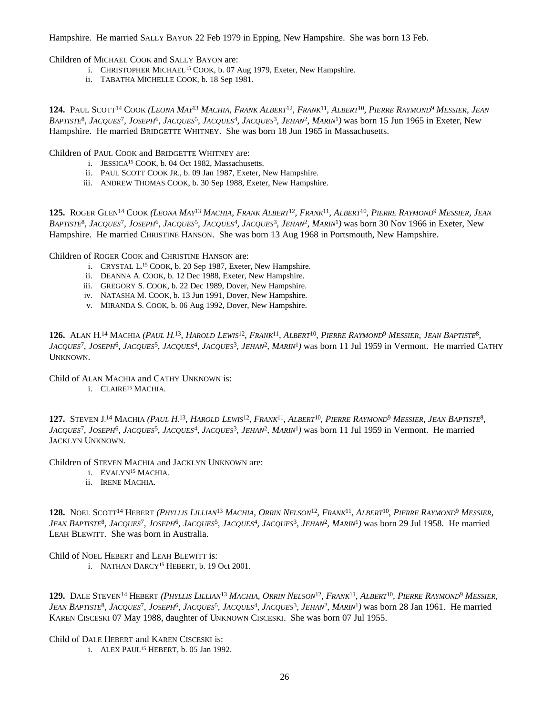Hampshire. He married SALLY BAYON 22 Feb 1979 in Epping, New Hampshire. She was born 13 Feb.

Children of MICHAEL COOK and SALLY BAYON are:

- i. CHRISTOPHER MICHAEL<sup>15</sup> COOK, b. 07 Aug 1979, Exeter, New Hampshire.
- ii. TABATHA MICHELLE COOK, b. 18 Sep 1981.

124. Paul Scott<sup>14</sup> Cook *(Leona May<sup>13</sup> Machia, Frank Albert<sup>12</sup>, Frank<sup>11</sup>, Albert<sup>10</sup>, Pierre Raymond<sup>9</sup> Messier, Jean* BAPTISTE<sup>8</sup>, JACQUES<sup>7</sup>, JOSEPH<sup>6</sup>, JACQUES<sup>5</sup>, JACQUES<sup>4</sup>, JACQUES<sup>3</sup>, JEHAN<sup>2</sup>, MARIN<sup>1</sup>) was born 15 Jun 1965 in Exeter, New Hampshire. He married BRIDGETTE WHITNEY. She was born 18 Jun 1965 in Massachusetts.

Children of PAUL COOK and BRIDGETTE WHITNEY are:

- i. JESSICA<sup>15</sup> COOK, b. 04 Oct 1982, Massachusetts.
- ii. PAUL SCOTT COOK JR., b. 09 Jan 1987, Exeter, New Hampshire.
- iii. ANDREW THOMAS COOK, b. 30 Sep 1988, Exeter, New Hampshire.

125. ROGER GLEN<sup>14</sup> COOK (*LEONA MAY<sup>13</sup> MACHIA, FRANK ALBERT<sup>12</sup>, FRANK<sup>11</sup>, ALBERT<sup>10</sup>, PIERRE RAYMOND<sup>9</sup> MESSIER, JEAN* BAPTISTE<sup>8</sup>, JACQUES<sup>7</sup>, JOSEPH<sup>6</sup>, JACQUES<sup>5</sup>, JACQUES<sup>4</sup>, JACQUES<sup>3</sup>, JEHAN<sup>2</sup>, MARIN<sup>1</sup>) was born 30 Nov 1966 in Exeter, New Hampshire. He married CHRISTINE HANSON. She was born 13 Aug 1968 in Portsmouth, New Hampshire.

Children of ROGER COOK and CHRISTINE HANSON are:

- i. CRYSTAL L.<sup>15</sup> COOK, b. 20 Sep 1987, Exeter, New Hampshire.
- ii. DEANNA A. COOK, b. 12 Dec 1988, Exeter, New Hampshire.
- iii. GREGORY S. COOK, b. 22 Dec 1989, Dover, New Hampshire.
- iv. NATASHA M. COOK, b. 13 Jun 1991, Dover, New Hampshire.
- v. MIRANDA S. COOK, b. 06 Aug 1992, Dover, New Hampshire.

126. ALAN H.<sup>14</sup> MACHIA (PAUL H.<sup>13</sup>, HAROLD LEWIS<sup>12</sup>, FRANK<sup>11</sup>, ALBERT<sup>10</sup>, PIERRE RAYMOND<sup>9</sup> MESSIER, JEAN BAPTISTE<sup>8</sup>, JACQUES<sup>7</sup>, JOSEPH<sup>6</sup>, JACQUES<sup>5</sup>, JACQUES<sup>4</sup>, JACQUES<sup>3</sup>, JEHAN<sup>2</sup>, MARIN<sup>1</sup>) was born 11 Jul 1959 in Vermont. He married CATHY UNKNOWN.

Child of ALAN MACHIA and CATHY UNKNOWN is:

i. CLAIRE<sup>15</sup> MACHIA.

127. STEVEN J.<sup>14</sup> MACHIA (PAUL H.<sup>13</sup>, HAROLD LEWIS<sup>12</sup>, FRANK<sup>11</sup>, ALBERT<sup>10</sup>, PIERRE RAYMOND<sup>9</sup> MESSIER, JEAN BAPTISTE<sup>8</sup>, *JACQUES*<sup>7</sup> *, JOSEPH*<sup>6</sup> *, JACQUES*<sup>5</sup> *, JACQUES*<sup>4</sup> *, JACQUES*<sup>3</sup> *, JEHAN*<sup>2</sup> *, MARIN*<sup>1</sup> *)* was born 11 Jul 1959 in Vermont. He married JACKLYN UNKNOWN.

Children of STEVEN MACHIA and JACKLYN UNKNOWN are:

- i. EVALYN<sup>15</sup> MACHIA.
- ii. IRENE MACHIA.

128. NOEL SCOTT<sup>14</sup> HEBERT (PHYLLIS LILLIAN<sup>13</sup> MACHIA, ORRIN NELSON<sup>12</sup>, FRANK<sup>11</sup>, ALBERT<sup>10</sup>, PIERRE RAYMOND<sup>9</sup> MESSIER, JEAN BAPTISTE<sup>8</sup>, JACQUES<sup>7</sup>, JOSEPH<sup>6</sup>, JACQUES<sup>5</sup>, JACQUES<sup>4</sup>, JACQUES<sup>3</sup>, JEHAN<sup>2</sup>, MARIN<sup>1</sup>) was born 29 Jul 1958. He married LEAH BLEWITT. She was born in Australia.

Child of NOEL HEBERT and LEAH BLEWITT is:

i. NATHAN DARCY<sup>15</sup> HEBERT, b. 19 Oct 2001.

129. DALE STEVEN<sup>14</sup> HEBERT (PHYLLIS LILLIAN<sup>13</sup> MACHIA, ORRIN NELSON<sup>12</sup>, FRANK<sup>11</sup>, ALBERT<sup>10</sup>, PIERRE RAYMOND<sup>9</sup> MESSIER, JEAN BAPTISTE<sup>8</sup>, JACQUES<sup>7</sup>, JOSEPH<sup>6</sup>, JACQUES<sup>5</sup>, JACQUES<sup>4</sup>, JACQUES<sup>3</sup>, JEHAN<sup>2</sup>, MARIN<sup>1</sup>) was born 28 Jan 1961. He married KAREN CISCESKI 07 May 1988, daughter of UNKNOWN CISCESKI. She was born 07 Jul 1955.

Child of DALE HEBERT and KAREN CISCESKI is:

i. ALEX PAUL<sup>15</sup> HEBERT, b. 05 Jan 1992.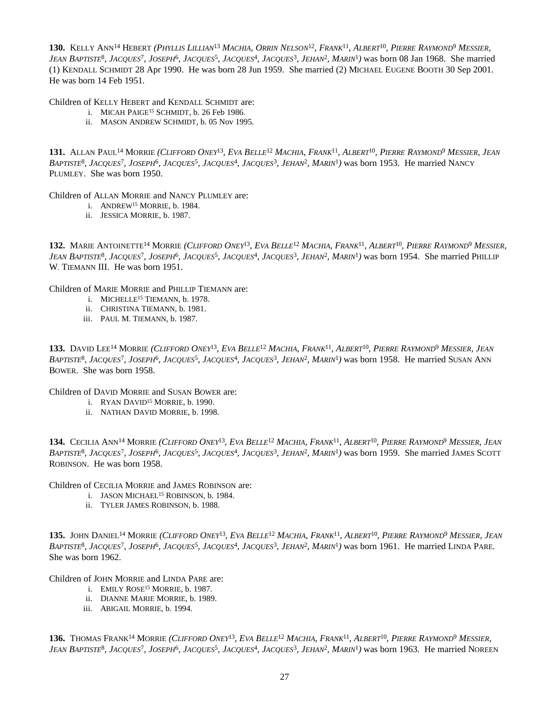130. Kelly Ann<sup>14</sup> Hebert *(Phyllis Lillian<sup>13</sup> Machia, Orrin Nelson<sup>12</sup>, Frank<sup>11</sup>, Albert<sup>10</sup>, Pierre Raymond<sup>9</sup> Messier,* JEAN BAPTISTE<sup>8</sup>, JACQUES<sup>7</sup>, JOSEPH<sup>6</sup>, JACQUES<sup>5</sup>, JACQUES<sup>4</sup>, JACQUES<sup>3</sup>, JEHAN<sup>2</sup>, MARIN<sup>1</sup>) was born 08 Jan 1968. She married (1) KENDALL SCHMIDT 28 Apr 1990. He was born 28 Jun 1959. She married (2) MICHAEL EUGENE BOOTH 30 Sep 2001. He was born 14 Feb 1951.

Children of KELLY HEBERT and KENDALL SCHMIDT are:

- i. MICAH PAIGE<sup>15</sup> SCHMIDT, b. 26 Feb 1986.
- ii. MASON ANDREW SCHMIDT, b. 05 Nov 1995.

131. Allan Paul<sup>14</sup> Morrie (*Clifford Oney<sup>13</sup>, Eva Belle<sup>12</sup> Machia, Frank<sup>11</sup>, Albert<sup>10</sup>, Pierre Raymond<sup>9</sup> Messier, Jean* BAPTISTE<sup>8</sup>, JACQUES<sup>7</sup>, JOSEPH<sup>6</sup>, JACQUES<sup>5</sup>, JACQUES<sup>4</sup>, JACQUES<sup>3</sup>, JEHAN<sup>2</sup>, MARIN<sup>1</sup>) was born 1953. He married NANCY PLUMLEY. She was born 1950.

Children of ALLAN MORRIE and NANCY PLUMLEY are:

- i. ANDREW<sup>15</sup> MORRIE, b. 1984.
- ii. JESSICA MORRIE, b. 1987.

132. MARIE ANTOINETTE<sup>14</sup> MORRIE (CLIFFORD ONEY<sup>13</sup>, EVA BELLE<sup>12</sup> MACHIA, FRANK<sup>11</sup>, ALBERT<sup>10</sup>, PIERRE RAYMOND<sup>9</sup> MESSIER, JEAN BAPTISTE<sup>8</sup>, JACQUES<sup>7</sup>, JOSEPH<sup>6</sup>, JACQUES<sup>5</sup>, JACQUES<sup>4</sup>, JACQUES<sup>3</sup>, JEHAN<sup>2</sup>, MARIN<sup>1</sup>) was born 1954. She married PHILLIP W. TIEMANN III. He was born 1951.

Children of MARIE MORRIE and PHILLIP TIEMANN are:

- i. MICHELLE<sup>15</sup> TIEMANN, b. 1978.
- ii. CHRISTINA TIEMANN, b. 1981.
- iii. PAUL M. TIEMANN, b. 1987.

133. David Lee<sup>14</sup> Morrie *(Clifford Oney<sup>13</sup>, Eva Belle<sup>12</sup> Machia, Frank<sup>11</sup>, Albert<sup>10</sup>, Pierre Raymond<sup>9</sup> Messier, Jean* BAPTISTE<sup>8</sup>, JACQUES<sup>7</sup>, JOSEPH<sup>6</sup>, JACQUES<sup>5</sup>, JACQUES<sup>4</sup>, JACQUES<sup>3</sup>, JEHAN<sup>2</sup>, MARIN<sup>1</sup>) was born 1958. He married SUSAN ANN BOWER. She was born 1958.

Children of DAVID MORRIE and SUSAN BOWER are:

- i. RYAN DAVID<sup>15</sup> MORRIE, b. 1990.
- ii. NATHAN DAVID MORRIE, b. 1998.

134. Cecilia Ann<sup>14</sup> Morrie *(Clifford Oney<sup>13</sup>, Eva Belle<sup>12</sup> Machia, Frank<sup>11</sup>, Albert<sup>10</sup>, Pierre Raymond<sup>9</sup> Messier, Jean* BAPTISTE<sup>8</sup>, JACQUES<sup>7</sup>, JOSEPH<sup>6</sup>, JACQUES<sup>5</sup>, JACQUES<sup>4</sup>, JACQUES<sup>3</sup>, JEHAN<sup>2</sup>, MARIN<sup>1</sup>) was born 1959. She married JAMES SCOTT ROBINSON. He was born 1958.

Children of CECILIA MORRIE and JAMES ROBINSON are:

- i. JASON MICHAEL<sup>15</sup> ROBINSON, b. 1984.
- ii. TYLER JAMES ROBINSON, b. 1988.

135. John Daniel<sup>14</sup> Morrie *(Clifford Oney<sup>13</sup>, Eva Belle<sup>12</sup> Machia, Frank<sup>11</sup>, Albert<sup>10</sup>, Pierre Raymond<sup>9</sup> Messier, Jean* BAPTISTE<sup>8</sup>, JACQUES<sup>7</sup>, JOSEPH<sup>6</sup>, JACQUES<sup>5</sup>, JACQUES<sup>4</sup>, JACQUES<sup>3</sup>, JEHAN<sup>2</sup>, MARIN<sup>1</sup>) was born 1961. He married LINDA PARE. She was born 1962.

Children of JOHN MORRIE and LINDA PARE are:

- i. EMILY ROSE<sup>15</sup> MORRIE, b. 1987.
- ii. DIANNE MARIE MORRIE, b. 1989.
- iii. ABIGAIL MORRIE, b. 1994.

**136.** Thomas Frank<sup>14</sup> Morrie *(Clifford Oney<sup>13</sup>, Eva Belle<sup>12</sup> Machia, Frank<sup>11</sup>, Albert<sup>10</sup>, <i>Pierre Raymond<sup>9</sup> Messier*, JEAN BAPTISTE<sup>8</sup>, JACQUES<sup>7</sup>, JOSEPH<sup>6</sup>, JACQUES<sup>5</sup>, JACQUES<sup>4</sup>, JACQUES<sup>3</sup>, JEHAN<sup>2</sup>, MARIN<sup>1</sup>) was born 1963. He married NOREEN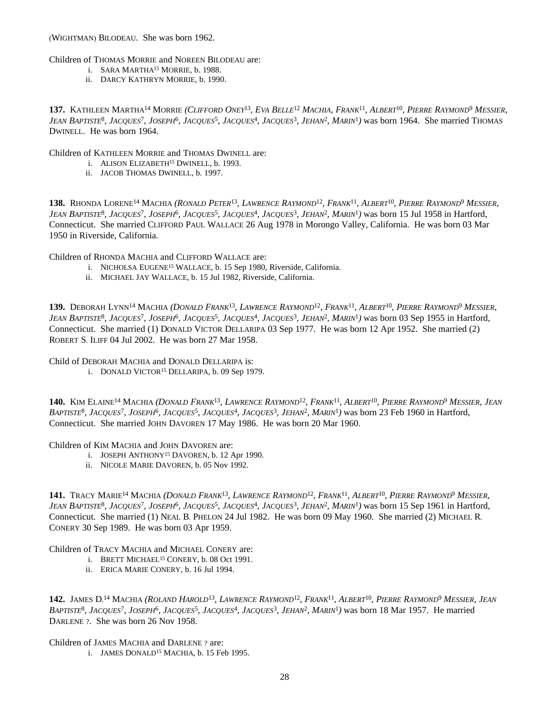(WIGHTMAN) BILODEAU. She was born 1962.

Children of THOMAS MORRIE and NOREEN BILODEAU are:

- i. SARA MARTHA<sup>15</sup> MORRIE, b. 1988.
	- ii. DARCY KATHRYN MORRIE, b. 1990.

137. KATHLEEN MARTHA<sup>14</sup> MORRIE (*CLIFFORD ONEY<sup>13</sup>, EVA BELLE<sup>12</sup> MACHIA, FRANK<sup>11</sup>, ALBERT<sup>10</sup>, PIERRE RAYMOND<sup>9</sup> MESSIER,* JEAN BAPTISTE<sup>8</sup>, JACQUES<sup>7</sup>, JOSEPH<sup>6</sup>, JACQUES<sup>5</sup>, JACQUES<sup>4</sup>, JACQUES<sup>3</sup>, JEHAN<sup>2</sup>, MARIN<sup>1</sup>) was born 1964. She married THOMAS DWINELL. He was born 1964.

Children of KATHLEEN MORRIE and THOMAS DWINELL are:

- i. ALISON ELIZABETH<sup>15</sup> DWINELL, b. 1993.
- ii. JACOB THOMAS DWINELL, b. 1997.

138. RHONDA LORENE<sup>14</sup> MACHIA (*RONALD PETER<sup>13</sup>, LAWRENCE RAYMOND<sup>12</sup>, FRANK<sup>11</sup>, ALBERT<sup>10</sup>, PIERRE RAYMOND<sup>9</sup> MESSIER,* JEAN BAPTISTE<sup>8</sup>, JACQUES<sup>7</sup>, JOSEPH<sup>6</sup>, JACQUES<sup>5</sup>, JACQUES<sup>4</sup>, JACQUES<sup>3</sup>, JEHAN<sup>2</sup>, MARIN<sup>1</sup>) was born 15 Jul 1958 in Hartford, Connecticut. She married CLIFFORD PAUL WALLACE 26 Aug 1978 in Morongo Valley, California. He was born 03 Mar 1950 in Riverside, California.

Children of RHONDA MACHIA and CLIFFORD WALLACE are:

- i. NICHOLSA EUGENE<sup>15</sup> WALLACE, b. 15 Sep 1980, Riverside, California.
- ii. MICHAEL JAY WALLACE, b. 15 Jul 1982, Riverside, California.

139. DEBORAH LYNN<sup>14</sup> MACHIA (*DONALD FRANK<sup>13</sup>, LAWRENCE RAYMOND<sup>12</sup>, FRANK<sup>11</sup>, ALBERT<sup>10</sup>, PIERRE RAYMOND<sup>9</sup> MESSIER,* JEAN BAPTISTE<sup>8</sup>, JACQUES<sup>7</sup>, JOSEPH<sup>6</sup>, JACQUES<sup>5</sup>, JACQUES<sup>4</sup>, JACQUES<sup>3</sup>, JEHAN<sup>2</sup>, MARIN<sup>1</sup>) was born 03 Sep 1955 in Hartford, Connecticut. She married (1) DONALD VICTOR DELLARIPA 03 Sep 1977. He was born 12 Apr 1952. She married (2) ROBERT S. ILIFF 04 Jul 2002. He was born 27 Mar 1958.

Child of DEBORAH MACHIA and DONALD DELLARIPA is:

i. DONALD VICTOR<sup>15</sup> DELLARIPA, b. 09 Sep 1979.

140. Kim Elaine<sup>14</sup> Machia *(Donald Frank<sup>13</sup>, Lawrence Raymond<sup>12</sup>, Frank<sup>11</sup>, Albert<sup>10</sup>, Pierre Raymond<sup>9</sup> Messier, Jean* BAPTISTE<sup>8</sup>, JACQUES<sup>7</sup>, JOSEPH<sup>6</sup>, JACQUES<sup>5</sup>, JACQUES<sup>4</sup>, JACQUES<sup>3</sup>, JEHAN<sup>2</sup>, MARIN<sup>1</sup>) was born 23 Feb 1960 in Hartford, Connecticut. She married JOHN DAVOREN 17 May 1986. He was born 20 Mar 1960.

Children of KIM MACHIA and JOHN DAVOREN are:

- i. JOSEPH ANTHONY<sup>15</sup> DAVOREN, b. 12 Apr 1990.
- ii. NICOLE MARIE DAVOREN, b. 05 Nov 1992.

141. Tracy Marie<sup>14</sup> Machia *(Donald Frank<sup>13</sup>, Lawrence Raymond<sup>12</sup>, Frank<sup>11</sup>, Albert<sup>10</sup>, Pierre Raymond<sup>9</sup> Messier,* JEAN BAPTISTE<sup>8</sup>, JACQUES<sup>7</sup>, JOSEPH<sup>6</sup>, JACQUES<sup>5</sup>, JACQUES<sup>4</sup>, JACQUES<sup>3</sup>, JEHAN<sup>2</sup>, MARIN<sup>1</sup>) was born 15 Sep 1961 in Hartford, Connecticut. She married (1) NEAL B. PHELON 24 Jul 1982. He was born 09 May 1960. She married (2) MICHAEL R. CONERY 30 Sep 1989. He was born 03 Apr 1959.

Children of TRACY MACHIA and MICHAEL CONERY are:

- i. BRETT MICHAEL<sup>15</sup> CONERY, b. 08 Oct 1991.
- ii. ERICA MARIE CONERY, b. 16 Jul 1994.

**142.** James D.<sup>14</sup> Machia (Roland Harold<sup>13</sup>, Lawrence Raymond<sup>12</sup>, Frank<sup>11</sup>, Albert<sup>10</sup>, Pierre Raymond<sup>9</sup> Messier, Jean BAPTISTE<sup>8</sup>, JACQUES<sup>7</sup>, JOSEPH<sup>6</sup>, JACQUES<sup>5</sup>, JACQUES<sup>4</sup>, JACQUES<sup>3</sup>, JEHAN<sup>2</sup>, MARIN<sup>1</sup>) was born 18 Mar 1957. He married DARLENE ?. She was born 26 Nov 1958.

Children of JAMES MACHIA and DARLENE ? are:

i. JAMES DONALD<sup>15</sup> MACHIA, b. 15 Feb 1995.